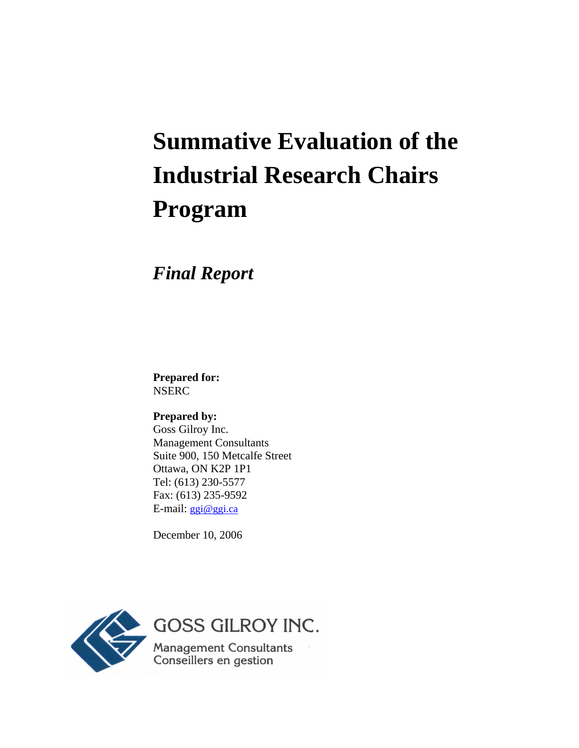# **Summative Evaluation of the Industrial Research Chairs Program**

*Final Report* 

**Prepared for: NSERC** 

**Prepared by:** Goss Gilroy Inc. Management Consultants Suite 900, 150 Metcalfe Street Ottawa, ON K2P 1P1 Tel: (613) 230-5577 Fax: (613) 235-9592 E-mail: ggi@ggi.ca

December 10, 2006

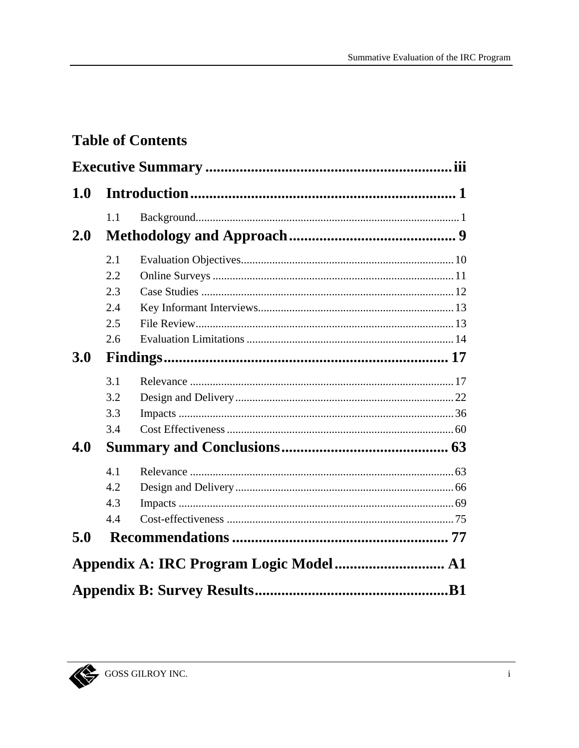### **Table of Contents**

| 1.0        |     |  |  |  |  |  |  |
|------------|-----|--|--|--|--|--|--|
|            | 1.1 |  |  |  |  |  |  |
| 2.0        |     |  |  |  |  |  |  |
|            | 2.1 |  |  |  |  |  |  |
|            | 2.2 |  |  |  |  |  |  |
|            | 2.3 |  |  |  |  |  |  |
|            | 2.4 |  |  |  |  |  |  |
|            | 2.5 |  |  |  |  |  |  |
|            | 2.6 |  |  |  |  |  |  |
| <b>3.0</b> |     |  |  |  |  |  |  |
|            | 3.1 |  |  |  |  |  |  |
|            | 3.2 |  |  |  |  |  |  |
|            | 3.3 |  |  |  |  |  |  |
|            | 3.4 |  |  |  |  |  |  |
| 4.0        |     |  |  |  |  |  |  |
|            | 4.1 |  |  |  |  |  |  |
|            | 4.2 |  |  |  |  |  |  |
|            | 4.3 |  |  |  |  |  |  |
|            | 4.4 |  |  |  |  |  |  |
| 5.0        |     |  |  |  |  |  |  |
|            |     |  |  |  |  |  |  |
|            |     |  |  |  |  |  |  |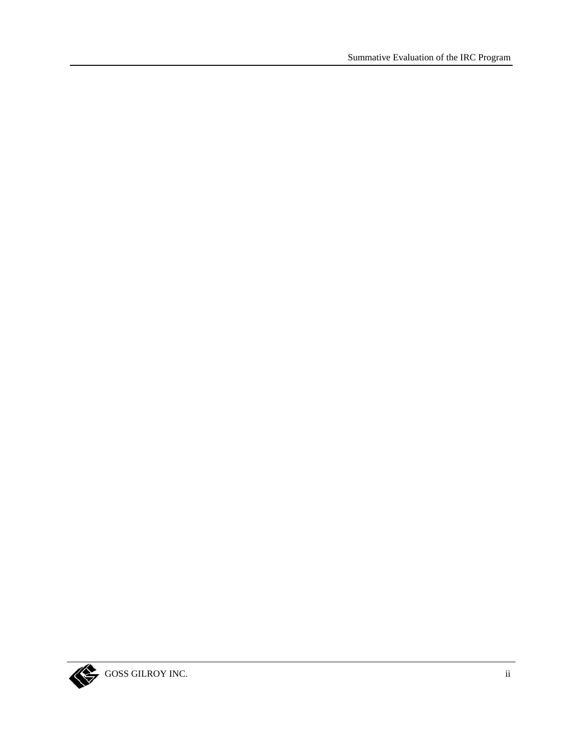Summative Evaluation of the IRC Program

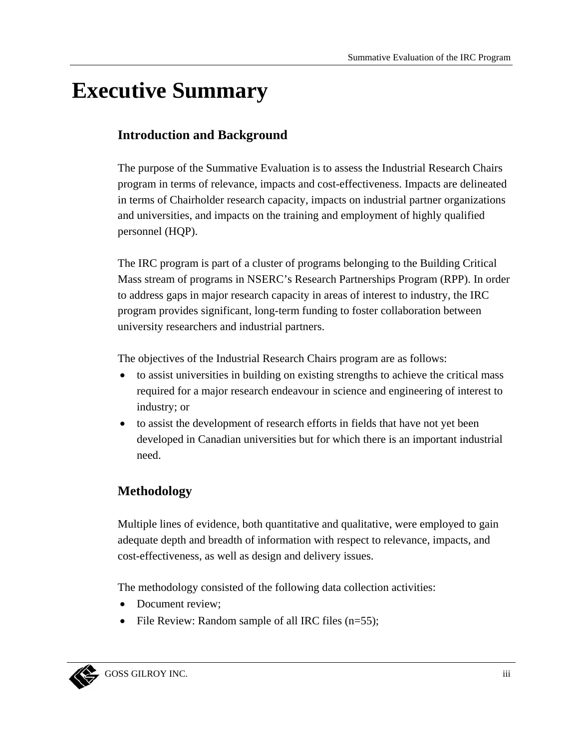# **Executive Summary**

### **Introduction and Background**

The purpose of the Summative Evaluation is to assess the Industrial Research Chairs program in terms of relevance, impacts and cost-effectiveness. Impacts are delineated in terms of Chairholder research capacity, impacts on industrial partner organizations and universities, and impacts on the training and employment of highly qualified personnel (HQP).

The IRC program is part of a cluster of programs belonging to the Building Critical Mass stream of programs in NSERC's Research Partnerships Program (RPP). In order to address gaps in major research capacity in areas of interest to industry, the IRC program provides significant, long-term funding to foster collaboration between university researchers and industrial partners.

The objectives of the Industrial Research Chairs program are as follows:

- to assist universities in building on existing strengths to achieve the critical mass required for a major research endeavour in science and engineering of interest to industry; or
- to assist the development of research efforts in fields that have not yet been developed in Canadian universities but for which there is an important industrial need.

### **Methodology**

Multiple lines of evidence, both quantitative and qualitative, were employed to gain adequate depth and breadth of information with respect to relevance, impacts, and cost-effectiveness, as well as design and delivery issues.

The methodology consisted of the following data collection activities:

- Document review:
- File Review: Random sample of all IRC files (n=55);

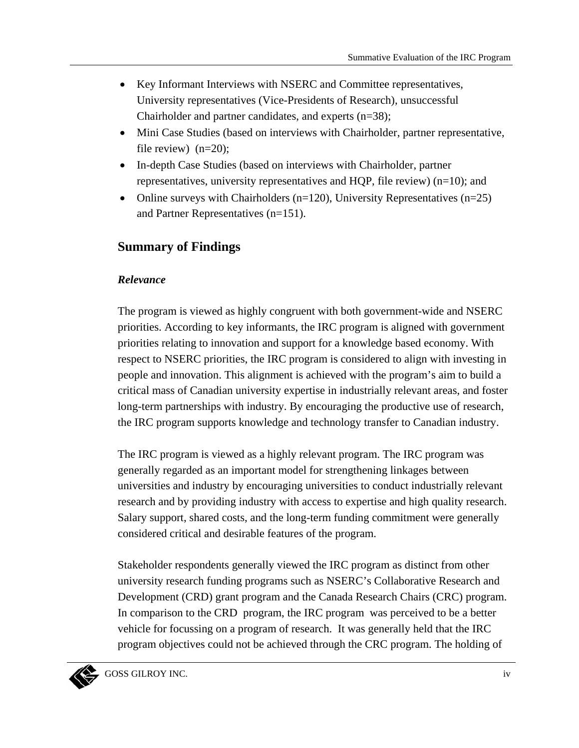- Key Informant Interviews with NSERC and Committee representatives, University representatives (Vice-Presidents of Research), unsuccessful Chairholder and partner candidates, and experts (n=38);
- Mini Case Studies (based on interviews with Chairholder, partner representative, file review)  $(n=20)$ ;
- In-depth Case Studies (based on interviews with Chairholder, partner representatives, university representatives and HQP, file review) (n=10); and
- Online surveys with Chairholders (n=120), University Representatives (n=25) and Partner Representatives (n=151).

### **Summary of Findings**

### *Relevance*

The program is viewed as highly congruent with both government-wide and NSERC priorities. According to key informants, the IRC program is aligned with government priorities relating to innovation and support for a knowledge based economy. With respect to NSERC priorities, the IRC program is considered to align with investing in people and innovation. This alignment is achieved with the program's aim to build a critical mass of Canadian university expertise in industrially relevant areas, and foster long-term partnerships with industry. By encouraging the productive use of research, the IRC program supports knowledge and technology transfer to Canadian industry.

The IRC program is viewed as a highly relevant program. The IRC program was generally regarded as an important model for strengthening linkages between universities and industry by encouraging universities to conduct industrially relevant research and by providing industry with access to expertise and high quality research. Salary support, shared costs, and the long-term funding commitment were generally considered critical and desirable features of the program.

Stakeholder respondents generally viewed the IRC program as distinct from other university research funding programs such as NSERC's Collaborative Research and Development (CRD) grant program and the Canada Research Chairs (CRC) program. In comparison to the CRD program, the IRC program was perceived to be a better vehicle for focussing on a program of research. It was generally held that the IRC program objectives could not be achieved through the CRC program. The holding of

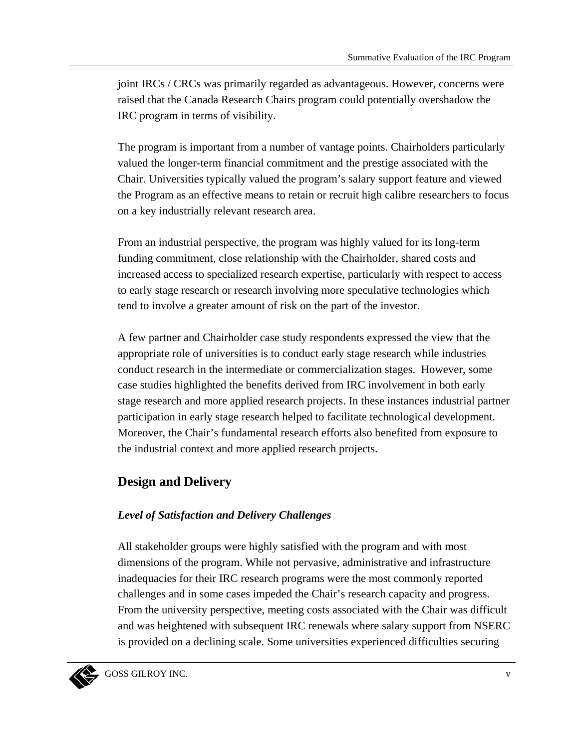joint IRCs / CRCs was primarily regarded as advantageous. However, concerns were raised that the Canada Research Chairs program could potentially overshadow the IRC program in terms of visibility.

The program is important from a number of vantage points. Chairholders particularly valued the longer-term financial commitment and the prestige associated with the Chair. Universities typically valued the program's salary support feature and viewed the Program as an effective means to retain or recruit high calibre researchers to focus on a key industrially relevant research area.

From an industrial perspective, the program was highly valued for its long-term funding commitment, close relationship with the Chairholder, shared costs and increased access to specialized research expertise, particularly with respect to access to early stage research or research involving more speculative technologies which tend to involve a greater amount of risk on the part of the investor.

A few partner and Chairholder case study respondents expressed the view that the appropriate role of universities is to conduct early stage research while industries conduct research in the intermediate or commercialization stages. However, some case studies highlighted the benefits derived from IRC involvement in both early stage research and more applied research projects. In these instances industrial partner participation in early stage research helped to facilitate technological development. Moreover, the Chair's fundamental research efforts also benefited from exposure to the industrial context and more applied research projects.

### **Design and Delivery**

### *Level of Satisfaction and Delivery Challenges*

All stakeholder groups were highly satisfied with the program and with most dimensions of the program. While not pervasive, administrative and infrastructure inadequacies for their IRC research programs were the most commonly reported challenges and in some cases impeded the Chair's research capacity and progress. From the university perspective, meeting costs associated with the Chair was difficult and was heightened with subsequent IRC renewals where salary support from NSERC is provided on a declining scale. Some universities experienced difficulties securing

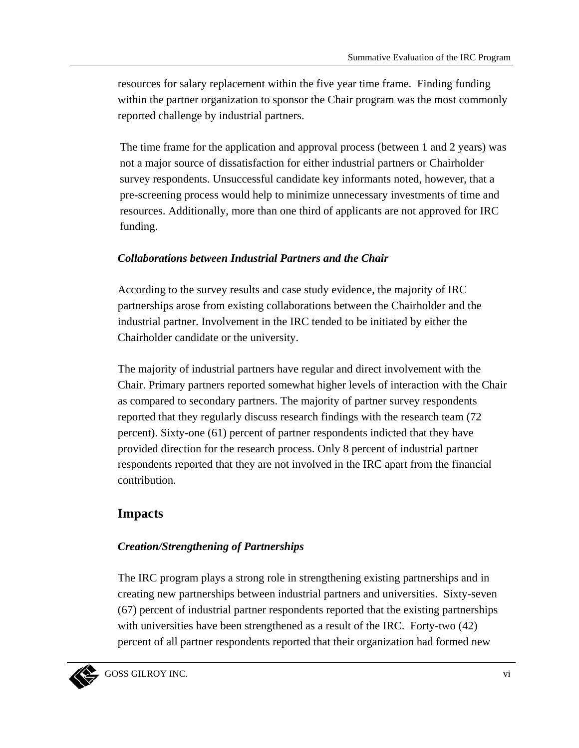resources for salary replacement within the five year time frame. Finding funding within the partner organization to sponsor the Chair program was the most commonly reported challenge by industrial partners.

The time frame for the application and approval process (between 1 and 2 years) was not a major source of dissatisfaction for either industrial partners or Chairholder survey respondents. Unsuccessful candidate key informants noted, however, that a pre-screening process would help to minimize unnecessary investments of time and resources. Additionally, more than one third of applicants are not approved for IRC funding.

### *Collaborations between Industrial Partners and the Chair*

According to the survey results and case study evidence, the majority of IRC partnerships arose from existing collaborations between the Chairholder and the industrial partner. Involvement in the IRC tended to be initiated by either the Chairholder candidate or the university.

The majority of industrial partners have regular and direct involvement with the Chair. Primary partners reported somewhat higher levels of interaction with the Chair as compared to secondary partners. The majority of partner survey respondents reported that they regularly discuss research findings with the research team (72 percent). Sixty-one (61) percent of partner respondents indicted that they have provided direction for the research process. Only 8 percent of industrial partner respondents reported that they are not involved in the IRC apart from the financial contribution.

### **Impacts**

### *Creation/Strengthening of Partnerships*

The IRC program plays a strong role in strengthening existing partnerships and in creating new partnerships between industrial partners and universities. Sixty-seven (67) percent of industrial partner respondents reported that the existing partnerships with universities have been strengthened as a result of the IRC. Forty-two (42) percent of all partner respondents reported that their organization had formed new

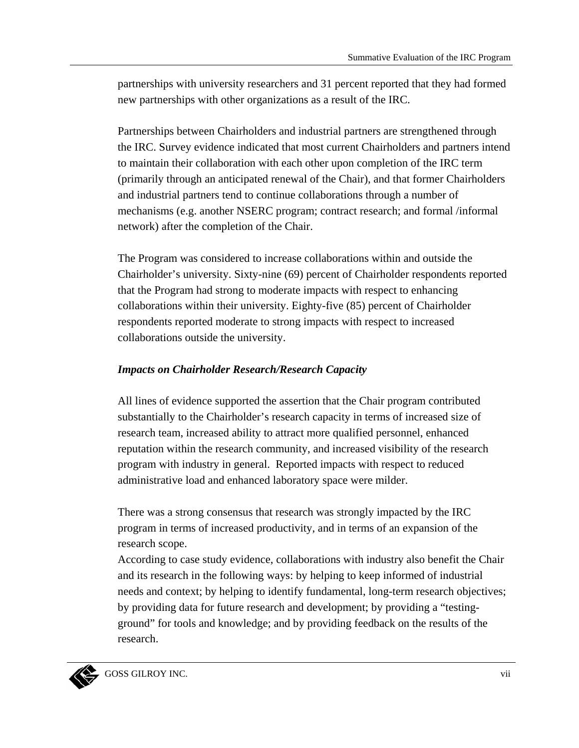partnerships with university researchers and 31 percent reported that they had formed new partnerships with other organizations as a result of the IRC.

Partnerships between Chairholders and industrial partners are strengthened through the IRC. Survey evidence indicated that most current Chairholders and partners intend to maintain their collaboration with each other upon completion of the IRC term (primarily through an anticipated renewal of the Chair), and that former Chairholders and industrial partners tend to continue collaborations through a number of mechanisms (e.g. another NSERC program; contract research; and formal /informal network) after the completion of the Chair.

The Program was considered to increase collaborations within and outside the Chairholder's university. Sixty-nine (69) percent of Chairholder respondents reported that the Program had strong to moderate impacts with respect to enhancing collaborations within their university. Eighty-five (85) percent of Chairholder respondents reported moderate to strong impacts with respect to increased collaborations outside the university.

#### *Impacts on Chairholder Research/Research Capacity*

All lines of evidence supported the assertion that the Chair program contributed substantially to the Chairholder's research capacity in terms of increased size of research team, increased ability to attract more qualified personnel, enhanced reputation within the research community, and increased visibility of the research program with industry in general. Reported impacts with respect to reduced administrative load and enhanced laboratory space were milder.

There was a strong consensus that research was strongly impacted by the IRC program in terms of increased productivity, and in terms of an expansion of the research scope.

According to case study evidence, collaborations with industry also benefit the Chair and its research in the following ways: by helping to keep informed of industrial needs and context; by helping to identify fundamental, long-term research objectives; by providing data for future research and development; by providing a "testingground" for tools and knowledge; and by providing feedback on the results of the research.

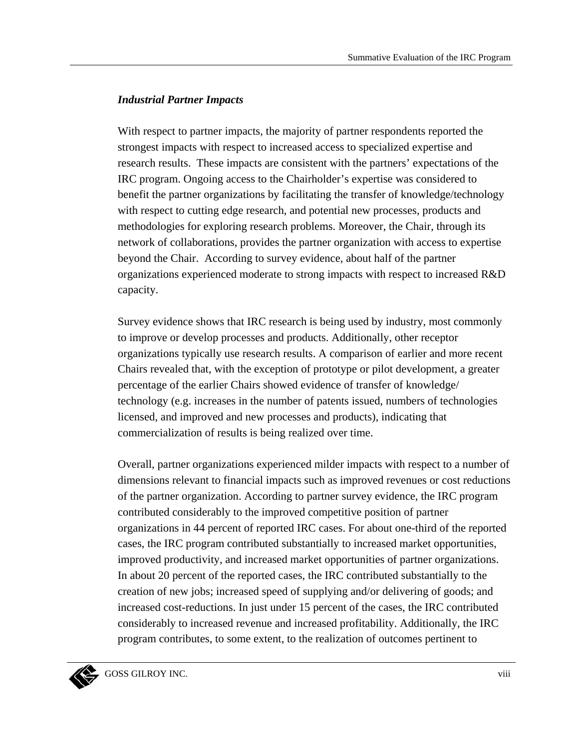#### *Industrial Partner Impacts*

With respect to partner impacts, the majority of partner respondents reported the strongest impacts with respect to increased access to specialized expertise and research results. These impacts are consistent with the partners' expectations of the IRC program. Ongoing access to the Chairholder's expertise was considered to benefit the partner organizations by facilitating the transfer of knowledge/technology with respect to cutting edge research, and potential new processes, products and methodologies for exploring research problems. Moreover, the Chair, through its network of collaborations, provides the partner organization with access to expertise beyond the Chair. According to survey evidence, about half of the partner organizations experienced moderate to strong impacts with respect to increased R&D capacity.

Survey evidence shows that IRC research is being used by industry, most commonly to improve or develop processes and products. Additionally, other receptor organizations typically use research results. A comparison of earlier and more recent Chairs revealed that, with the exception of prototype or pilot development, a greater percentage of the earlier Chairs showed evidence of transfer of knowledge/ technology (e.g. increases in the number of patents issued, numbers of technologies licensed, and improved and new processes and products), indicating that commercialization of results is being realized over time.

Overall, partner organizations experienced milder impacts with respect to a number of dimensions relevant to financial impacts such as improved revenues or cost reductions of the partner organization. According to partner survey evidence, the IRC program contributed considerably to the improved competitive position of partner organizations in 44 percent of reported IRC cases. For about one-third of the reported cases, the IRC program contributed substantially to increased market opportunities, improved productivity, and increased market opportunities of partner organizations. In about 20 percent of the reported cases, the IRC contributed substantially to the creation of new jobs; increased speed of supplying and/or delivering of goods; and increased cost-reductions. In just under 15 percent of the cases, the IRC contributed considerably to increased revenue and increased profitability. Additionally, the IRC program contributes, to some extent, to the realization of outcomes pertinent to

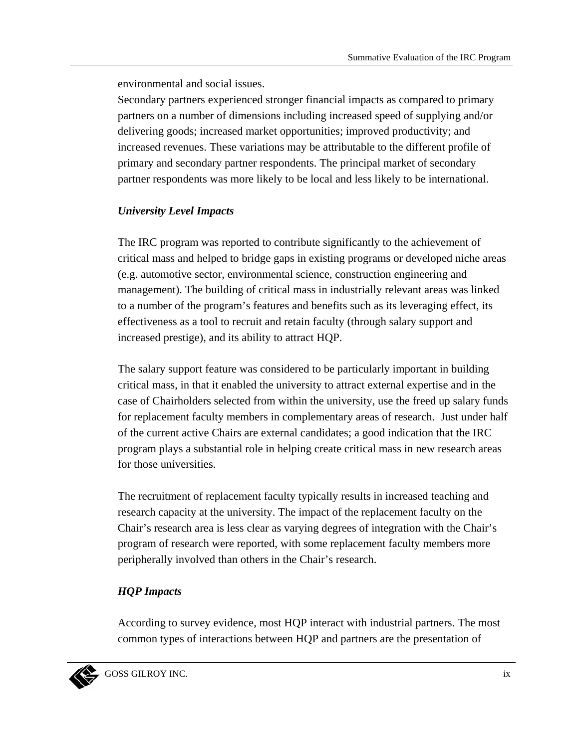environmental and social issues.

Secondary partners experienced stronger financial impacts as compared to primary partners on a number of dimensions including increased speed of supplying and/or delivering goods; increased market opportunities; improved productivity; and increased revenues. These variations may be attributable to the different profile of primary and secondary partner respondents. The principal market of secondary partner respondents was more likely to be local and less likely to be international.

### *University Level Impacts*

The IRC program was reported to contribute significantly to the achievement of critical mass and helped to bridge gaps in existing programs or developed niche areas (e.g. automotive sector, environmental science, construction engineering and management). The building of critical mass in industrially relevant areas was linked to a number of the program's features and benefits such as its leveraging effect, its effectiveness as a tool to recruit and retain faculty (through salary support and increased prestige), and its ability to attract HQP.

The salary support feature was considered to be particularly important in building critical mass, in that it enabled the university to attract external expertise and in the case of Chairholders selected from within the university, use the freed up salary funds for replacement faculty members in complementary areas of research. Just under half of the current active Chairs are external candidates; a good indication that the IRC program plays a substantial role in helping create critical mass in new research areas for those universities.

The recruitment of replacement faculty typically results in increased teaching and research capacity at the university. The impact of the replacement faculty on the Chair's research area is less clear as varying degrees of integration with the Chair's program of research were reported, with some replacement faculty members more peripherally involved than others in the Chair's research.

### *HQP Impacts*

According to survey evidence, most HQP interact with industrial partners. The most common types of interactions between HQP and partners are the presentation of

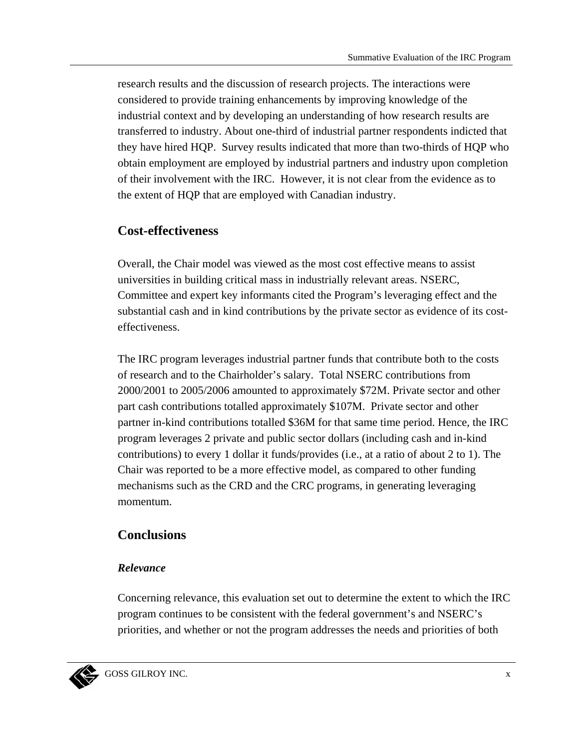research results and the discussion of research projects. The interactions were considered to provide training enhancements by improving knowledge of the industrial context and by developing an understanding of how research results are transferred to industry. About one-third of industrial partner respondents indicted that they have hired HQP. Survey results indicated that more than two-thirds of HQP who obtain employment are employed by industrial partners and industry upon completion of their involvement with the IRC. However, it is not clear from the evidence as to the extent of HQP that are employed with Canadian industry.

### **Cost-effectiveness**

Overall, the Chair model was viewed as the most cost effective means to assist universities in building critical mass in industrially relevant areas. NSERC, Committee and expert key informants cited the Program's leveraging effect and the substantial cash and in kind contributions by the private sector as evidence of its costeffectiveness.

The IRC program leverages industrial partner funds that contribute both to the costs of research and to the Chairholder's salary. Total NSERC contributions from 2000/2001 to 2005/2006 amounted to approximately \$72M. Private sector and other part cash contributions totalled approximately \$107M. Private sector and other partner in-kind contributions totalled \$36M for that same time period. Hence, the IRC program leverages 2 private and public sector dollars (including cash and in-kind contributions) to every 1 dollar it funds/provides (i.e., at a ratio of about 2 to 1). The Chair was reported to be a more effective model, as compared to other funding mechanisms such as the CRD and the CRC programs, in generating leveraging momentum.

### **Conclusions**

### *Relevance*

Concerning relevance, this evaluation set out to determine the extent to which the IRC program continues to be consistent with the federal government's and NSERC's priorities, and whether or not the program addresses the needs and priorities of both

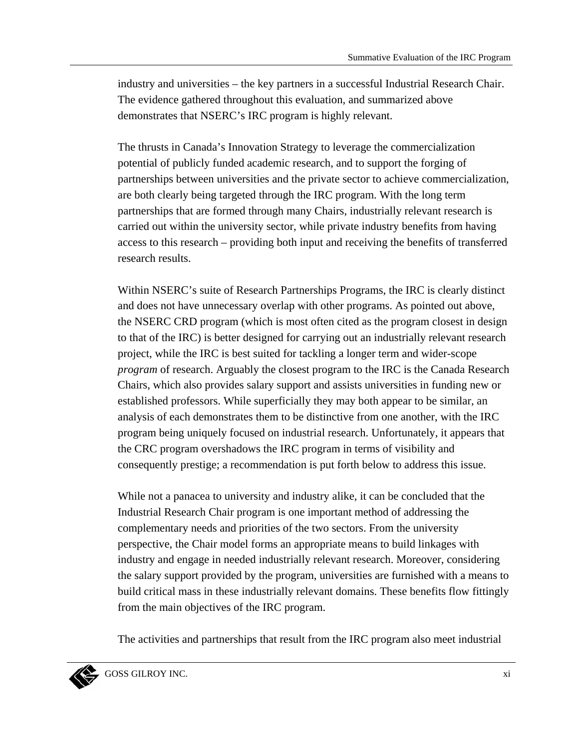industry and universities – the key partners in a successful Industrial Research Chair. The evidence gathered throughout this evaluation, and summarized above demonstrates that NSERC's IRC program is highly relevant.

The thrusts in Canada's Innovation Strategy to leverage the commercialization potential of publicly funded academic research, and to support the forging of partnerships between universities and the private sector to achieve commercialization, are both clearly being targeted through the IRC program. With the long term partnerships that are formed through many Chairs, industrially relevant research is carried out within the university sector, while private industry benefits from having access to this research – providing both input and receiving the benefits of transferred research results.

Within NSERC's suite of Research Partnerships Programs, the IRC is clearly distinct and does not have unnecessary overlap with other programs. As pointed out above, the NSERC CRD program (which is most often cited as the program closest in design to that of the IRC) is better designed for carrying out an industrially relevant research project, while the IRC is best suited for tackling a longer term and wider-scope *program* of research. Arguably the closest program to the IRC is the Canada Research Chairs, which also provides salary support and assists universities in funding new or established professors. While superficially they may both appear to be similar, an analysis of each demonstrates them to be distinctive from one another, with the IRC program being uniquely focused on industrial research. Unfortunately, it appears that the CRC program overshadows the IRC program in terms of visibility and consequently prestige; a recommendation is put forth below to address this issue.

While not a panacea to university and industry alike, it can be concluded that the Industrial Research Chair program is one important method of addressing the complementary needs and priorities of the two sectors. From the university perspective, the Chair model forms an appropriate means to build linkages with industry and engage in needed industrially relevant research. Moreover, considering the salary support provided by the program, universities are furnished with a means to build critical mass in these industrially relevant domains. These benefits flow fittingly from the main objectives of the IRC program.

The activities and partnerships that result from the IRC program also meet industrial

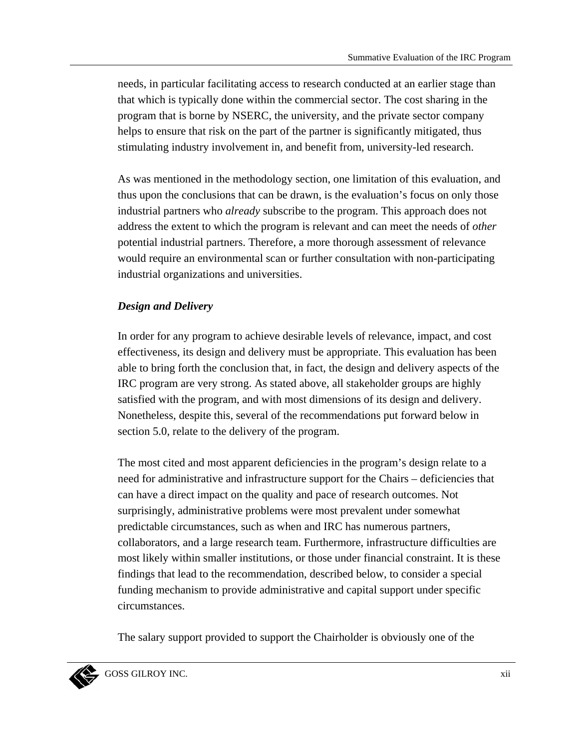needs, in particular facilitating access to research conducted at an earlier stage than that which is typically done within the commercial sector. The cost sharing in the program that is borne by NSERC, the university, and the private sector company helps to ensure that risk on the part of the partner is significantly mitigated, thus stimulating industry involvement in, and benefit from, university-led research.

As was mentioned in the methodology section, one limitation of this evaluation, and thus upon the conclusions that can be drawn, is the evaluation's focus on only those industrial partners who *already* subscribe to the program. This approach does not address the extent to which the program is relevant and can meet the needs of *other* potential industrial partners. Therefore, a more thorough assessment of relevance would require an environmental scan or further consultation with non-participating industrial organizations and universities.

### *Design and Delivery*

In order for any program to achieve desirable levels of relevance, impact, and cost effectiveness, its design and delivery must be appropriate. This evaluation has been able to bring forth the conclusion that, in fact, the design and delivery aspects of the IRC program are very strong. As stated above, all stakeholder groups are highly satisfied with the program, and with most dimensions of its design and delivery. Nonetheless, despite this, several of the recommendations put forward below in section 5.0, relate to the delivery of the program.

The most cited and most apparent deficiencies in the program's design relate to a need for administrative and infrastructure support for the Chairs – deficiencies that can have a direct impact on the quality and pace of research outcomes. Not surprisingly, administrative problems were most prevalent under somewhat predictable circumstances, such as when and IRC has numerous partners, collaborators, and a large research team. Furthermore, infrastructure difficulties are most likely within smaller institutions, or those under financial constraint. It is these findings that lead to the recommendation, described below, to consider a special funding mechanism to provide administrative and capital support under specific circumstances.

The salary support provided to support the Chairholder is obviously one of the

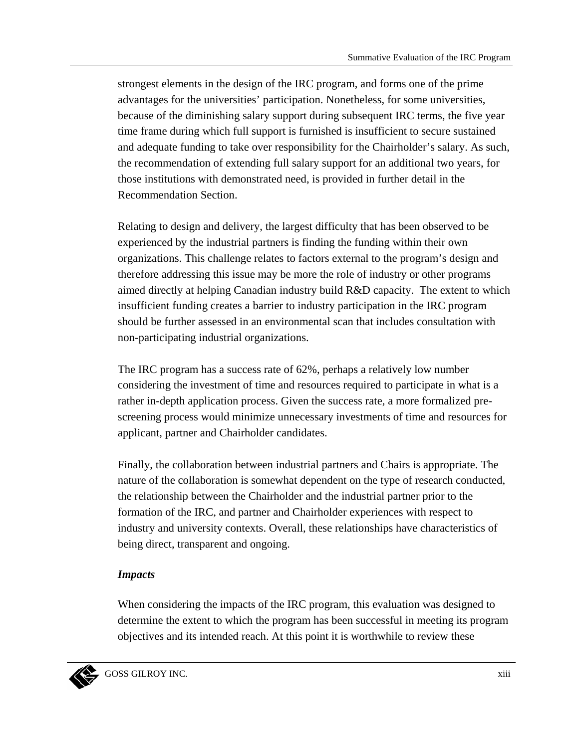strongest elements in the design of the IRC program, and forms one of the prime advantages for the universities' participation. Nonetheless, for some universities, because of the diminishing salary support during subsequent IRC terms, the five year time frame during which full support is furnished is insufficient to secure sustained and adequate funding to take over responsibility for the Chairholder's salary. As such, the recommendation of extending full salary support for an additional two years, for those institutions with demonstrated need, is provided in further detail in the Recommendation Section.

Relating to design and delivery, the largest difficulty that has been observed to be experienced by the industrial partners is finding the funding within their own organizations. This challenge relates to factors external to the program's design and therefore addressing this issue may be more the role of industry or other programs aimed directly at helping Canadian industry build R&D capacity. The extent to which insufficient funding creates a barrier to industry participation in the IRC program should be further assessed in an environmental scan that includes consultation with non-participating industrial organizations.

The IRC program has a success rate of 62%, perhaps a relatively low number considering the investment of time and resources required to participate in what is a rather in-depth application process. Given the success rate, a more formalized prescreening process would minimize unnecessary investments of time and resources for applicant, partner and Chairholder candidates.

Finally, the collaboration between industrial partners and Chairs is appropriate. The nature of the collaboration is somewhat dependent on the type of research conducted, the relationship between the Chairholder and the industrial partner prior to the formation of the IRC, and partner and Chairholder experiences with respect to industry and university contexts. Overall, these relationships have characteristics of being direct, transparent and ongoing.

#### *Impacts*

When considering the impacts of the IRC program, this evaluation was designed to determine the extent to which the program has been successful in meeting its program objectives and its intended reach. At this point it is worthwhile to review these

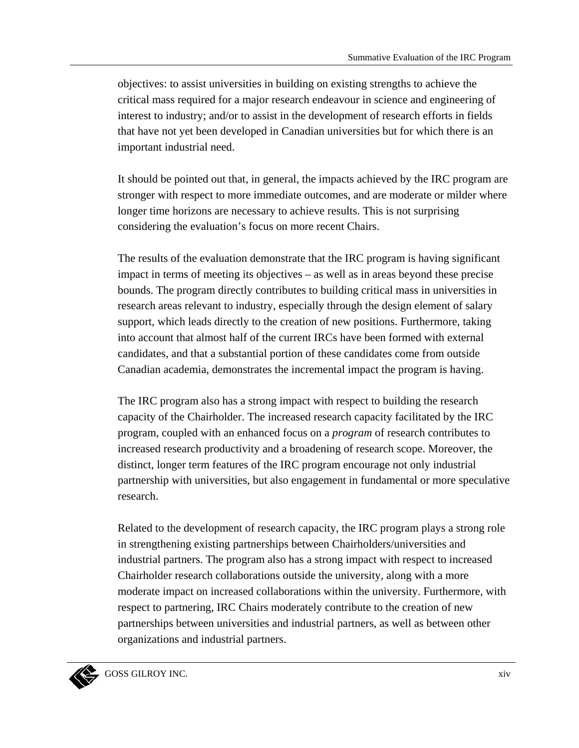objectives: to assist universities in building on existing strengths to achieve the critical mass required for a major research endeavour in science and engineering of interest to industry; and/or to assist in the development of research efforts in fields that have not yet been developed in Canadian universities but for which there is an important industrial need.

It should be pointed out that, in general, the impacts achieved by the IRC program are stronger with respect to more immediate outcomes, and are moderate or milder where longer time horizons are necessary to achieve results. This is not surprising considering the evaluation's focus on more recent Chairs.

The results of the evaluation demonstrate that the IRC program is having significant impact in terms of meeting its objectives – as well as in areas beyond these precise bounds. The program directly contributes to building critical mass in universities in research areas relevant to industry, especially through the design element of salary support, which leads directly to the creation of new positions. Furthermore, taking into account that almost half of the current IRCs have been formed with external candidates, and that a substantial portion of these candidates come from outside Canadian academia, demonstrates the incremental impact the program is having.

The IRC program also has a strong impact with respect to building the research capacity of the Chairholder. The increased research capacity facilitated by the IRC program, coupled with an enhanced focus on a *program* of research contributes to increased research productivity and a broadening of research scope. Moreover, the distinct, longer term features of the IRC program encourage not only industrial partnership with universities, but also engagement in fundamental or more speculative research.

Related to the development of research capacity, the IRC program plays a strong role in strengthening existing partnerships between Chairholders/universities and industrial partners. The program also has a strong impact with respect to increased Chairholder research collaborations outside the university, along with a more moderate impact on increased collaborations within the university. Furthermore, with respect to partnering, IRC Chairs moderately contribute to the creation of new partnerships between universities and industrial partners, as well as between other organizations and industrial partners.

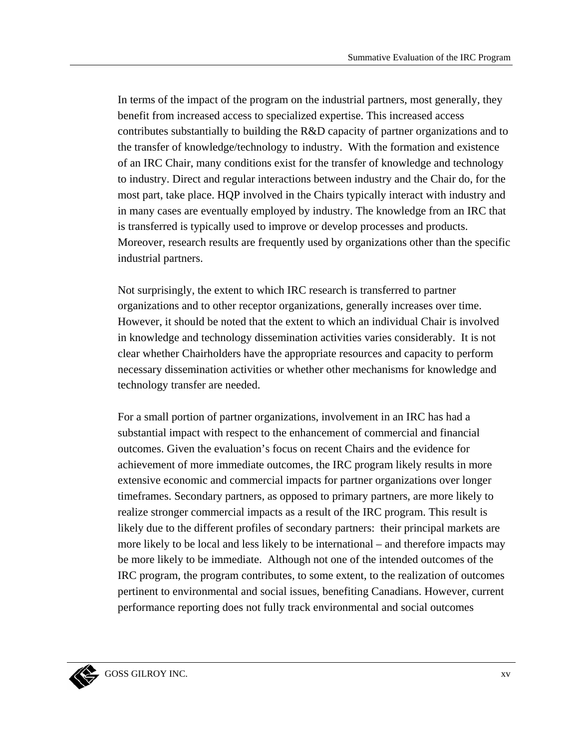In terms of the impact of the program on the industrial partners, most generally, they benefit from increased access to specialized expertise. This increased access contributes substantially to building the R&D capacity of partner organizations and to the transfer of knowledge/technology to industry. With the formation and existence of an IRC Chair, many conditions exist for the transfer of knowledge and technology to industry. Direct and regular interactions between industry and the Chair do, for the most part, take place. HQP involved in the Chairs typically interact with industry and in many cases are eventually employed by industry. The knowledge from an IRC that is transferred is typically used to improve or develop processes and products. Moreover, research results are frequently used by organizations other than the specific industrial partners.

Not surprisingly, the extent to which IRC research is transferred to partner organizations and to other receptor organizations, generally increases over time. However, it should be noted that the extent to which an individual Chair is involved in knowledge and technology dissemination activities varies considerably. It is not clear whether Chairholders have the appropriate resources and capacity to perform necessary dissemination activities or whether other mechanisms for knowledge and technology transfer are needed.

For a small portion of partner organizations, involvement in an IRC has had a substantial impact with respect to the enhancement of commercial and financial outcomes. Given the evaluation's focus on recent Chairs and the evidence for achievement of more immediate outcomes, the IRC program likely results in more extensive economic and commercial impacts for partner organizations over longer timeframes. Secondary partners, as opposed to primary partners, are more likely to realize stronger commercial impacts as a result of the IRC program. This result is likely due to the different profiles of secondary partners: their principal markets are more likely to be local and less likely to be international – and therefore impacts may be more likely to be immediate. Although not one of the intended outcomes of the IRC program, the program contributes, to some extent, to the realization of outcomes pertinent to environmental and social issues, benefiting Canadians. However, current performance reporting does not fully track environmental and social outcomes

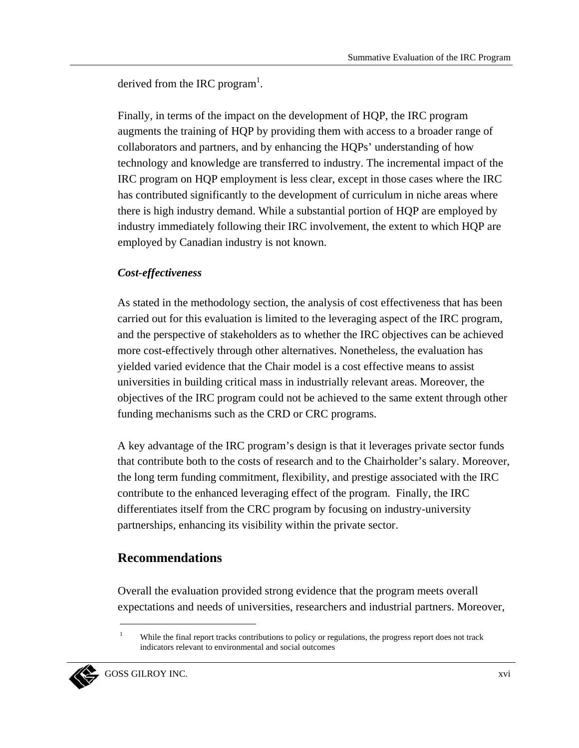derived from the IRC program<sup>1</sup>.

Finally, in terms of the impact on the development of HQP, the IRC program augments the training of HQP by providing them with access to a broader range of collaborators and partners, and by enhancing the HQPs' understanding of how technology and knowledge are transferred to industry. The incremental impact of the IRC program on HQP employment is less clear, except in those cases where the IRC has contributed significantly to the development of curriculum in niche areas where there is high industry demand. While a substantial portion of HQP are employed by industry immediately following their IRC involvement, the extent to which HQP are employed by Canadian industry is not known.

#### *Cost-effectiveness*

As stated in the methodology section, the analysis of cost effectiveness that has been carried out for this evaluation is limited to the leveraging aspect of the IRC program, and the perspective of stakeholders as to whether the IRC objectives can be achieved more cost-effectively through other alternatives. Nonetheless, the evaluation has yielded varied evidence that the Chair model is a cost effective means to assist universities in building critical mass in industrially relevant areas. Moreover, the objectives of the IRC program could not be achieved to the same extent through other funding mechanisms such as the CRD or CRC programs.

A key advantage of the IRC program's design is that it leverages private sector funds that contribute both to the costs of research and to the Chairholder's salary. Moreover, the long term funding commitment, flexibility, and prestige associated with the IRC contribute to the enhanced leveraging effect of the program. Finally, the IRC differentiates itself from the CRC program by focusing on industry-university partnerships, enhancing its visibility within the private sector.

### **Recommendations**

Overall the evaluation provided strong evidence that the program meets overall expectations and needs of universities, researchers and industrial partners. Moreover,

<sup>1</sup> While the final report tracks contributions to policy or regulations, the progress report does not track indicators relevant to environmental and social outcomes



 $\overline{a}$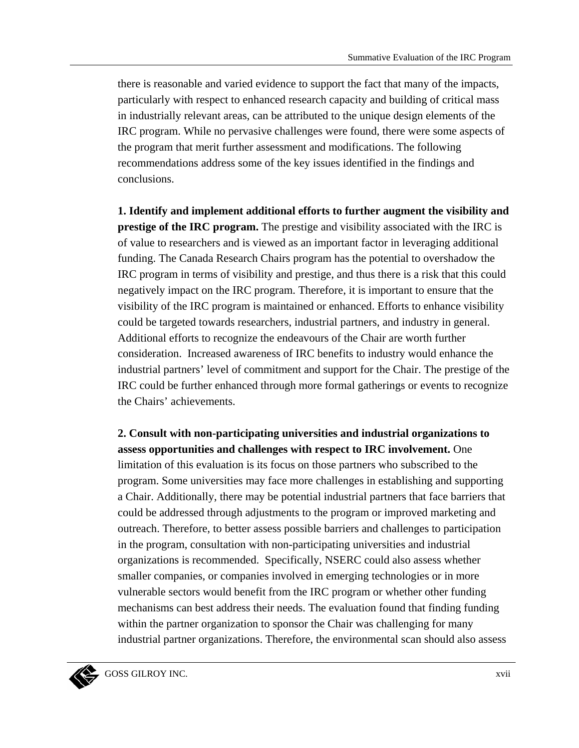there is reasonable and varied evidence to support the fact that many of the impacts, particularly with respect to enhanced research capacity and building of critical mass in industrially relevant areas, can be attributed to the unique design elements of the IRC program. While no pervasive challenges were found, there were some aspects of the program that merit further assessment and modifications. The following recommendations address some of the key issues identified in the findings and conclusions.

**1. Identify and implement additional efforts to further augment the visibility and prestige of the IRC program.** The prestige and visibility associated with the IRC is of value to researchers and is viewed as an important factor in leveraging additional funding. The Canada Research Chairs program has the potential to overshadow the IRC program in terms of visibility and prestige, and thus there is a risk that this could negatively impact on the IRC program. Therefore, it is important to ensure that the visibility of the IRC program is maintained or enhanced. Efforts to enhance visibility could be targeted towards researchers, industrial partners, and industry in general. Additional efforts to recognize the endeavours of the Chair are worth further consideration. Increased awareness of IRC benefits to industry would enhance the industrial partners' level of commitment and support for the Chair. The prestige of the IRC could be further enhanced through more formal gatherings or events to recognize the Chairs' achievements.

### **2. Consult with non-participating universities and industrial organizations to assess opportunities and challenges with respect to IRC involvement.** One

limitation of this evaluation is its focus on those partners who subscribed to the program. Some universities may face more challenges in establishing and supporting a Chair. Additionally, there may be potential industrial partners that face barriers that could be addressed through adjustments to the program or improved marketing and outreach. Therefore, to better assess possible barriers and challenges to participation in the program, consultation with non-participating universities and industrial organizations is recommended. Specifically, NSERC could also assess whether smaller companies, or companies involved in emerging technologies or in more vulnerable sectors would benefit from the IRC program or whether other funding mechanisms can best address their needs. The evaluation found that finding funding within the partner organization to sponsor the Chair was challenging for many industrial partner organizations. Therefore, the environmental scan should also assess

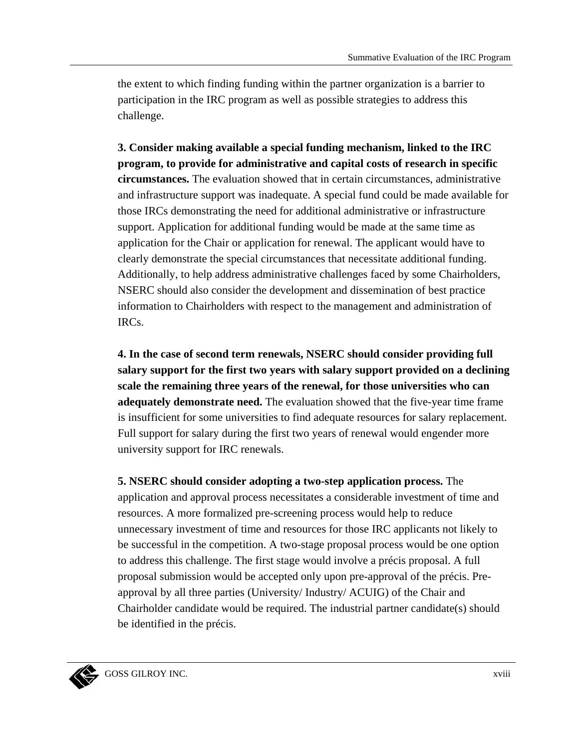the extent to which finding funding within the partner organization is a barrier to participation in the IRC program as well as possible strategies to address this challenge.

**3. Consider making available a special funding mechanism, linked to the IRC program, to provide for administrative and capital costs of research in specific circumstances.** The evaluation showed that in certain circumstances, administrative and infrastructure support was inadequate. A special fund could be made available for those IRCs demonstrating the need for additional administrative or infrastructure support. Application for additional funding would be made at the same time as application for the Chair or application for renewal. The applicant would have to clearly demonstrate the special circumstances that necessitate additional funding. Additionally, to help address administrative challenges faced by some Chairholders, NSERC should also consider the development and dissemination of best practice information to Chairholders with respect to the management and administration of IRCs.

**4. In the case of second term renewals, NSERC should consider providing full salary support for the first two years with salary support provided on a declining scale the remaining three years of the renewal, for those universities who can adequately demonstrate need.** The evaluation showed that the five-year time frame is insufficient for some universities to find adequate resources for salary replacement. Full support for salary during the first two years of renewal would engender more university support for IRC renewals.

**5. NSERC should consider adopting a two-step application process.** The application and approval process necessitates a considerable investment of time and resources. A more formalized pre-screening process would help to reduce unnecessary investment of time and resources for those IRC applicants not likely to be successful in the competition. A two-stage proposal process would be one option to address this challenge. The first stage would involve a précis proposal. A full proposal submission would be accepted only upon pre-approval of the précis. Preapproval by all three parties (University/ Industry/ ACUIG) of the Chair and Chairholder candidate would be required. The industrial partner candidate(s) should be identified in the précis.

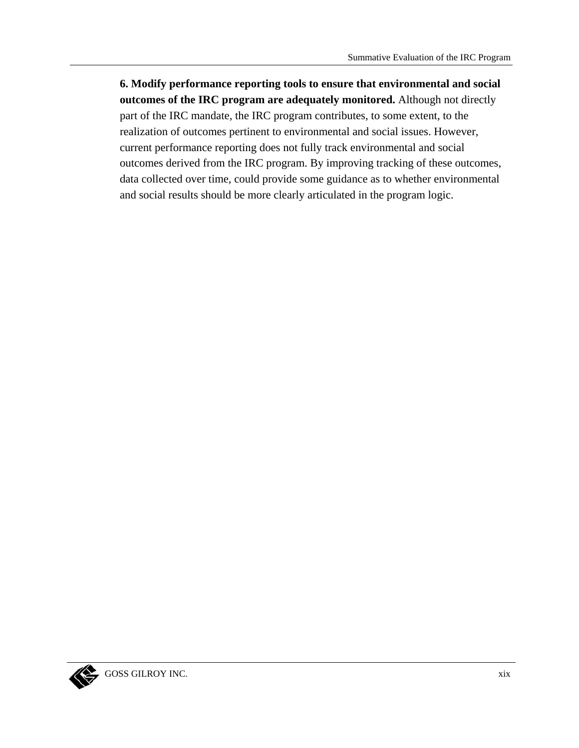**6. Modify performance reporting tools to ensure that environmental and social outcomes of the IRC program are adequately monitored.** Although not directly part of the IRC mandate, the IRC program contributes, to some extent, to the realization of outcomes pertinent to environmental and social issues. However, current performance reporting does not fully track environmental and social outcomes derived from the IRC program. By improving tracking of these outcomes, data collected over time, could provide some guidance as to whether environmental and social results should be more clearly articulated in the program logic.

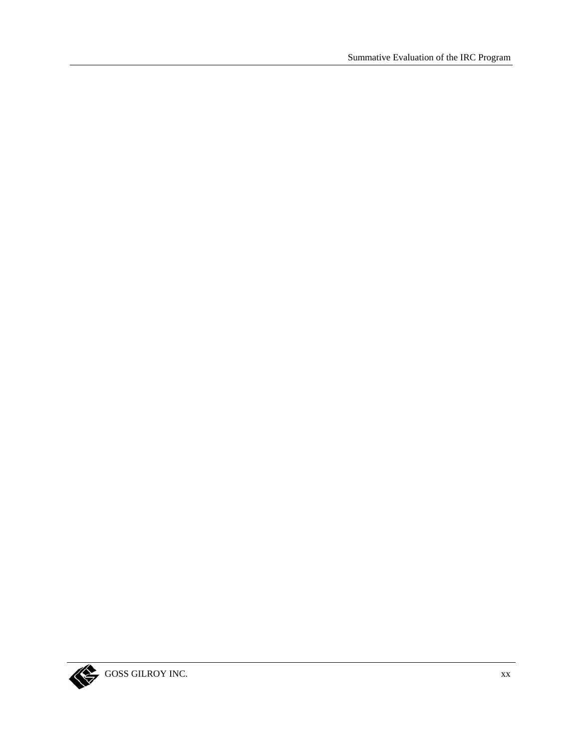Summative Evaluation of the IRC Program

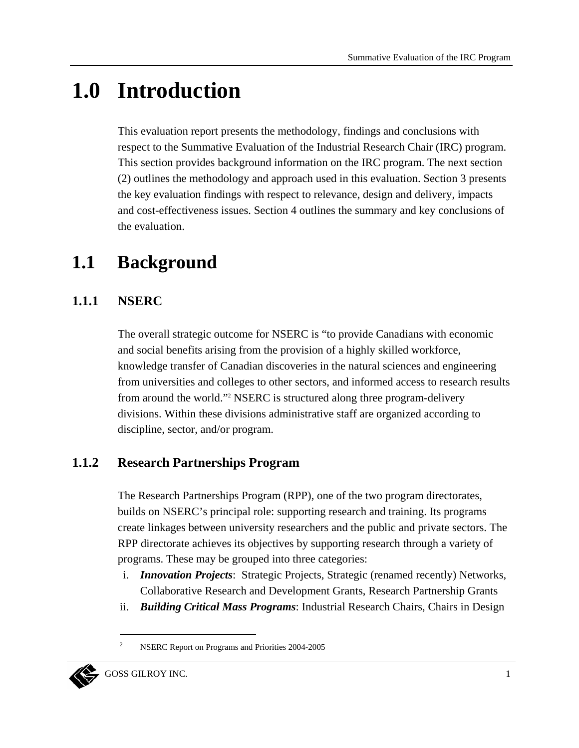# **1.0 Introduction**

This evaluation report presents the methodology, findings and conclusions with respect to the Summative Evaluation of the Industrial Research Chair (IRC) program. This section provides background information on the IRC program. The next section (2) outlines the methodology and approach used in this evaluation. Section 3 presents the key evaluation findings with respect to relevance, design and delivery, impacts and cost-effectiveness issues. Section 4 outlines the summary and key conclusions of the evaluation.

# **1.1 Background**

### **1.1.1 NSERC**

The overall strategic outcome for NSERC is "to provide Canadians with economic and social benefits arising from the provision of a highly skilled workforce, knowledge transfer of Canadian discoveries in the natural sciences and engineering from universities and colleges to other sectors, and informed access to research results from around the world."<sup>2</sup> NSERC is structured along three program-delivery divisions. Within these divisions administrative staff are organized according to discipline, sector, and/or program.

### **1.1.2 Research Partnerships Program**

The Research Partnerships Program (RPP), one of the two program directorates, builds on NSERC's principal role: supporting research and training. Its programs create linkages between university researchers and the public and private sectors. The RPP directorate achieves its objectives by supporting research through a variety of programs. These may be grouped into three categories:

- i. *Innovation Projects*: Strategic Projects, Strategic (renamed recently) Networks, Collaborative Research and Development Grants, Research Partnership Grants
- ii. *Building Critical Mass Programs*: Industrial Research Chairs, Chairs in Design

<sup>2</sup> NSERC Report on Programs and Priorities 2004-2005



 $\overline{a}$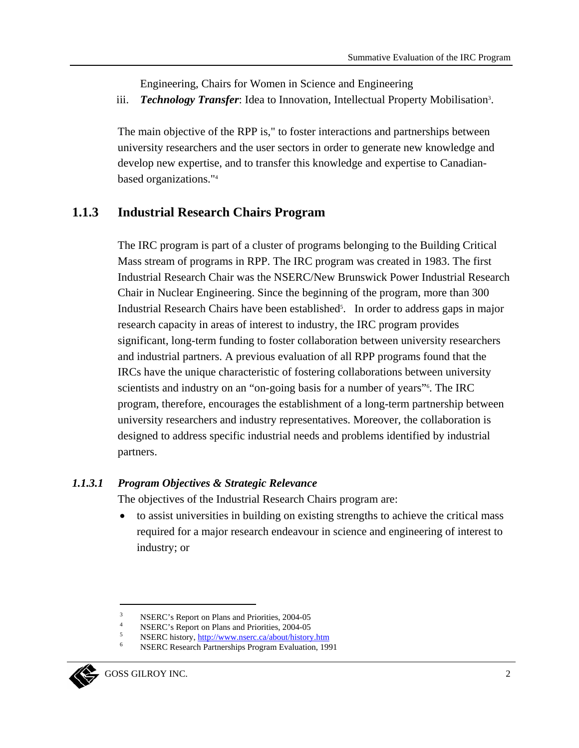Engineering, Chairs for Women in Science and Engineering

iii. Technology Transfer: Idea to Innovation, Intellectual Property Mobilisation<sup>3</sup>.

The main objective of the RPP is," to foster interactions and partnerships between university researchers and the user sectors in order to generate new knowledge and develop new expertise, and to transfer this knowledge and expertise to Canadianbased organizations."4

### **1.1.3 Industrial Research Chairs Program**

The IRC program is part of a cluster of programs belonging to the Building Critical Mass stream of programs in RPP. The IRC program was created in 1983. The first Industrial Research Chair was the NSERC/New Brunswick Power Industrial Research Chair in Nuclear Engineering. Since the beginning of the program, more than 300 Industrial Research Chairs have been established<sup>5</sup>. In order to address gaps in major research capacity in areas of interest to industry, the IRC program provides significant, long-term funding to foster collaboration between university researchers and industrial partners. A previous evaluation of all RPP programs found that the IRCs have the unique characteristic of fostering collaborations between university scientists and industry on an "on-going basis for a number of years"<sup>6</sup>. The IRC program, therefore, encourages the establishment of a long-term partnership between university researchers and industry representatives. Moreover, the collaboration is designed to address specific industrial needs and problems identified by industrial partners.

### *1.1.3.1 Program Objectives & Strategic Relevance*

The objectives of the Industrial Research Chairs program are:

• to assist universities in building on existing strengths to achieve the critical mass required for a major research endeavour in science and engineering of interest to industry; or

NSERC Research Partnerships Program Evaluation, 1991



 $\overline{a}$ 

<sup>3</sup> NSERC's Report on Plans and Priorities, 2004-05

<sup>4</sup> NSERC's Report on Plans and Priorities, 2004-05

<sup>5</sup> S<br> $\frac{5}{6}$  NSERC history, http://www.nserc.ca/about/history.htm 6<br>NSERC Because Bertrerships Because Evaluation 100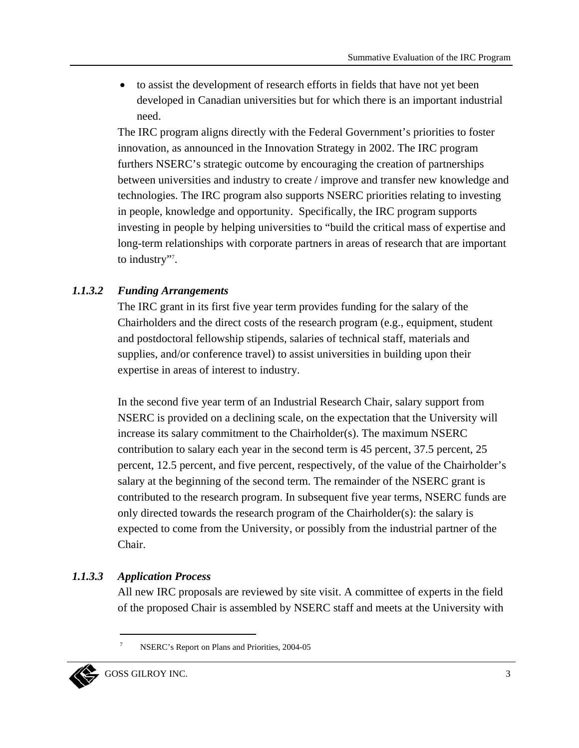• to assist the development of research efforts in fields that have not yet been developed in Canadian universities but for which there is an important industrial need.

The IRC program aligns directly with the Federal Government's priorities to foster innovation, as announced in the Innovation Strategy in 2002. The IRC program furthers NSERC's strategic outcome by encouraging the creation of partnerships between universities and industry to create / improve and transfer new knowledge and technologies. The IRC program also supports NSERC priorities relating to investing in people, knowledge and opportunity. Specifically, the IRC program supports investing in people by helping universities to "build the critical mass of expertise and long-term relationships with corporate partners in areas of research that are important to industry"<sup>7</sup>.

### *1.1.3.2 Funding Arrangements*

The IRC grant in its first five year term provides funding for the salary of the Chairholders and the direct costs of the research program (e.g., equipment, student and postdoctoral fellowship stipends, salaries of technical staff, materials and supplies, and/or conference travel) to assist universities in building upon their expertise in areas of interest to industry.

In the second five year term of an Industrial Research Chair, salary support from NSERC is provided on a declining scale, on the expectation that the University will increase its salary commitment to the Chairholder(s). The maximum NSERC contribution to salary each year in the second term is 45 percent, 37.5 percent, 25 percent, 12.5 percent, and five percent, respectively, of the value of the Chairholder's salary at the beginning of the second term. The remainder of the NSERC grant is contributed to the research program. In subsequent five year terms, NSERC funds are only directed towards the research program of the Chairholder(s): the salary is expected to come from the University, or possibly from the industrial partner of the Chair.

### *1.1.3.3 Application Process*

 $\overline{a}$ 

All new IRC proposals are reviewed by site visit. A committee of experts in the field of the proposed Chair is assembled by NSERC staff and meets at the University with

<sup>7</sup> NSERC's Report on Plans and Priorities, 2004-05

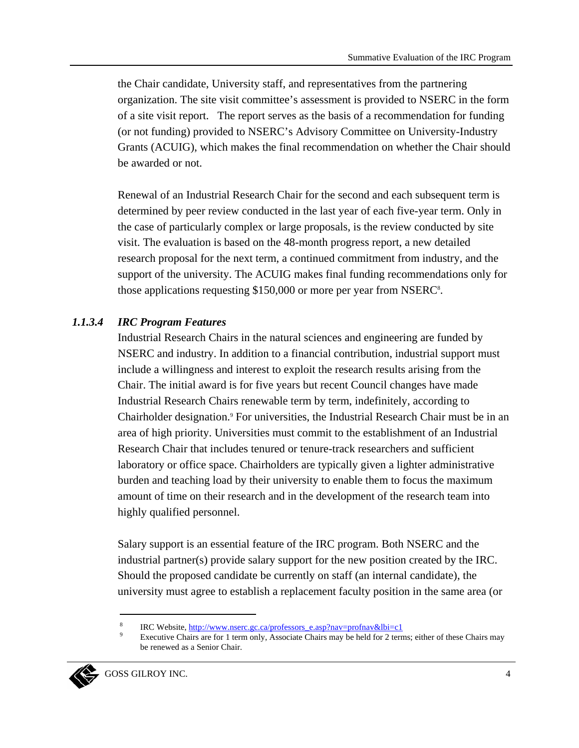the Chair candidate, University staff, and representatives from the partnering organization. The site visit committee's assessment is provided to NSERC in the form of a site visit report. The report serves as the basis of a recommendation for funding (or not funding) provided to NSERC's Advisory Committee on University-Industry Grants (ACUIG), which makes the final recommendation on whether the Chair should be awarded or not.

Renewal of an Industrial Research Chair for the second and each subsequent term is determined by peer review conducted in the last year of each five-year term. Only in the case of particularly complex or large proposals, is the review conducted by site visit. The evaluation is based on the 48-month progress report, a new detailed research proposal for the next term, a continued commitment from industry, and the support of the university. The ACUIG makes final funding recommendations only for those applications requesting  $$150,000$  or more per year from NSERC<sup>8</sup>.

### *1.1.3.4 IRC Program Features*

Industrial Research Chairs in the natural sciences and engineering are funded by NSERC and industry. In addition to a financial contribution, industrial support must include a willingness and interest to exploit the research results arising from the Chair. The initial award is for five years but recent Council changes have made Industrial Research Chairs renewable term by term, indefinitely, according to Chairholder designation.<sup>9</sup> For universities, the Industrial Research Chair must be in an area of high priority. Universities must commit to the establishment of an Industrial Research Chair that includes tenured or tenure-track researchers and sufficient laboratory or office space. Chairholders are typically given a lighter administrative burden and teaching load by their university to enable them to focus the maximum amount of time on their research and in the development of the research team into highly qualified personnel.

Salary support is an essential feature of the IRC program. Both NSERC and the industrial partner(s) provide salary support for the new position created by the IRC. Should the proposed candidate be currently on staff (an internal candidate), the university must agree to establish a replacement faculty position in the same area (or

Executive Chairs are for 1 term only, Associate Chairs may be held for 2 terms; either of these Chairs may be renewed as a Senior Chair.



 $\overline{a}$ 

<sup>8</sup> IRC Website, http://www.nserc.gc.ca/professors\_e.asp?nav=profnav&lbi=c1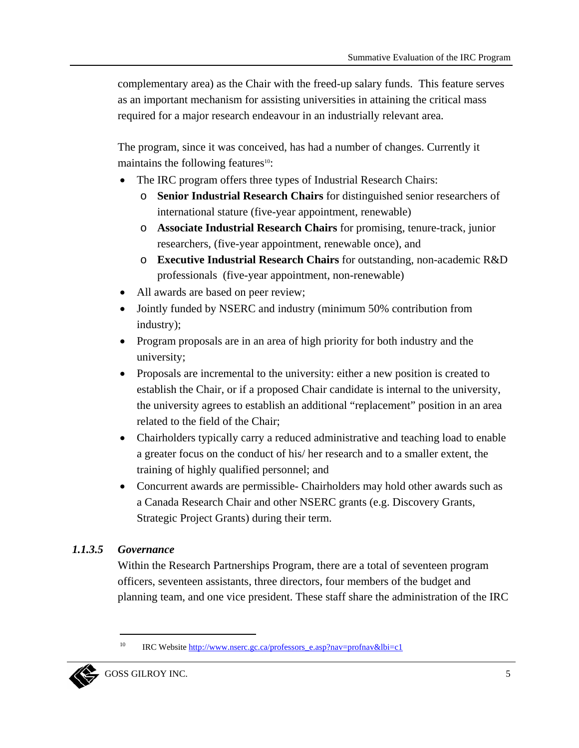complementary area) as the Chair with the freed-up salary funds. This feature serves as an important mechanism for assisting universities in attaining the critical mass required for a major research endeavour in an industrially relevant area.

The program, since it was conceived, has had a number of changes. Currently it maintains the following features $10$ :

- The IRC program offers three types of Industrial Research Chairs:
	- o **Senior Industrial Research Chairs** for distinguished senior researchers of international stature (five-year appointment, renewable)
	- o **Associate Industrial Research Chairs** for promising, tenure-track, junior researchers, (five-year appointment, renewable once), and
	- o **Executive Industrial Research Chairs** for outstanding, non-academic R&D professionals (five-year appointment, non-renewable)
- All awards are based on peer review;
- Jointly funded by NSERC and industry (minimum 50% contribution from industry);
- Program proposals are in an area of high priority for both industry and the university;
- Proposals are incremental to the university: either a new position is created to establish the Chair, or if a proposed Chair candidate is internal to the university, the university agrees to establish an additional "replacement" position in an area related to the field of the Chair;
- Chairholders typically carry a reduced administrative and teaching load to enable a greater focus on the conduct of his/ her research and to a smaller extent, the training of highly qualified personnel; and
- Concurrent awards are permissible- Chairholders may hold other awards such as a Canada Research Chair and other NSERC grants (e.g. Discovery Grants, Strategic Project Grants) during their term.

### *1.1.3.5 Governance*

 $\overline{a}$ 

Within the Research Partnerships Program, there are a total of seventeen program officers, seventeen assistants, three directors, four members of the budget and planning team, and one vice president. These staff share the administration of the IRC

<sup>&</sup>lt;sup>10</sup> IRC Website http://www.nserc.gc.ca/professors\_e.asp?nav=profnav&lbi=c1

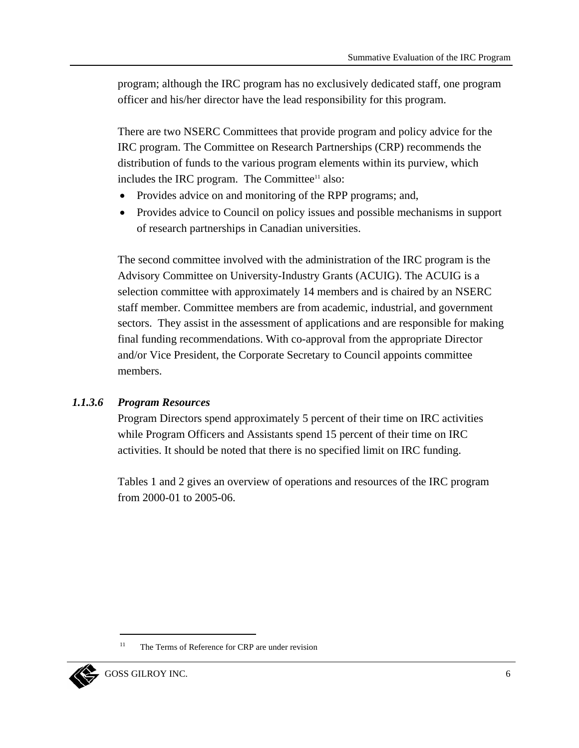program; although the IRC program has no exclusively dedicated staff, one program officer and his/her director have the lead responsibility for this program.

There are two NSERC Committees that provide program and policy advice for the IRC program. The Committee on Research Partnerships (CRP) recommends the distribution of funds to the various program elements within its purview, which includes the IRC program. The Committee<sup>11</sup> also:

- Provides advice on and monitoring of the RPP programs; and,
- Provides advice to Council on policy issues and possible mechanisms in support of research partnerships in Canadian universities.

The second committee involved with the administration of the IRC program is the Advisory Committee on University-Industry Grants (ACUIG). The ACUIG is a selection committee with approximately 14 members and is chaired by an NSERC staff member. Committee members are from academic, industrial, and government sectors. They assist in the assessment of applications and are responsible for making final funding recommendations. With co-approval from the appropriate Director and/or Vice President, the Corporate Secretary to Council appoints committee members.

### *1.1.3.6 Program Resources*

Program Directors spend approximately 5 percent of their time on IRC activities while Program Officers and Assistants spend 15 percent of their time on IRC activities. It should be noted that there is no specified limit on IRC funding.

Tables 1 and 2 gives an overview of operations and resources of the IRC program from 2000-01 to 2005-06.

<sup>&</sup>lt;sup>11</sup> The Terms of Reference for CRP are under revision



 $\overline{a}$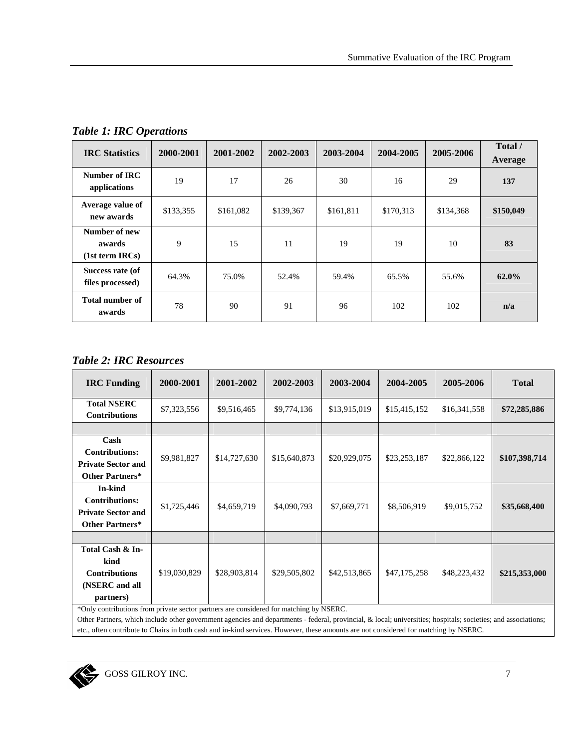| <b>IRC</b> Statistics                      | 2000-2001 | 2001-2002 | 2002-2003 | 2003-2004 | 2004-2005 | 2005-2006 | Total /<br>Average |
|--------------------------------------------|-----------|-----------|-----------|-----------|-----------|-----------|--------------------|
| Number of IRC<br>applications              | 19        | 17        | 26        | 30        | 16        | 29        | 137                |
| Average value of<br>new awards             | \$133,355 | \$161,082 | \$139,367 | \$161,811 | \$170,313 | \$134,368 | \$150,049          |
| Number of new<br>awards<br>(1st term IRCs) | 9         | 15        | 11        | 19        | 19        | 10        | 83                 |
| Success rate (of<br>files processed)       | 64.3%     | 75.0%     | 52.4%     | 59.4%     | 65.5%     | 55.6%     | $62.0\%$           |
| <b>Total number of</b><br>awards           | 78        | 90        | 91        | 96        | 102       | 102       | n/a                |

*Table 1: IRC Operations* 

*Table 2: IRC Resources* 

| <b>IRC</b> Funding                                                                                                       | 2000-2001                  | 2001-2002                   | 2002-2003                   | 2003-2004                   | 2004-2005                   | 2005-2006                   | <b>Total</b>                  |
|--------------------------------------------------------------------------------------------------------------------------|----------------------------|-----------------------------|-----------------------------|-----------------------------|-----------------------------|-----------------------------|-------------------------------|
| <b>Total NSERC</b><br><b>Contributions</b>                                                                               | \$7,323,556                | \$9,516,465                 | \$9,774,136                 | \$13,915,019                | \$15,415,152                | \$16,341,558                | \$72,285,886                  |
|                                                                                                                          |                            |                             |                             |                             |                             |                             |                               |
| Cash<br><b>Contributions:</b><br><b>Private Sector and</b><br><b>Other Partners*</b><br>In-kind<br><b>Contributions:</b> | \$9,981,827<br>\$1,725,446 | \$14,727,630<br>\$4,659,719 | \$15,640,873<br>\$4,090,793 | \$20,929,075<br>\$7,669,771 | \$23,253,187<br>\$8,506,919 | \$22,866,122<br>\$9,015,752 | \$107,398,714<br>\$35,668,400 |
| <b>Private Sector and</b><br><b>Other Partners*</b>                                                                      |                            |                             |                             |                             |                             |                             |                               |
|                                                                                                                          |                            |                             |                             |                             |                             |                             |                               |
| Total Cash & In-<br>kind<br><b>Contributions</b><br>(NSERC and all<br>partners)                                          | \$19,030,829               | \$28,903,814                | \$29,505,802                | \$42,513,865                | \$47,175,258                | \$48,223,432                | \$215,353,000                 |

\*Only contributions from private sector partners are considered for matching by NSERC.

Other Partners, which include other government agencies and departments - federal, provincial, & local; universities; hospitals; societies; and associations; etc., often contribute to Chairs in both cash and in-kind services. However, these amounts are not considered for matching by NSERC.

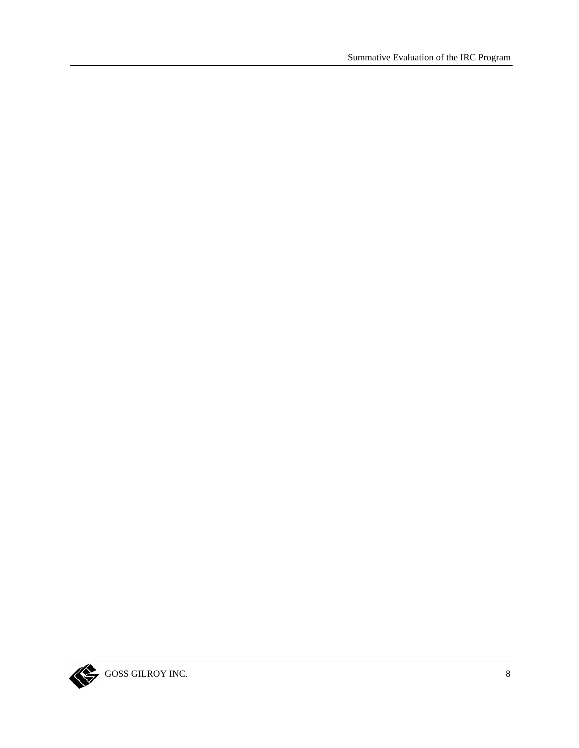Summative Evaluation of the IRC Program

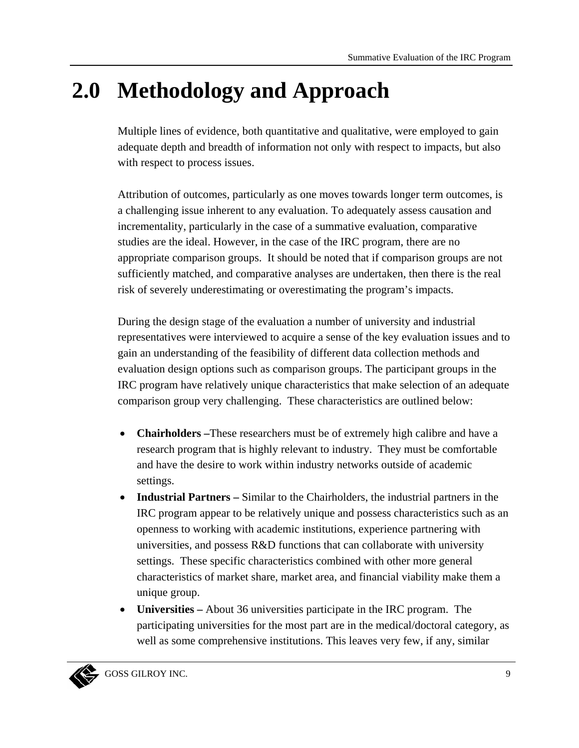# **2.0 Methodology and Approach**

Multiple lines of evidence, both quantitative and qualitative, were employed to gain adequate depth and breadth of information not only with respect to impacts, but also with respect to process issues.

Attribution of outcomes, particularly as one moves towards longer term outcomes, is a challenging issue inherent to any evaluation. To adequately assess causation and incrementality, particularly in the case of a summative evaluation, comparative studies are the ideal. However, in the case of the IRC program, there are no appropriate comparison groups. It should be noted that if comparison groups are not sufficiently matched, and comparative analyses are undertaken, then there is the real risk of severely underestimating or overestimating the program's impacts.

During the design stage of the evaluation a number of university and industrial representatives were interviewed to acquire a sense of the key evaluation issues and to gain an understanding of the feasibility of different data collection methods and evaluation design options such as comparison groups. The participant groups in the IRC program have relatively unique characteristics that make selection of an adequate comparison group very challenging. These characteristics are outlined below:

- **Chairholders** These researchers must be of extremely high calibre and have a research program that is highly relevant to industry. They must be comfortable and have the desire to work within industry networks outside of academic settings.
- **Industrial Partners** Similar to the Chairholders, the industrial partners in the IRC program appear to be relatively unique and possess characteristics such as an openness to working with academic institutions, experience partnering with universities, and possess R&D functions that can collaborate with university settings. These specific characteristics combined with other more general characteristics of market share, market area, and financial viability make them a unique group.
- **Universities –** About 36 universities participate in the IRC program. The participating universities for the most part are in the medical/doctoral category, as well as some comprehensive institutions. This leaves very few, if any, similar

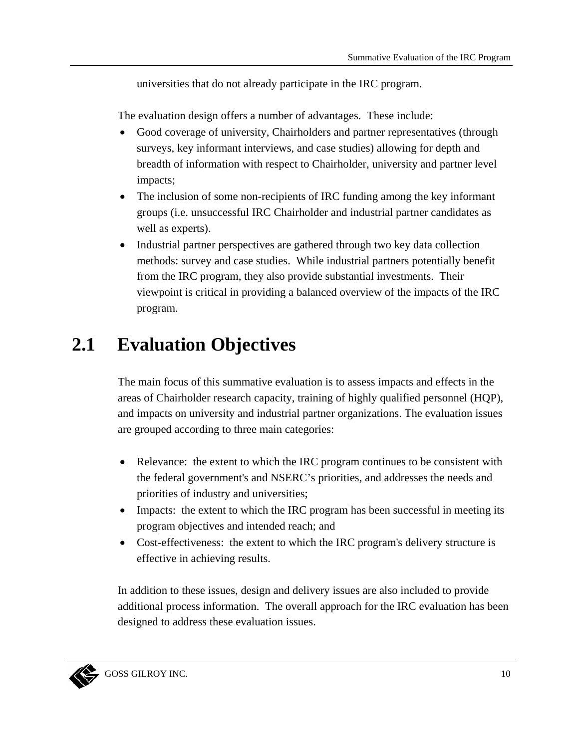universities that do not already participate in the IRC program.

The evaluation design offers a number of advantages. These include:

- Good coverage of university, Chairholders and partner representatives (through surveys, key informant interviews, and case studies) allowing for depth and breadth of information with respect to Chairholder, university and partner level impacts;
- The inclusion of some non-recipients of IRC funding among the key informant groups (i.e. unsuccessful IRC Chairholder and industrial partner candidates as well as experts).
- Industrial partner perspectives are gathered through two key data collection methods: survey and case studies. While industrial partners potentially benefit from the IRC program, they also provide substantial investments. Their viewpoint is critical in providing a balanced overview of the impacts of the IRC program.

## **2.1 Evaluation Objectives**

The main focus of this summative evaluation is to assess impacts and effects in the areas of Chairholder research capacity, training of highly qualified personnel (HQP), and impacts on university and industrial partner organizations. The evaluation issues are grouped according to three main categories:

- Relevance: the extent to which the IRC program continues to be consistent with the federal government's and NSERC's priorities, and addresses the needs and priorities of industry and universities;
- Impacts: the extent to which the IRC program has been successful in meeting its program objectives and intended reach; and
- Cost-effectiveness: the extent to which the IRC program's delivery structure is effective in achieving results.

In addition to these issues, design and delivery issues are also included to provide additional process information. The overall approach for the IRC evaluation has been designed to address these evaluation issues.

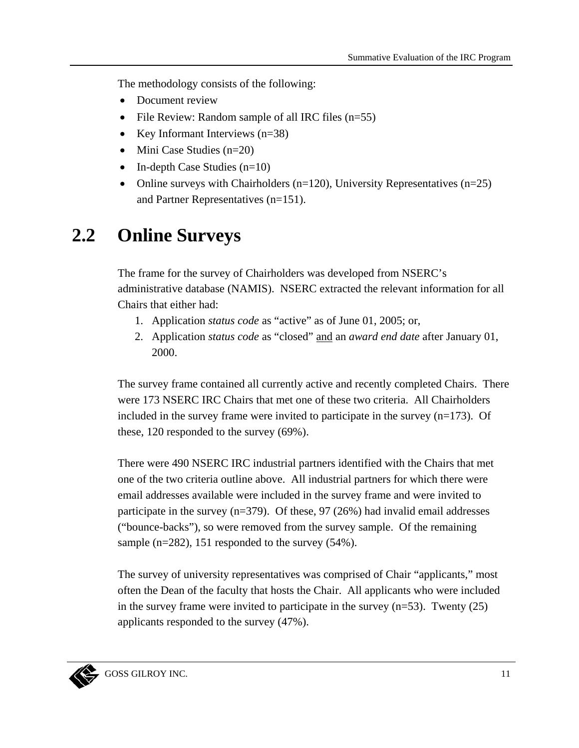The methodology consists of the following:

- Document review
- File Review: Random sample of all IRC files (n=55)
- Key Informant Interviews  $(n=38)$
- Mini Case Studies (n=20)
- In-depth Case Studies (n=10)
- Online surveys with Chairholders (n=120), University Representatives (n=25) and Partner Representatives (n=151).

# **2.2 Online Surveys**

The frame for the survey of Chairholders was developed from NSERC's administrative database (NAMIS). NSERC extracted the relevant information for all Chairs that either had:

- 1. Application *status code* as "active" as of June 01, 2005; or,
- 2. Application *status code* as "closed" and an *award end date* after January 01, 2000.

The survey frame contained all currently active and recently completed Chairs. There were 173 NSERC IRC Chairs that met one of these two criteria. All Chairholders included in the survey frame were invited to participate in the survey  $(n=173)$ . Of these, 120 responded to the survey (69%).

There were 490 NSERC IRC industrial partners identified with the Chairs that met one of the two criteria outline above. All industrial partners for which there were email addresses available were included in the survey frame and were invited to participate in the survey  $(n=379)$ . Of these, 97 (26%) had invalid email addresses ("bounce-backs"), so were removed from the survey sample. Of the remaining sample (n=282), 151 responded to the survey (54%).

The survey of university representatives was comprised of Chair "applicants," most often the Dean of the faculty that hosts the Chair. All applicants who were included in the survey frame were invited to participate in the survey  $(n=53)$ . Twenty  $(25)$ applicants responded to the survey (47%).

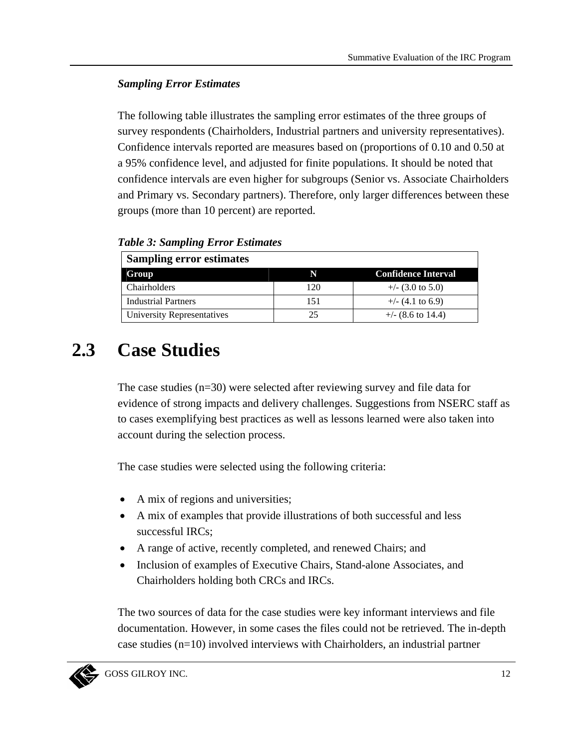### *Sampling Error Estimates*

The following table illustrates the sampling error estimates of the three groups of survey respondents (Chairholders, Industrial partners and university representatives). Confidence intervals reported are measures based on (proportions of 0.10 and 0.50 at a 95% confidence level, and adjusted for finite populations. It should be noted that confidence intervals are even higher for subgroups (Senior vs. Associate Chairholders and Primary vs. Secondary partners). Therefore, only larger differences between these groups (more than 10 percent) are reported.

| <b>Sampling error estimates</b> |     |                              |  |  |  |  |
|---------------------------------|-----|------------------------------|--|--|--|--|
| Group                           | N   | <b>Confidence Interval</b>   |  |  |  |  |
| <b>Chairholders</b>             | 120 | $+/-$ (3.0 to 5.0)           |  |  |  |  |
| <b>Industrial Partners</b>      | 151 | $+/-$ (4.1 to 6.9)           |  |  |  |  |
| University Representatives      | 25  | $+/- (8.6 \text{ to } 14.4)$ |  |  |  |  |

 *Table 3: Sampling Error Estimates* 

## **2.3 Case Studies**

The case studies (n=30) were selected after reviewing survey and file data for evidence of strong impacts and delivery challenges. Suggestions from NSERC staff as to cases exemplifying best practices as well as lessons learned were also taken into account during the selection process.

The case studies were selected using the following criteria:

- A mix of regions and universities;
- A mix of examples that provide illustrations of both successful and less successful IRCs;
- A range of active, recently completed, and renewed Chairs; and
- Inclusion of examples of Executive Chairs, Stand-alone Associates, and Chairholders holding both CRCs and IRCs.

The two sources of data for the case studies were key informant interviews and file documentation. However, in some cases the files could not be retrieved. The in-depth case studies (n=10) involved interviews with Chairholders, an industrial partner

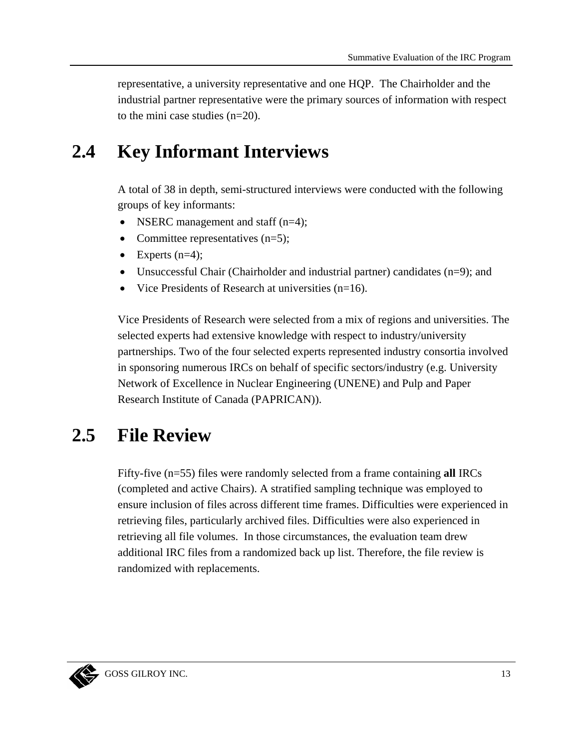representative, a university representative and one HQP. The Chairholder and the industrial partner representative were the primary sources of information with respect to the mini case studies (n=20).

# **2.4 Key Informant Interviews**

A total of 38 in depth, semi-structured interviews were conducted with the following groups of key informants:

- NSERC management and staff (n=4);
- Committee representatives (n=5);
- Experts  $(n=4)$ ;
- Unsuccessful Chair (Chairholder and industrial partner) candidates  $(n=9)$ ; and
- Vice Presidents of Research at universities  $(n=16)$ .

Vice Presidents of Research were selected from a mix of regions and universities. The selected experts had extensive knowledge with respect to industry/university partnerships. Two of the four selected experts represented industry consortia involved in sponsoring numerous IRCs on behalf of specific sectors/industry (e.g. University Network of Excellence in Nuclear Engineering (UNENE) and Pulp and Paper Research Institute of Canada (PAPRICAN)).

### **2.5 File Review**

Fifty-five (n=55) files were randomly selected from a frame containing **all** IRCs (completed and active Chairs). A stratified sampling technique was employed to ensure inclusion of files across different time frames. Difficulties were experienced in retrieving files, particularly archived files. Difficulties were also experienced in retrieving all file volumes. In those circumstances, the evaluation team drew additional IRC files from a randomized back up list. Therefore, the file review is randomized with replacements.

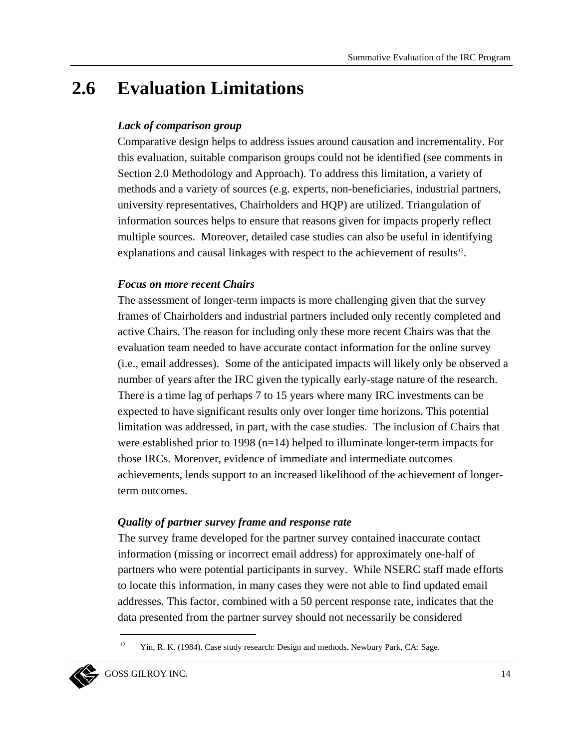## **2.6 Evaluation Limitations**

#### *Lack of comparison group*

Comparative design helps to address issues around causation and incrementality. For this evaluation, suitable comparison groups could not be identified (see comments in Section 2.0 Methodology and Approach). To address this limitation, a variety of methods and a variety of sources (e.g. experts, non-beneficiaries, industrial partners, university representatives, Chairholders and HQP) are utilized. Triangulation of information sources helps to ensure that reasons given for impacts properly reflect multiple sources. Moreover, detailed case studies can also be useful in identifying explanations and causal linkages with respect to the achievement of results<sup>12</sup>.

#### *Focus on more recent Chairs*

The assessment of longer-term impacts is more challenging given that the survey frames of Chairholders and industrial partners included only recently completed and active Chairs. The reason for including only these more recent Chairs was that the evaluation team needed to have accurate contact information for the online survey (i.e., email addresses). Some of the anticipated impacts will likely only be observed a number of years after the IRC given the typically early-stage nature of the research. There is a time lag of perhaps 7 to 15 years where many IRC investments can be expected to have significant results only over longer time horizons. This potential limitation was addressed, in part, with the case studies. The inclusion of Chairs that were established prior to 1998 (n=14) helped to illuminate longer-term impacts for those IRCs. Moreover, evidence of immediate and intermediate outcomes achievements, lends support to an increased likelihood of the achievement of longerterm outcomes.

#### *Quality of partner survey frame and response rate*

The survey frame developed for the partner survey contained inaccurate contact information (missing or incorrect email address) for approximately one-half of partners who were potential participants in survey. While NSERC staff made efforts to locate this information, in many cases they were not able to find updated email addresses. This factor, combined with a 50 percent response rate, indicates that the data presented from the partner survey should not necessarily be considered

<sup>&</sup>lt;sup>12</sup> Yin, R. K. (1984). Case study research: Design and methods. Newbury Park, CA: Sage.



 $\overline{a}$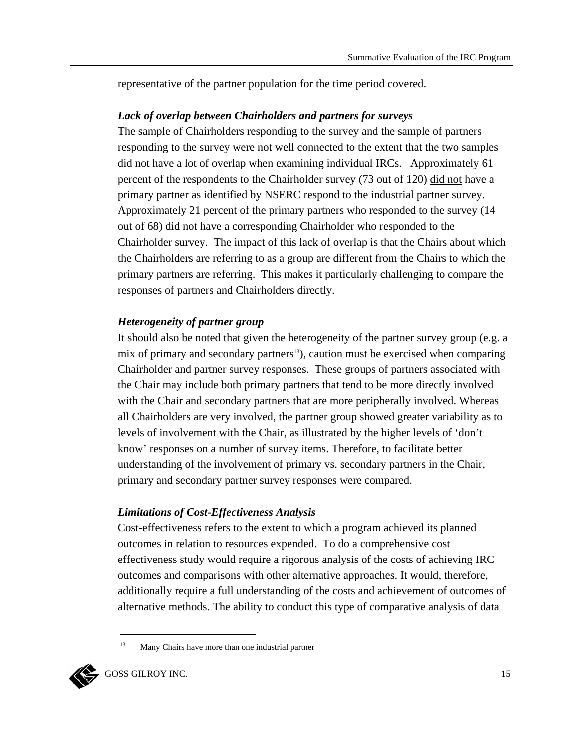representative of the partner population for the time period covered.

#### *Lack of overlap between Chairholders and partners for surveys*

The sample of Chairholders responding to the survey and the sample of partners responding to the survey were not well connected to the extent that the two samples did not have a lot of overlap when examining individual IRCs. Approximately 61 percent of the respondents to the Chairholder survey (73 out of 120) did not have a primary partner as identified by NSERC respond to the industrial partner survey. Approximately 21 percent of the primary partners who responded to the survey (14 out of 68) did not have a corresponding Chairholder who responded to the Chairholder survey. The impact of this lack of overlap is that the Chairs about which the Chairholders are referring to as a group are different from the Chairs to which the primary partners are referring. This makes it particularly challenging to compare the responses of partners and Chairholders directly.

#### *Heterogeneity of partner group*

It should also be noted that given the heterogeneity of the partner survey group (e.g. a mix of primary and secondary partners<sup>13</sup>), caution must be exercised when comparing Chairholder and partner survey responses. These groups of partners associated with the Chair may include both primary partners that tend to be more directly involved with the Chair and secondary partners that are more peripherally involved. Whereas all Chairholders are very involved, the partner group showed greater variability as to levels of involvement with the Chair, as illustrated by the higher levels of 'don't know' responses on a number of survey items. Therefore, to facilitate better understanding of the involvement of primary vs. secondary partners in the Chair, primary and secondary partner survey responses were compared.

#### *Limitations of Cost-Effectiveness Analysis*

Cost-effectiveness refers to the extent to which a program achieved its planned outcomes in relation to resources expended. To do a comprehensive cost effectiveness study would require a rigorous analysis of the costs of achieving IRC outcomes and comparisons with other alternative approaches. It would, therefore, additionally require a full understanding of the costs and achievement of outcomes of alternative methods. The ability to conduct this type of comparative analysis of data

<sup>13</sup> Many Chairs have more than one industrial partner

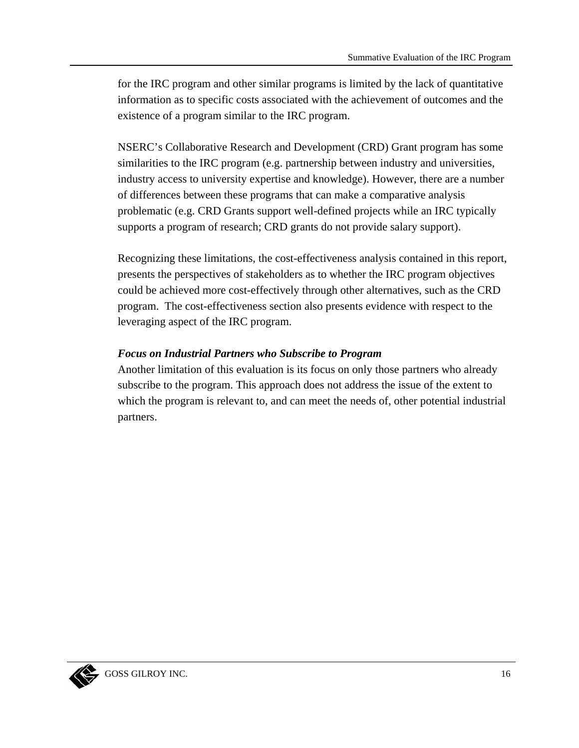for the IRC program and other similar programs is limited by the lack of quantitative information as to specific costs associated with the achievement of outcomes and the existence of a program similar to the IRC program.

NSERC's Collaborative Research and Development (CRD) Grant program has some similarities to the IRC program (e.g. partnership between industry and universities, industry access to university expertise and knowledge). However, there are a number of differences between these programs that can make a comparative analysis problematic (e.g. CRD Grants support well-defined projects while an IRC typically supports a program of research; CRD grants do not provide salary support).

Recognizing these limitations, the cost-effectiveness analysis contained in this report, presents the perspectives of stakeholders as to whether the IRC program objectives could be achieved more cost-effectively through other alternatives, such as the CRD program. The cost-effectiveness section also presents evidence with respect to the leveraging aspect of the IRC program.

#### *Focus on Industrial Partners who Subscribe to Program*

Another limitation of this evaluation is its focus on only those partners who already subscribe to the program. This approach does not address the issue of the extent to which the program is relevant to, and can meet the needs of, other potential industrial partners.

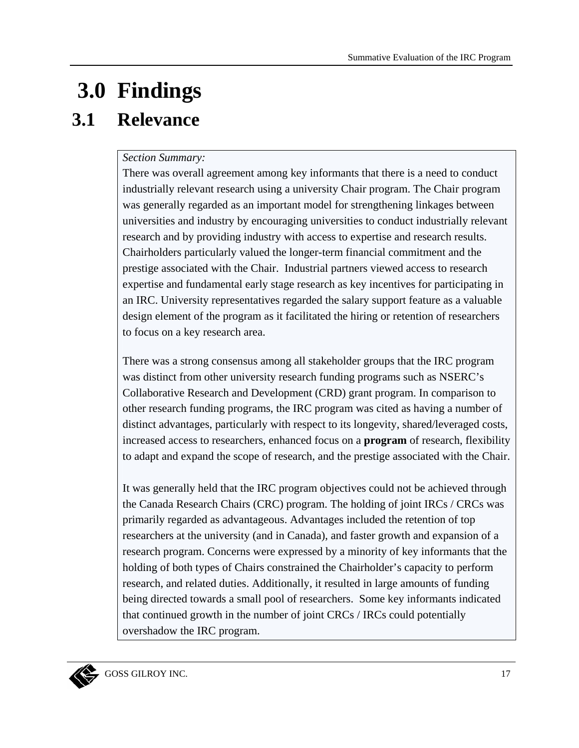# **3.0 Findings**

## **3.1 Relevance**

#### *Section Summary:*

There was overall agreement among key informants that there is a need to conduct industrially relevant research using a university Chair program. The Chair program was generally regarded as an important model for strengthening linkages between universities and industry by encouraging universities to conduct industrially relevant research and by providing industry with access to expertise and research results. Chairholders particularly valued the longer-term financial commitment and the prestige associated with the Chair. Industrial partners viewed access to research expertise and fundamental early stage research as key incentives for participating in an IRC. University representatives regarded the salary support feature as a valuable design element of the program as it facilitated the hiring or retention of researchers to focus on a key research area.

There was a strong consensus among all stakeholder groups that the IRC program was distinct from other university research funding programs such as NSERC's Collaborative Research and Development (CRD) grant program. In comparison to other research funding programs, the IRC program was cited as having a number of distinct advantages, particularly with respect to its longevity, shared/leveraged costs, increased access to researchers, enhanced focus on a **program** of research, flexibility to adapt and expand the scope of research, and the prestige associated with the Chair.

It was generally held that the IRC program objectives could not be achieved through the Canada Research Chairs (CRC) program. The holding of joint IRCs / CRCs was primarily regarded as advantageous. Advantages included the retention of top researchers at the university (and in Canada), and faster growth and expansion of a research program. Concerns were expressed by a minority of key informants that the holding of both types of Chairs constrained the Chairholder's capacity to perform research, and related duties. Additionally, it resulted in large amounts of funding being directed towards a small pool of researchers. Some key informants indicated that continued growth in the number of joint CRCs / IRCs could potentially overshadow the IRC program.

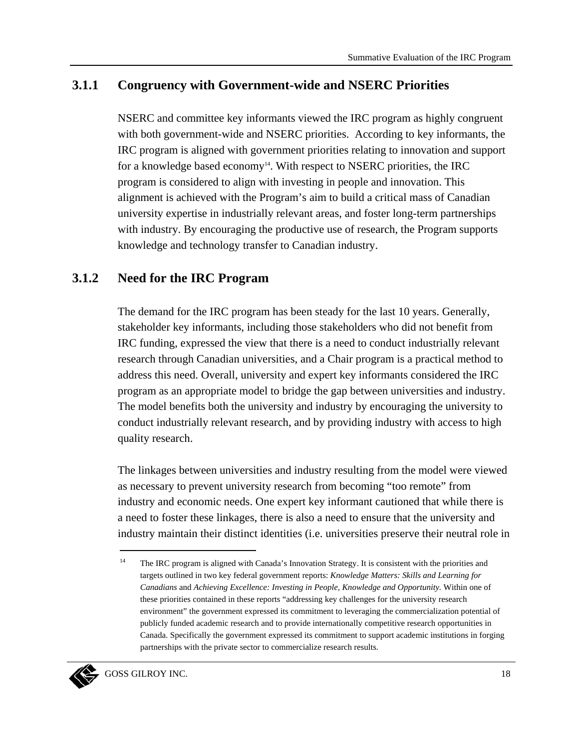## **3.1.1 Congruency with Government-wide and NSERC Priorities**

NSERC and committee key informants viewed the IRC program as highly congruent with both government-wide and NSERC priorities. According to key informants, the IRC program is aligned with government priorities relating to innovation and support for a knowledge based economy $14$ . With respect to NSERC priorities, the IRC program is considered to align with investing in people and innovation. This alignment is achieved with the Program's aim to build a critical mass of Canadian university expertise in industrially relevant areas, and foster long-term partnerships with industry. By encouraging the productive use of research, the Program supports knowledge and technology transfer to Canadian industry.

## **3.1.2 Need for the IRC Program**

The demand for the IRC program has been steady for the last 10 years. Generally, stakeholder key informants, including those stakeholders who did not benefit from IRC funding, expressed the view that there is a need to conduct industrially relevant research through Canadian universities, and a Chair program is a practical method to address this need. Overall, university and expert key informants considered the IRC program as an appropriate model to bridge the gap between universities and industry. The model benefits both the university and industry by encouraging the university to conduct industrially relevant research, and by providing industry with access to high quality research.

The linkages between universities and industry resulting from the model were viewed as necessary to prevent university research from becoming "too remote" from industry and economic needs. One expert key informant cautioned that while there is a need to foster these linkages, there is also a need to ensure that the university and industry maintain their distinct identities (i.e. universities preserve their neutral role in

<sup>&</sup>lt;sup>14</sup> The IRC program is aligned with Canada's Innovation Strategy. It is consistent with the priorities and targets outlined in two key federal government reports: *Knowledge Matters: Skills and Learning for Canadians* and *Achieving Excellence: Investing in People, Knowledge and Opportunity.* Within one of these priorities contained in these reports "addressing key challenges for the university research environment" the government expressed its commitment to leveraging the commercialization potential of publicly funded academic research and to provide internationally competitive research opportunities in Canada. Specifically the government expressed its commitment to support academic institutions in forging partnerships with the private sector to commercialize research results.

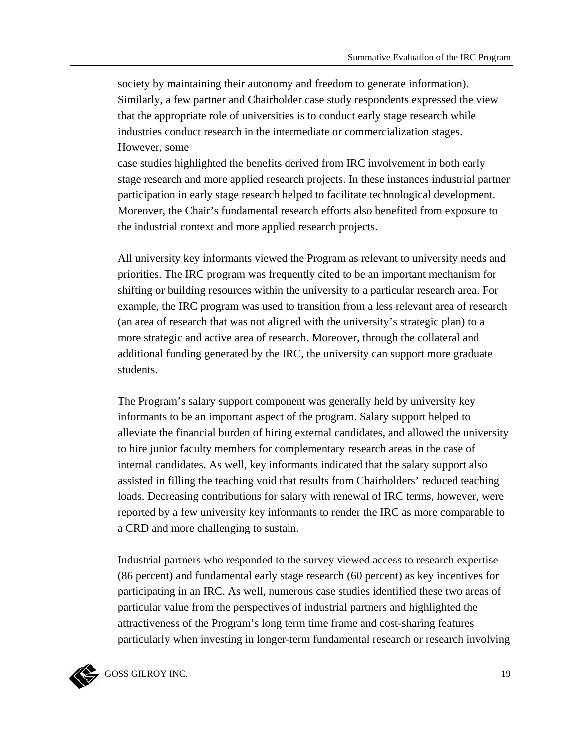society by maintaining their autonomy and freedom to generate information). Similarly, a few partner and Chairholder case study respondents expressed the view that the appropriate role of universities is to conduct early stage research while industries conduct research in the intermediate or commercialization stages. However, some

case studies highlighted the benefits derived from IRC involvement in both early stage research and more applied research projects. In these instances industrial partner participation in early stage research helped to facilitate technological development. Moreover, the Chair's fundamental research efforts also benefited from exposure to the industrial context and more applied research projects.

All university key informants viewed the Program as relevant to university needs and priorities. The IRC program was frequently cited to be an important mechanism for shifting or building resources within the university to a particular research area. For example, the IRC program was used to transition from a less relevant area of research (an area of research that was not aligned with the university's strategic plan) to a more strategic and active area of research. Moreover, through the collateral and additional funding generated by the IRC, the university can support more graduate students.

The Program's salary support component was generally held by university key informants to be an important aspect of the program. Salary support helped to alleviate the financial burden of hiring external candidates, and allowed the university to hire junior faculty members for complementary research areas in the case of internal candidates. As well, key informants indicated that the salary support also assisted in filling the teaching void that results from Chairholders' reduced teaching loads. Decreasing contributions for salary with renewal of IRC terms, however, were reported by a few university key informants to render the IRC as more comparable to a CRD and more challenging to sustain.

Industrial partners who responded to the survey viewed access to research expertise (86 percent) and fundamental early stage research (60 percent) as key incentives for participating in an IRC. As well, numerous case studies identified these two areas of particular value from the perspectives of industrial partners and highlighted the attractiveness of the Program's long term time frame and cost-sharing features particularly when investing in longer-term fundamental research or research involving

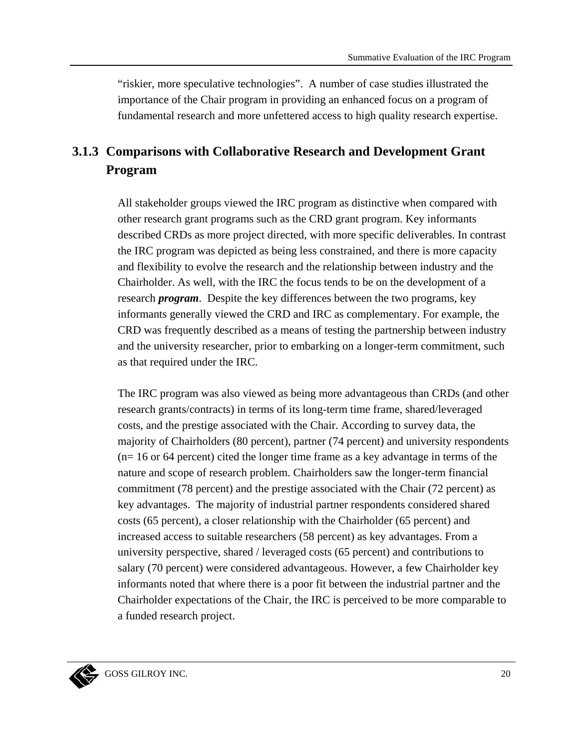"riskier, more speculative technologies". A number of case studies illustrated the importance of the Chair program in providing an enhanced focus on a program of fundamental research and more unfettered access to high quality research expertise.

## **3.1.3 Comparisons with Collaborative Research and Development Grant Program**

All stakeholder groups viewed the IRC program as distinctive when compared with other research grant programs such as the CRD grant program. Key informants described CRDs as more project directed, with more specific deliverables. In contrast the IRC program was depicted as being less constrained, and there is more capacity and flexibility to evolve the research and the relationship between industry and the Chairholder. As well, with the IRC the focus tends to be on the development of a research *program*. Despite the key differences between the two programs, key informants generally viewed the CRD and IRC as complementary. For example, the CRD was frequently described as a means of testing the partnership between industry and the university researcher, prior to embarking on a longer-term commitment, such as that required under the IRC.

The IRC program was also viewed as being more advantageous than CRDs (and other research grants/contracts) in terms of its long-term time frame, shared/leveraged costs, and the prestige associated with the Chair. According to survey data, the majority of Chairholders (80 percent), partner (74 percent) and university respondents (n= 16 or 64 percent) cited the longer time frame as a key advantage in terms of the nature and scope of research problem. Chairholders saw the longer-term financial commitment (78 percent) and the prestige associated with the Chair (72 percent) as key advantages. The majority of industrial partner respondents considered shared costs (65 percent), a closer relationship with the Chairholder (65 percent) and increased access to suitable researchers (58 percent) as key advantages. From a university perspective, shared / leveraged costs (65 percent) and contributions to salary (70 percent) were considered advantageous. However, a few Chairholder key informants noted that where there is a poor fit between the industrial partner and the Chairholder expectations of the Chair, the IRC is perceived to be more comparable to a funded research project.

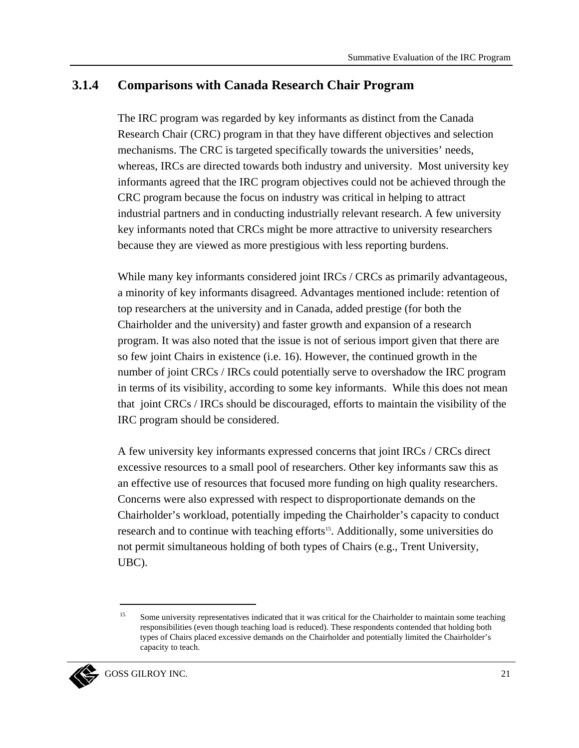## **3.1.4 Comparisons with Canada Research Chair Program**

The IRC program was regarded by key informants as distinct from the Canada Research Chair (CRC) program in that they have different objectives and selection mechanisms. The CRC is targeted specifically towards the universities' needs, whereas, IRCs are directed towards both industry and university. Most university key informants agreed that the IRC program objectives could not be achieved through the CRC program because the focus on industry was critical in helping to attract industrial partners and in conducting industrially relevant research. A few university key informants noted that CRCs might be more attractive to university researchers because they are viewed as more prestigious with less reporting burdens.

While many key informants considered joint IRCs / CRCs as primarily advantageous, a minority of key informants disagreed. Advantages mentioned include: retention of top researchers at the university and in Canada, added prestige (for both the Chairholder and the university) and faster growth and expansion of a research program. It was also noted that the issue is not of serious import given that there are so few joint Chairs in existence (i.e. 16). However, the continued growth in the number of joint CRCs / IRCs could potentially serve to overshadow the IRC program in terms of its visibility, according to some key informants. While this does not mean that joint CRCs / IRCs should be discouraged, efforts to maintain the visibility of the IRC program should be considered.

A few university key informants expressed concerns that joint IRCs / CRCs direct excessive resources to a small pool of researchers. Other key informants saw this as an effective use of resources that focused more funding on high quality researchers. Concerns were also expressed with respect to disproportionate demands on the Chairholder's workload, potentially impeding the Chairholder's capacity to conduct research and to continue with teaching efforts<sup>15</sup>. Additionally, some universities do not permit simultaneous holding of both types of Chairs (e.g., Trent University, UBC).

<sup>&</sup>lt;sup>15</sup> Some university representatives indicated that it was critical for the Chairholder to maintain some teaching responsibilities (even though teaching load is reduced). These respondents contended that holding both types of Chairs placed excessive demands on the Chairholder and potentially limited the Chairholder's capacity to teach.

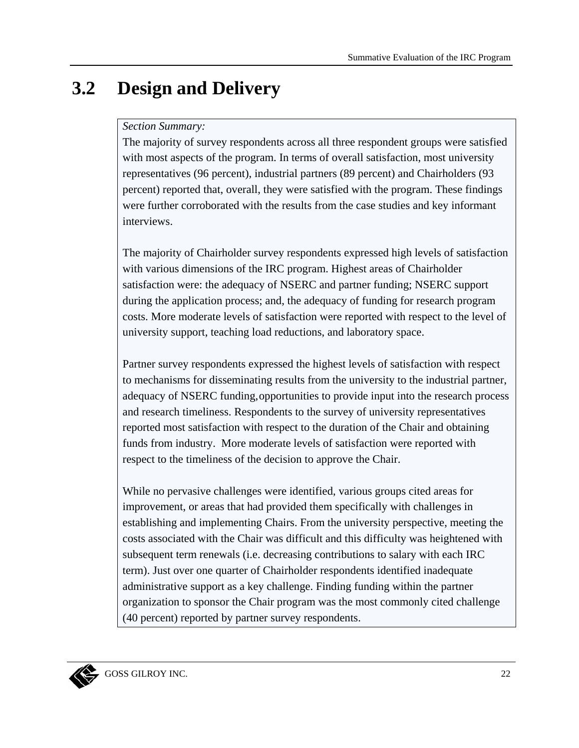## **3.2 Design and Delivery**

#### *Section Summary:*

The majority of survey respondents across all three respondent groups were satisfied with most aspects of the program. In terms of overall satisfaction, most university representatives (96 percent), industrial partners (89 percent) and Chairholders (93 percent) reported that, overall, they were satisfied with the program. These findings were further corroborated with the results from the case studies and key informant interviews.

The majority of Chairholder survey respondents expressed high levels of satisfaction with various dimensions of the IRC program. Highest areas of Chairholder satisfaction were: the adequacy of NSERC and partner funding; NSERC support during the application process; and, the adequacy of funding for research program costs. More moderate levels of satisfaction were reported with respect to the level of university support, teaching load reductions, and laboratory space.

Partner survey respondents expressed the highest levels of satisfaction with respect to mechanisms for disseminating results from the university to the industrial partner, adequacy of NSERC funding, opportunities to provide input into the research process and research timeliness. Respondents to the survey of university representatives reported most satisfaction with respect to the duration of the Chair and obtaining funds from industry. More moderate levels of satisfaction were reported with respect to the timeliness of the decision to approve the Chair.

While no pervasive challenges were identified, various groups cited areas for improvement, or areas that had provided them specifically with challenges in establishing and implementing Chairs. From the university perspective, meeting the costs associated with the Chair was difficult and this difficulty was heightened with subsequent term renewals (i.e. decreasing contributions to salary with each IRC term). Just over one quarter of Chairholder respondents identified inadequate administrative support as a key challenge. Finding funding within the partner organization to sponsor the Chair program was the most commonly cited challenge (40 percent) reported by partner survey respondents.

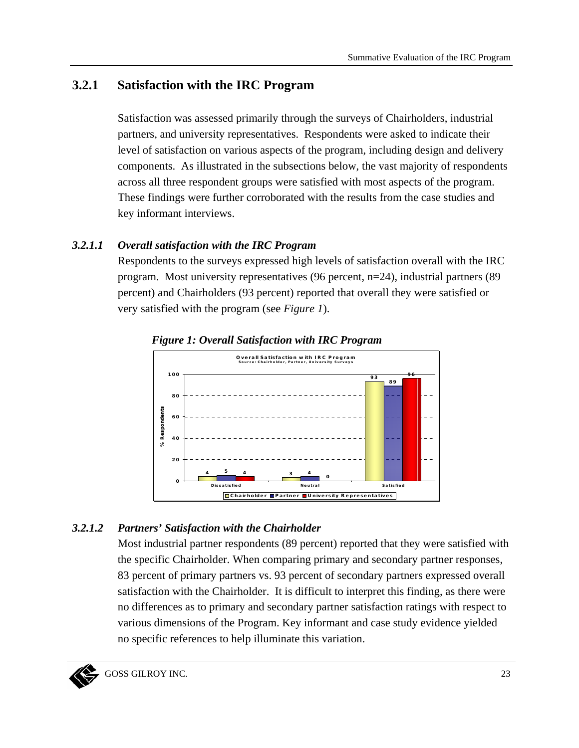## **3.2.1 Satisfaction with the IRC Program**

Satisfaction was assessed primarily through the surveys of Chairholders, industrial partners, and university representatives. Respondents were asked to indicate their level of satisfaction on various aspects of the program, including design and delivery components. As illustrated in the subsections below, the vast majority of respondents across all three respondent groups were satisfied with most aspects of the program. These findings were further corroborated with the results from the case studies and key informant interviews.

## *3.2.1.1 Overall satisfaction with the IRC Program*

Respondents to the surveys expressed high levels of satisfaction overall with the IRC program. Most university representatives (96 percent, n=24), industrial partners (89 percent) and Chairholders (93 percent) reported that overall they were satisfied or very satisfied with the program (see *Figure 1*).





## *3.2.1.2 Partners' Satisfaction with the Chairholder*

Most industrial partner respondents (89 percent) reported that they were satisfied with the specific Chairholder. When comparing primary and secondary partner responses, 83 percent of primary partners vs. 93 percent of secondary partners expressed overall satisfaction with the Chairholder. It is difficult to interpret this finding, as there were no differences as to primary and secondary partner satisfaction ratings with respect to various dimensions of the Program. Key informant and case study evidence yielded no specific references to help illuminate this variation.

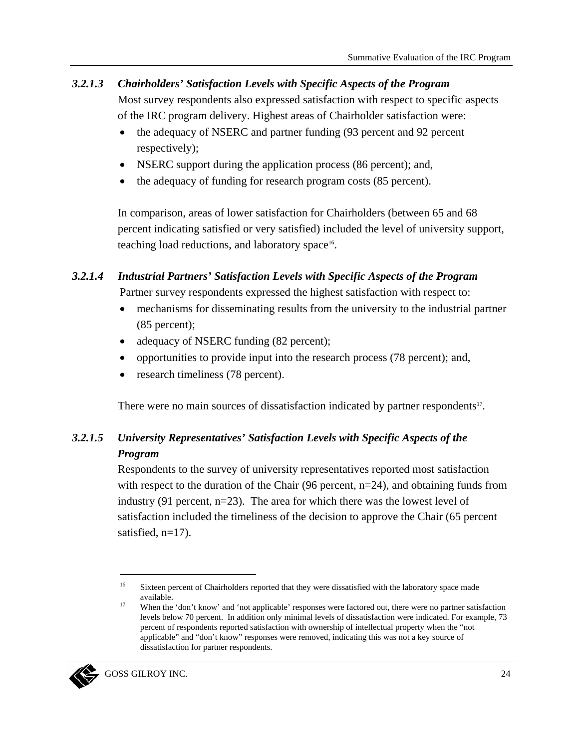## *3.2.1.3 Chairholders' Satisfaction Levels with Specific Aspects of the Program*  Most survey respondents also expressed satisfaction with respect to specific aspects of the IRC program delivery. Highest areas of Chairholder satisfaction were:

- the adequacy of NSERC and partner funding (93 percent and 92 percent respectively);
- NSERC support during the application process (86 percent); and,
- the adequacy of funding for research program costs (85 percent).

In comparison, areas of lower satisfaction for Chairholders (between 65 and 68 percent indicating satisfied or very satisfied) included the level of university support, teaching load reductions, and laboratory space<sup>16</sup>.

## *3.2.1.4 Industrial Partners' Satisfaction Levels with Specific Aspects of the Program*

Partner survey respondents expressed the highest satisfaction with respect to:

- mechanisms for disseminating results from the university to the industrial partner (85 percent);
- adequacy of NSERC funding (82 percent);
- opportunities to provide input into the research process (78 percent); and,
- research timeliness (78 percent).

There were no main sources of dissatisfaction indicated by partner respondents<sup>17</sup>.

## *3.2.1.5 University Representatives' Satisfaction Levels with Specific Aspects of the Program*

Respondents to the survey of university representatives reported most satisfaction with respect to the duration of the Chair  $(96$  percent,  $n=24$ ), and obtaining funds from industry (91 percent, n=23). The area for which there was the lowest level of satisfaction included the timeliness of the decision to approve the Chair (65 percent satisfied, n=17).

available.<br><sup>17</sup> When the 'don't know' and 'not applicable' responses were factored out, there were no partner satisfaction levels below 70 percent. In addition only minimal levels of dissatisfaction were indicated. For example, 73 percent of respondents reported satisfaction with ownership of intellectual property when the "not applicable" and "don't know" responses were removed, indicating this was not a key source of dissatisfaction for partner respondents.



<sup>&</sup>lt;sup>16</sup> Sixteen percent of Chairholders reported that they were dissatisfied with the laboratory space made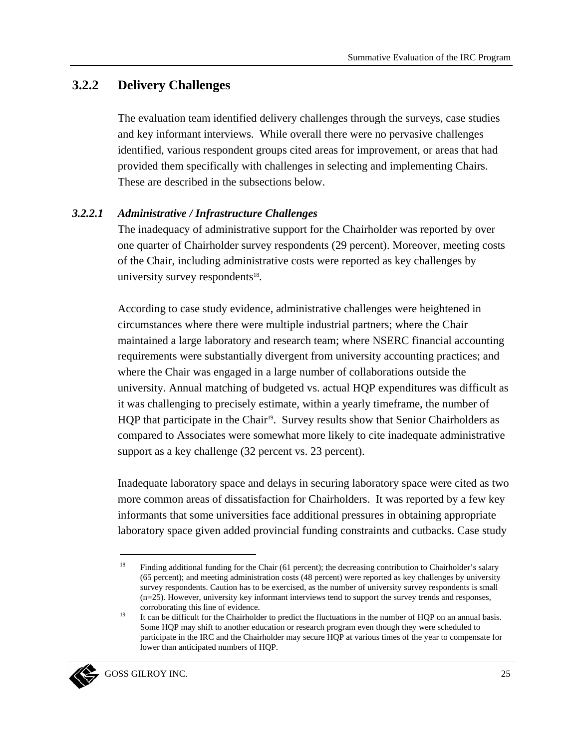## **3.2.2 Delivery Challenges**

The evaluation team identified delivery challenges through the surveys, case studies and key informant interviews. While overall there were no pervasive challenges identified, various respondent groups cited areas for improvement, or areas that had provided them specifically with challenges in selecting and implementing Chairs. These are described in the subsections below.

## *3.2.2.1 Administrative / Infrastructure Challenges*

The inadequacy of administrative support for the Chairholder was reported by over one quarter of Chairholder survey respondents (29 percent). Moreover, meeting costs of the Chair, including administrative costs were reported as key challenges by university survey respondents<sup>18</sup>.

According to case study evidence, administrative challenges were heightened in circumstances where there were multiple industrial partners; where the Chair maintained a large laboratory and research team; where NSERC financial accounting requirements were substantially divergent from university accounting practices; and where the Chair was engaged in a large number of collaborations outside the university. Annual matching of budgeted vs. actual HQP expenditures was difficult as it was challenging to precisely estimate, within a yearly timeframe, the number of HQP that participate in the Chair<sup>19</sup>. Survey results show that Senior Chairholders as compared to Associates were somewhat more likely to cite inadequate administrative support as a key challenge (32 percent vs. 23 percent).

Inadequate laboratory space and delays in securing laboratory space were cited as two more common areas of dissatisfaction for Chairholders. It was reported by a few key informants that some universities face additional pressures in obtaining appropriate laboratory space given added provincial funding constraints and cutbacks. Case study

corroborating this line of evidence.<br><sup>19</sup> It can be difficult for the Chairholder to predict the fluctuations in the number of HQP on an annual basis. Some HQP may shift to another education or research program even though they were scheduled to participate in the IRC and the Chairholder may secure HQP at various times of the year to compensate for lower than anticipated numbers of HQP.



<sup>&</sup>lt;sup>18</sup> Finding additional funding for the Chair (61 percent); the decreasing contribution to Chairholder's salary (65 percent); and meeting administration costs (48 percent) were reported as key challenges by university survey respondents. Caution has to be exercised, as the number of university survey respondents is small (n=25). However, university key informant interviews tend to support the survey trends and responses,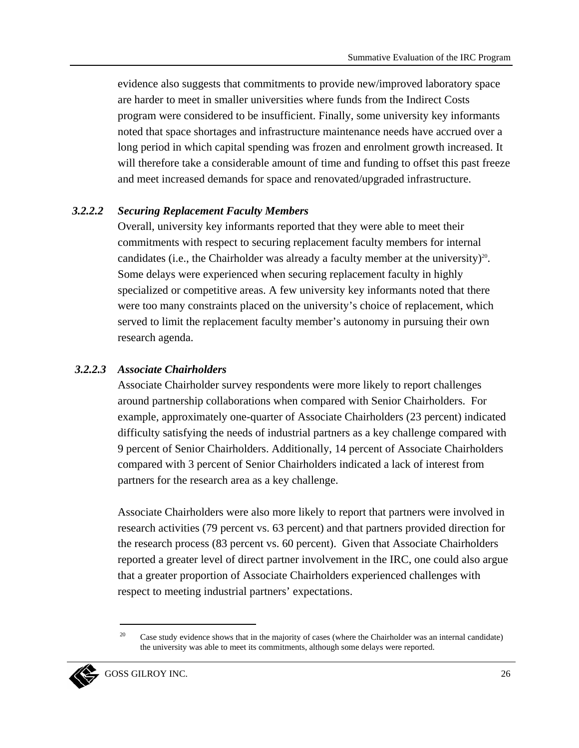evidence also suggests that commitments to provide new/improved laboratory space are harder to meet in smaller universities where funds from the Indirect Costs program were considered to be insufficient. Finally, some university key informants noted that space shortages and infrastructure maintenance needs have accrued over a long period in which capital spending was frozen and enrolment growth increased. It will therefore take a considerable amount of time and funding to offset this past freeze and meet increased demands for space and renovated/upgraded infrastructure.

#### *3.2.2.2 Securing Replacement Faculty Members*

Overall, university key informants reported that they were able to meet their commitments with respect to securing replacement faculty members for internal candidates (i.e., the Chairholder was already a faculty member at the university)<sup>20</sup>. Some delays were experienced when securing replacement faculty in highly specialized or competitive areas. A few university key informants noted that there were too many constraints placed on the university's choice of replacement, which served to limit the replacement faculty member's autonomy in pursuing their own research agenda.

#### *3.2.2.3 Associate Chairholders*

Associate Chairholder survey respondents were more likely to report challenges around partnership collaborations when compared with Senior Chairholders. For example, approximately one-quarter of Associate Chairholders (23 percent) indicated difficulty satisfying the needs of industrial partners as a key challenge compared with 9 percent of Senior Chairholders. Additionally, 14 percent of Associate Chairholders compared with 3 percent of Senior Chairholders indicated a lack of interest from partners for the research area as a key challenge.

Associate Chairholders were also more likely to report that partners were involved in research activities (79 percent vs. 63 percent) and that partners provided direction for the research process (83 percent vs. 60 percent). Given that Associate Chairholders reported a greater level of direct partner involvement in the IRC, one could also argue that a greater proportion of Associate Chairholders experienced challenges with respect to meeting industrial partners' expectations.

<sup>&</sup>lt;sup>20</sup> Case study evidence shows that in the majority of cases (where the Chairholder was an internal candidate) the university was able to meet its commitments, although some delays were reported.

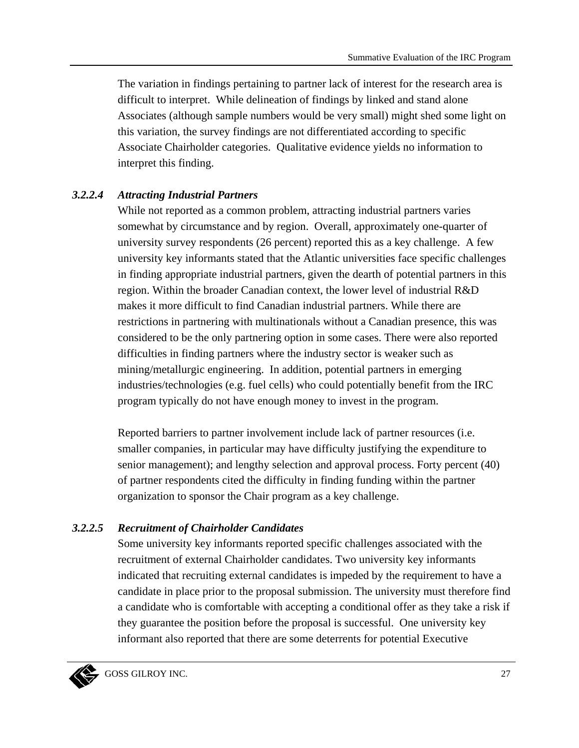The variation in findings pertaining to partner lack of interest for the research area is difficult to interpret. While delineation of findings by linked and stand alone Associates (although sample numbers would be very small) might shed some light on this variation, the survey findings are not differentiated according to specific Associate Chairholder categories. Qualitative evidence yields no information to interpret this finding.

#### *3.2.2.4 Attracting Industrial Partners*

While not reported as a common problem, attracting industrial partners varies somewhat by circumstance and by region. Overall, approximately one-quarter of university survey respondents (26 percent) reported this as a key challenge. A few university key informants stated that the Atlantic universities face specific challenges in finding appropriate industrial partners, given the dearth of potential partners in this region. Within the broader Canadian context, the lower level of industrial R&D makes it more difficult to find Canadian industrial partners. While there are restrictions in partnering with multinationals without a Canadian presence, this was considered to be the only partnering option in some cases. There were also reported difficulties in finding partners where the industry sector is weaker such as mining/metallurgic engineering. In addition, potential partners in emerging industries/technologies (e.g. fuel cells) who could potentially benefit from the IRC program typically do not have enough money to invest in the program.

Reported barriers to partner involvement include lack of partner resources (i.e. smaller companies, in particular may have difficulty justifying the expenditure to senior management); and lengthy selection and approval process. Forty percent (40) of partner respondents cited the difficulty in finding funding within the partner organization to sponsor the Chair program as a key challenge.

#### *3.2.2.5 Recruitment of Chairholder Candidates*

Some university key informants reported specific challenges associated with the recruitment of external Chairholder candidates. Two university key informants indicated that recruiting external candidates is impeded by the requirement to have a candidate in place prior to the proposal submission. The university must therefore find a candidate who is comfortable with accepting a conditional offer as they take a risk if they guarantee the position before the proposal is successful. One university key informant also reported that there are some deterrents for potential Executive

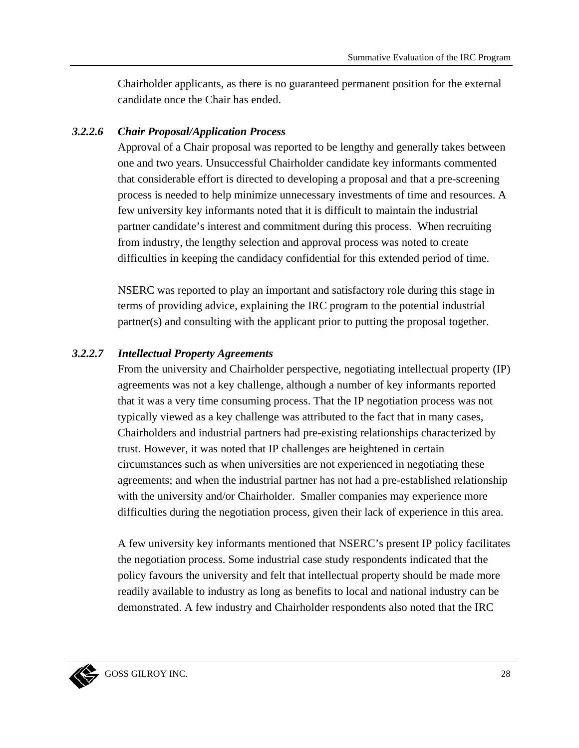Chairholder applicants, as there is no guaranteed permanent position for the external candidate once the Chair has ended.

#### *3.2.2.6 Chair Proposal/Application Process*

Approval of a Chair proposal was reported to be lengthy and generally takes between one and two years. Unsuccessful Chairholder candidate key informants commented that considerable effort is directed to developing a proposal and that a pre-screening process is needed to help minimize unnecessary investments of time and resources. A few university key informants noted that it is difficult to maintain the industrial partner candidate's interest and commitment during this process. When recruiting from industry, the lengthy selection and approval process was noted to create difficulties in keeping the candidacy confidential for this extended period of time.

NSERC was reported to play an important and satisfactory role during this stage in terms of providing advice, explaining the IRC program to the potential industrial partner(s) and consulting with the applicant prior to putting the proposal together.

#### *3.2.2.7 Intellectual Property Agreements*

From the university and Chairholder perspective, negotiating intellectual property (IP) agreements was not a key challenge, although a number of key informants reported that it was a very time consuming process. That the IP negotiation process was not typically viewed as a key challenge was attributed to the fact that in many cases, Chairholders and industrial partners had pre-existing relationships characterized by trust. However, it was noted that IP challenges are heightened in certain circumstances such as when universities are not experienced in negotiating these agreements; and when the industrial partner has not had a pre-established relationship with the university and/or Chairholder. Smaller companies may experience more difficulties during the negotiation process, given their lack of experience in this area.

A few university key informants mentioned that NSERC's present IP policy facilitates the negotiation process. Some industrial case study respondents indicated that the policy favours the university and felt that intellectual property should be made more readily available to industry as long as benefits to local and national industry can be demonstrated. A few industry and Chairholder respondents also noted that the IRC

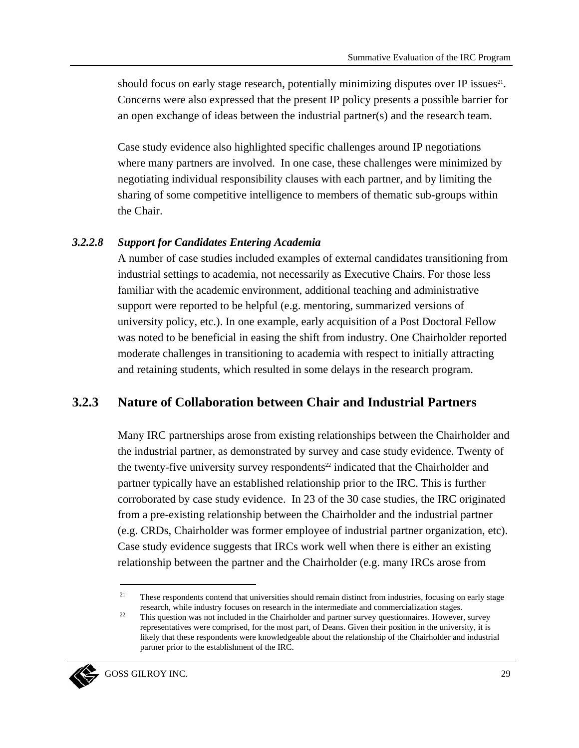should focus on early stage research, potentially minimizing disputes over  $IP$  issues<sup>21</sup>. Concerns were also expressed that the present IP policy presents a possible barrier for an open exchange of ideas between the industrial partner(s) and the research team.

Case study evidence also highlighted specific challenges around IP negotiations where many partners are involved. In one case, these challenges were minimized by negotiating individual responsibility clauses with each partner, and by limiting the sharing of some competitive intelligence to members of thematic sub-groups within the Chair.

#### *3.2.2.8 Support for Candidates Entering Academia*

A number of case studies included examples of external candidates transitioning from industrial settings to academia, not necessarily as Executive Chairs. For those less familiar with the academic environment, additional teaching and administrative support were reported to be helpful (e.g. mentoring, summarized versions of university policy, etc.). In one example, early acquisition of a Post Doctoral Fellow was noted to be beneficial in easing the shift from industry. One Chairholder reported moderate challenges in transitioning to academia with respect to initially attracting and retaining students, which resulted in some delays in the research program.

## **3.2.3 Nature of Collaboration between Chair and Industrial Partners**

Many IRC partnerships arose from existing relationships between the Chairholder and the industrial partner, as demonstrated by survey and case study evidence. Twenty of the twenty-five university survey respondents<sup>22</sup> indicated that the Chairholder and partner typically have an established relationship prior to the IRC. This is further corroborated by case study evidence. In 23 of the 30 case studies, the IRC originated from a pre-existing relationship between the Chairholder and the industrial partner (e.g. CRDs, Chairholder was former employee of industrial partner organization, etc). Case study evidence suggests that IRCs work well when there is either an existing relationship between the partner and the Chairholder (e.g. many IRCs arose from

research, while industry focuses on research in the intermediate and commercialization stages. 22 This question was not included in the Chairholder and partner survey questionnaires. However, survey representatives were comprised, for the most part, of Deans. Given their position in the university, it is likely that these respondents were knowledgeable about the relationship of the Chairholder and industrial partner prior to the establishment of the IRC.



<sup>&</sup>lt;sup>21</sup> These respondents contend that universities should remain distinct from industries, focusing on early stage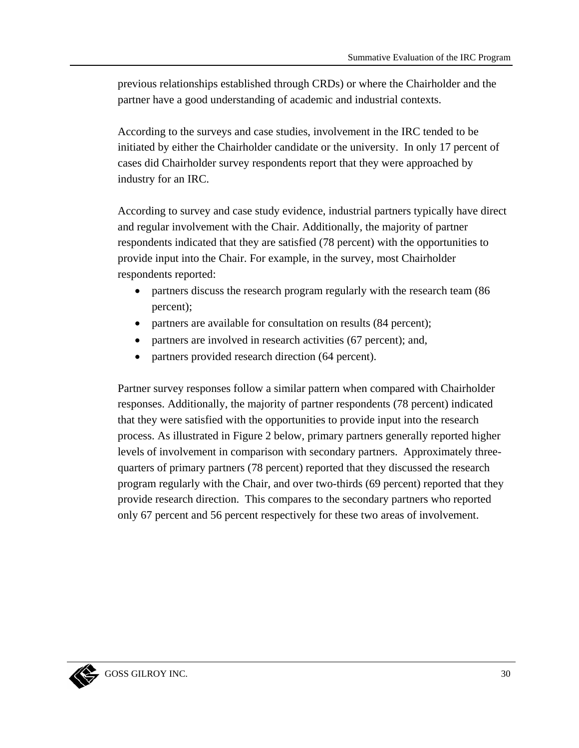previous relationships established through CRDs) or where the Chairholder and the partner have a good understanding of academic and industrial contexts.

According to the surveys and case studies, involvement in the IRC tended to be initiated by either the Chairholder candidate or the university. In only 17 percent of cases did Chairholder survey respondents report that they were approached by industry for an IRC.

According to survey and case study evidence, industrial partners typically have direct and regular involvement with the Chair. Additionally, the majority of partner respondents indicated that they are satisfied (78 percent) with the opportunities to provide input into the Chair. For example, in the survey, most Chairholder respondents reported:

- partners discuss the research program regularly with the research team (86) percent);
- partners are available for consultation on results (84 percent);
- partners are involved in research activities (67 percent); and,
- partners provided research direction (64 percent).

Partner survey responses follow a similar pattern when compared with Chairholder responses. Additionally, the majority of partner respondents (78 percent) indicated that they were satisfied with the opportunities to provide input into the research process. As illustrated in Figure 2 below, primary partners generally reported higher levels of involvement in comparison with secondary partners. Approximately threequarters of primary partners (78 percent) reported that they discussed the research program regularly with the Chair, and over two-thirds (69 percent) reported that they provide research direction. This compares to the secondary partners who reported only 67 percent and 56 percent respectively for these two areas of involvement.

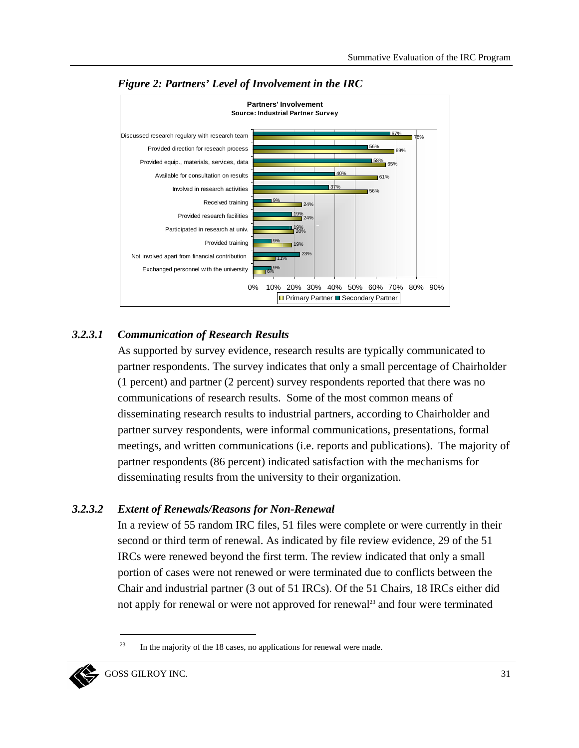

#### *Figure 2: Partners' Level of Involvement in the IRC*

#### *3.2.3.1 Communication of Research Results*

As supported by survey evidence, research results are typically communicated to partner respondents. The survey indicates that only a small percentage of Chairholder (1 percent) and partner (2 percent) survey respondents reported that there was no communications of research results. Some of the most common means of disseminating research results to industrial partners, according to Chairholder and partner survey respondents, were informal communications, presentations, formal meetings, and written communications (i.e. reports and publications). The majority of partner respondents (86 percent) indicated satisfaction with the mechanisms for disseminating results from the university to their organization.

#### *3.2.3.2 Extent of Renewals/Reasons for Non-Renewal*

In a review of 55 random IRC files, 51 files were complete or were currently in their second or third term of renewal. As indicated by file review evidence, 29 of the 51 IRCs were renewed beyond the first term. The review indicated that only a small portion of cases were not renewed or were terminated due to conflicts between the Chair and industrial partner (3 out of 51 IRCs). Of the 51 Chairs, 18 IRCs either did not apply for renewal or were not approved for renewal<sup>23</sup> and four were terminated

<sup>&</sup>lt;sup>23</sup> In the majority of the 18 cases, no applications for renewal were made.

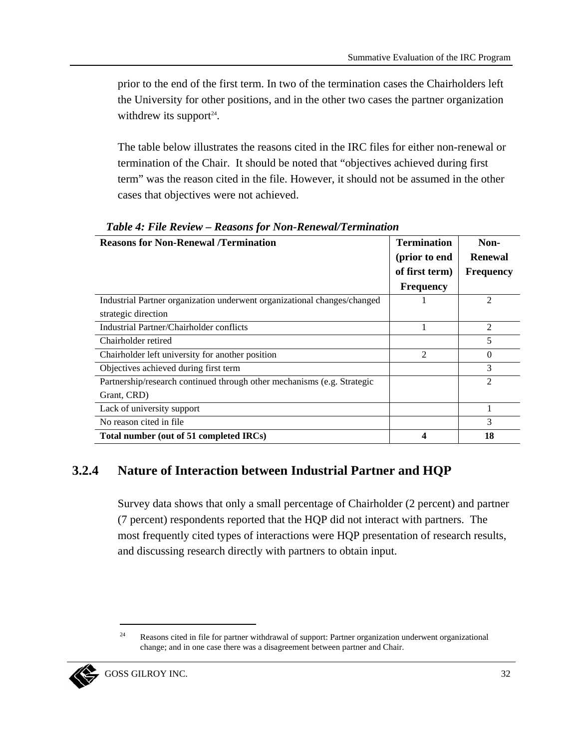prior to the end of the first term. In two of the termination cases the Chairholders left the University for other positions, and in the other two cases the partner organization withdrew its support<sup>24</sup>.

The table below illustrates the reasons cited in the IRC files for either non-renewal or termination of the Chair. It should be noted that "objectives achieved during first term" was the reason cited in the file. However, it should not be assumed in the other cases that objectives were not achieved.

| <b>Reasons for Non-Renewal /Termination</b>                              | <b>Termination</b> | Non-             |
|--------------------------------------------------------------------------|--------------------|------------------|
|                                                                          | (prior to end      | Renewal          |
|                                                                          | of first term)     | <b>Frequency</b> |
|                                                                          | <b>Frequency</b>   |                  |
| Industrial Partner organization underwent organizational changes/changed |                    | $\overline{c}$   |
| strategic direction                                                      |                    |                  |
| Industrial Partner/Chairholder conflicts                                 |                    | $\mathfrak{D}$   |
| Chairholder retired                                                      |                    | 5                |
| Chairholder left university for another position                         | $\overline{2}$     | $\Omega$         |
| Objectives achieved during first term                                    |                    | 3                |
| Partnership/research continued through other mechanisms (e.g. Strategic  |                    | $\overline{c}$   |
| Grant, CRD)                                                              |                    |                  |
| Lack of university support                                               |                    |                  |
| No reason cited in file.                                                 |                    | 3                |
| Total number (out of 51 completed IRCs)                                  | 4                  | 18               |

 *Table 4: File Review – Reasons for Non-Renewal/Termination* 

## **3.2.4 Nature of Interaction between Industrial Partner and HQP**

Survey data shows that only a small percentage of Chairholder (2 percent) and partner (7 percent) respondents reported that the HQP did not interact with partners. The most frequently cited types of interactions were HQP presentation of research results, and discussing research directly with partners to obtain input.

<sup>&</sup>lt;sup>24</sup> Reasons cited in file for partner withdrawal of support: Partner organization underwent organizational change; and in one case there was a disagreement between partner and Chair.

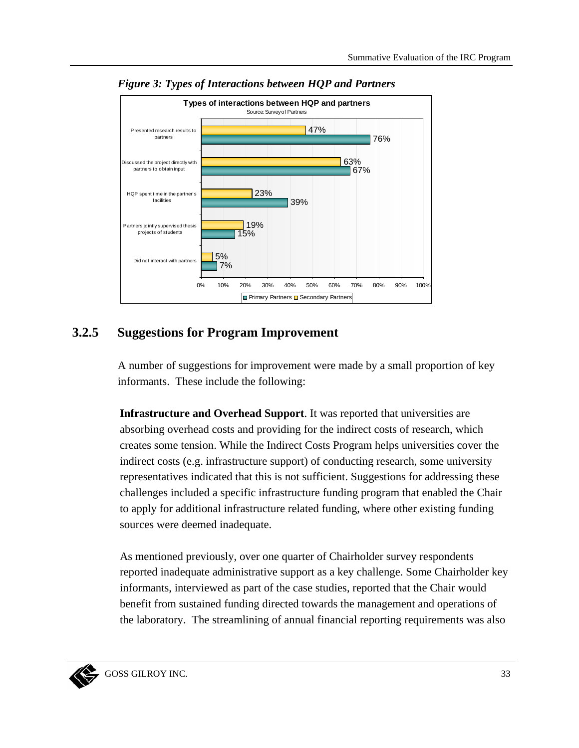

*Figure 3: Types of Interactions between HQP and Partners* 

## **3.2.5 Suggestions for Program Improvement**

A number of suggestions for improvement were made by a small proportion of key informants. These include the following:

**Infrastructure and Overhead Support**. It was reported that universities are absorbing overhead costs and providing for the indirect costs of research, which creates some tension. While the Indirect Costs Program helps universities cover the indirect costs (e.g. infrastructure support) of conducting research, some university representatives indicated that this is not sufficient. Suggestions for addressing these challenges included a specific infrastructure funding program that enabled the Chair to apply for additional infrastructure related funding, where other existing funding sources were deemed inadequate.

As mentioned previously, over one quarter of Chairholder survey respondents reported inadequate administrative support as a key challenge. Some Chairholder key informants, interviewed as part of the case studies, reported that the Chair would benefit from sustained funding directed towards the management and operations of the laboratory. The streamlining of annual financial reporting requirements was also

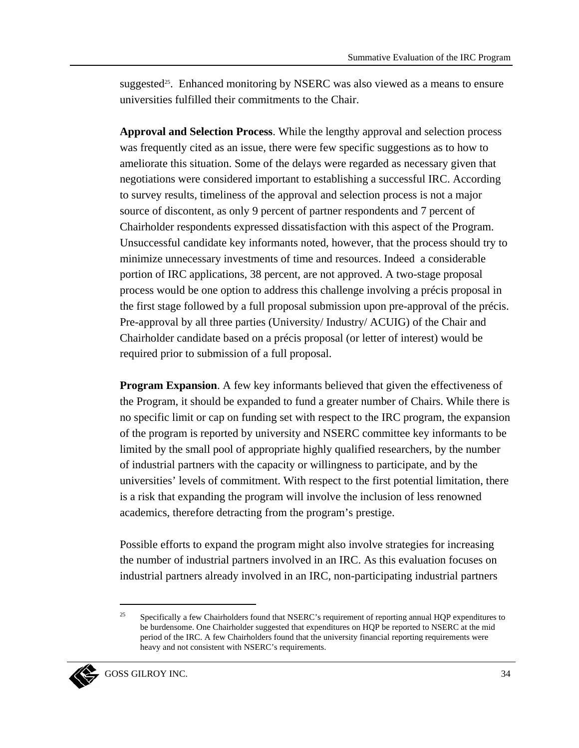suggested<sup>25</sup>. Enhanced monitoring by NSERC was also viewed as a means to ensure universities fulfilled their commitments to the Chair.

**Approval and Selection Process**. While the lengthy approval and selection process was frequently cited as an issue, there were few specific suggestions as to how to ameliorate this situation. Some of the delays were regarded as necessary given that negotiations were considered important to establishing a successful IRC. According to survey results, timeliness of the approval and selection process is not a major source of discontent, as only 9 percent of partner respondents and 7 percent of Chairholder respondents expressed dissatisfaction with this aspect of the Program. Unsuccessful candidate key informants noted, however, that the process should try to minimize unnecessary investments of time and resources. Indeed a considerable portion of IRC applications, 38 percent, are not approved. A two-stage proposal process would be one option to address this challenge involving a précis proposal in the first stage followed by a full proposal submission upon pre-approval of the précis. Pre-approval by all three parties (University/ Industry/ ACUIG) of the Chair and Chairholder candidate based on a précis proposal (or letter of interest) would be required prior to submission of a full proposal.

**Program Expansion.** A few key informants believed that given the effectiveness of the Program, it should be expanded to fund a greater number of Chairs. While there is no specific limit or cap on funding set with respect to the IRC program, the expansion of the program is reported by university and NSERC committee key informants to be limited by the small pool of appropriate highly qualified researchers, by the number of industrial partners with the capacity or willingness to participate, and by the universities' levels of commitment. With respect to the first potential limitation, there is a risk that expanding the program will involve the inclusion of less renowned academics, therefore detracting from the program's prestige.

Possible efforts to expand the program might also involve strategies for increasing the number of industrial partners involved in an IRC. As this evaluation focuses on industrial partners already involved in an IRC, non-participating industrial partners

<sup>&</sup>lt;sup>25</sup> Specifically a few Chairholders found that NSERC's requirement of reporting annual HQP expenditures to be burdensome. One Chairholder suggested that expenditures on HQP be reported to NSERC at the mid period of the IRC. A few Chairholders found that the university financial reporting requirements were heavy and not consistent with NSERC's requirements.

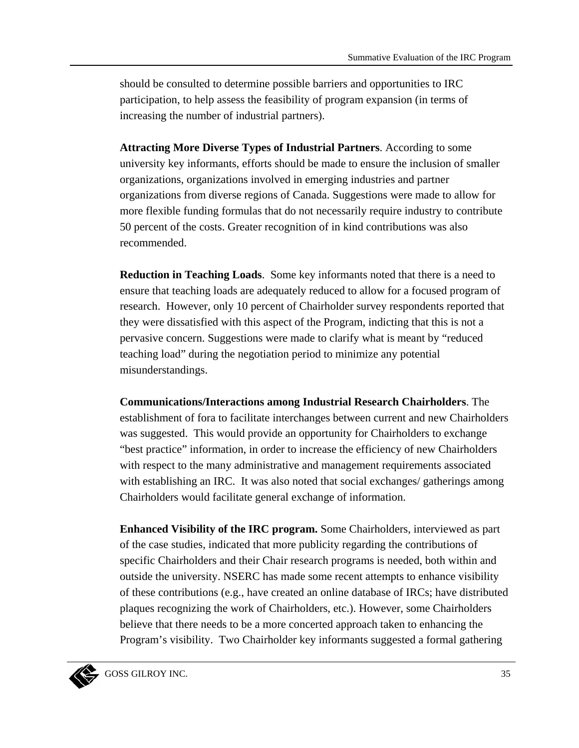should be consulted to determine possible barriers and opportunities to IRC participation, to help assess the feasibility of program expansion (in terms of increasing the number of industrial partners).

**Attracting More Diverse Types of Industrial Partners**. According to some university key informants, efforts should be made to ensure the inclusion of smaller organizations, organizations involved in emerging industries and partner organizations from diverse regions of Canada. Suggestions were made to allow for more flexible funding formulas that do not necessarily require industry to contribute 50 percent of the costs. Greater recognition of in kind contributions was also recommended.

**Reduction in Teaching Loads**. Some key informants noted that there is a need to ensure that teaching loads are adequately reduced to allow for a focused program of research. However, only 10 percent of Chairholder survey respondents reported that they were dissatisfied with this aspect of the Program, indicting that this is not a pervasive concern. Suggestions were made to clarify what is meant by "reduced teaching load" during the negotiation period to minimize any potential misunderstandings.

**Communications/Interactions among Industrial Research Chairholders**. The establishment of fora to facilitate interchanges between current and new Chairholders was suggested. This would provide an opportunity for Chairholders to exchange "best practice" information, in order to increase the efficiency of new Chairholders with respect to the many administrative and management requirements associated with establishing an IRC. It was also noted that social exchanges/ gatherings among Chairholders would facilitate general exchange of information.

**Enhanced Visibility of the IRC program.** Some Chairholders, interviewed as part of the case studies, indicated that more publicity regarding the contributions of specific Chairholders and their Chair research programs is needed, both within and outside the university. NSERC has made some recent attempts to enhance visibility of these contributions (e.g., have created an online database of IRCs; have distributed plaques recognizing the work of Chairholders, etc.). However, some Chairholders believe that there needs to be a more concerted approach taken to enhancing the Program's visibility. Two Chairholder key informants suggested a formal gathering

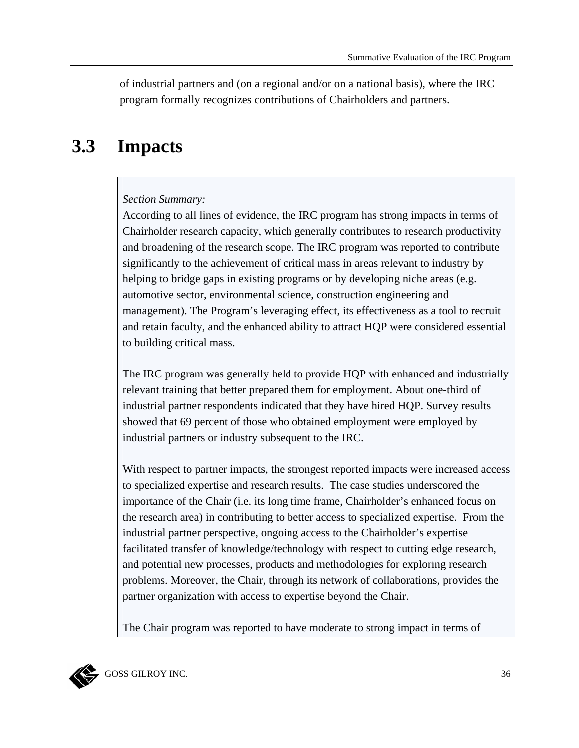of industrial partners and (on a regional and/or on a national basis), where the IRC program formally recognizes contributions of Chairholders and partners.

## **3.3 Impacts**

#### *Section Summary:*

According to all lines of evidence, the IRC program has strong impacts in terms of Chairholder research capacity, which generally contributes to research productivity and broadening of the research scope. The IRC program was reported to contribute significantly to the achievement of critical mass in areas relevant to industry by helping to bridge gaps in existing programs or by developing niche areas (e.g. automotive sector, environmental science, construction engineering and management). The Program's leveraging effect, its effectiveness as a tool to recruit and retain faculty, and the enhanced ability to attract HQP were considered essential to building critical mass.

The IRC program was generally held to provide HQP with enhanced and industrially relevant training that better prepared them for employment. About one-third of industrial partner respondents indicated that they have hired HQP. Survey results showed that 69 percent of those who obtained employment were employed by industrial partners or industry subsequent to the IRC.

With respect to partner impacts, the strongest reported impacts were increased access to specialized expertise and research results. The case studies underscored the importance of the Chair (i.e. its long time frame, Chairholder's enhanced focus on the research area) in contributing to better access to specialized expertise. From the industrial partner perspective, ongoing access to the Chairholder's expertise facilitated transfer of knowledge/technology with respect to cutting edge research, and potential new processes, products and methodologies for exploring research problems. Moreover, the Chair, through its network of collaborations, provides the partner organization with access to expertise beyond the Chair.

The Chair program was reported to have moderate to strong impact in terms of

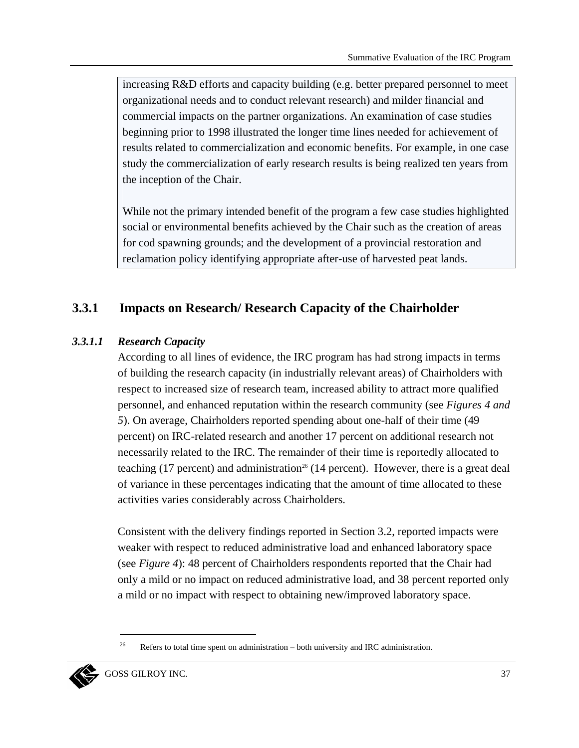increasing R&D efforts and capacity building (e.g. better prepared personnel to meet organizational needs and to conduct relevant research) and milder financial and commercial impacts on the partner organizations. An examination of case studies beginning prior to 1998 illustrated the longer time lines needed for achievement of results related to commercialization and economic benefits. For example, in one case study the commercialization of early research results is being realized ten years from the inception of the Chair.

While not the primary intended benefit of the program a few case studies highlighted social or environmental benefits achieved by the Chair such as the creation of areas for cod spawning grounds; and the development of a provincial restoration and reclamation policy identifying appropriate after-use of harvested peat lands.

## **3.3.1 Impacts on Research/ Research Capacity of the Chairholder**

## *3.3.1.1 Research Capacity*

According to all lines of evidence, the IRC program has had strong impacts in terms of building the research capacity (in industrially relevant areas) of Chairholders with respect to increased size of research team, increased ability to attract more qualified personnel, and enhanced reputation within the research community (see *Figures 4 and 5*). On average, Chairholders reported spending about one-half of their time (49 percent) on IRC-related research and another 17 percent on additional research not necessarily related to the IRC. The remainder of their time is reportedly allocated to teaching (17 percent) and administration<sup>26</sup> (14 percent). However, there is a great deal of variance in these percentages indicating that the amount of time allocated to these activities varies considerably across Chairholders.

Consistent with the delivery findings reported in Section 3.2, reported impacts were weaker with respect to reduced administrative load and enhanced laboratory space (see *Figure 4*): 48 percent of Chairholders respondents reported that the Chair had only a mild or no impact on reduced administrative load, and 38 percent reported only a mild or no impact with respect to obtaining new/improved laboratory space.

<sup>&</sup>lt;sup>26</sup> Refers to total time spent on administration – both university and IRC administration.

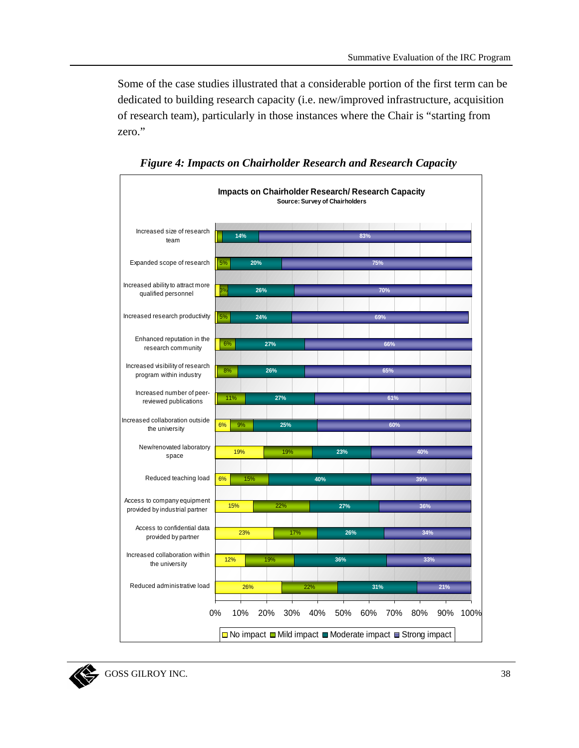Some of the case studies illustrated that a considerable portion of the first term can be dedicated to building research capacity (i.e. new/improved infrastructure, acquisition of research team), particularly in those instances where the Chair is "starting from zero."

![](_page_59_Figure_2.jpeg)

 *Figure 4: Impacts on Chairholder Research and Research Capacity* 

![](_page_59_Picture_4.jpeg)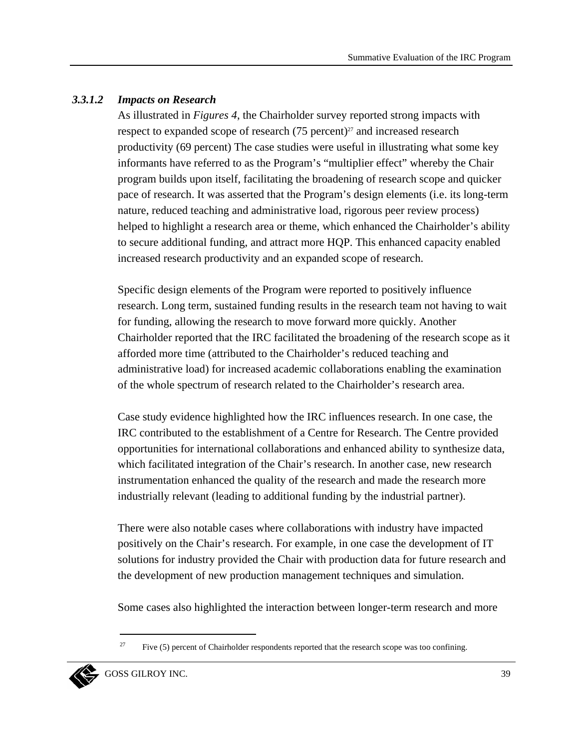## *3.3.1.2 Impacts on Research*

As illustrated in *Figures 4*, the Chairholder survey reported strong impacts with respect to expanded scope of research  $(75 \text{ percent})^{27}$  and increased research productivity (69 percent) The case studies were useful in illustrating what some key informants have referred to as the Program's "multiplier effect" whereby the Chair program builds upon itself, facilitating the broadening of research scope and quicker pace of research. It was asserted that the Program's design elements (i.e. its long-term nature, reduced teaching and administrative load, rigorous peer review process) helped to highlight a research area or theme, which enhanced the Chairholder's ability to secure additional funding, and attract more HQP. This enhanced capacity enabled increased research productivity and an expanded scope of research.

Specific design elements of the Program were reported to positively influence research. Long term, sustained funding results in the research team not having to wait for funding, allowing the research to move forward more quickly. Another Chairholder reported that the IRC facilitated the broadening of the research scope as it afforded more time (attributed to the Chairholder's reduced teaching and administrative load) for increased academic collaborations enabling the examination of the whole spectrum of research related to the Chairholder's research area.

Case study evidence highlighted how the IRC influences research. In one case, the IRC contributed to the establishment of a Centre for Research. The Centre provided opportunities for international collaborations and enhanced ability to synthesize data, which facilitated integration of the Chair's research. In another case, new research instrumentation enhanced the quality of the research and made the research more industrially relevant (leading to additional funding by the industrial partner).

There were also notable cases where collaborations with industry have impacted positively on the Chair's research. For example, in one case the development of IT solutions for industry provided the Chair with production data for future research and the development of new production management techniques and simulation.

Some cases also highlighted the interaction between longer-term research and more

<sup>&</sup>lt;sup>27</sup> Five (5) percent of Chairholder respondents reported that the research scope was too confining.

![](_page_60_Picture_8.jpeg)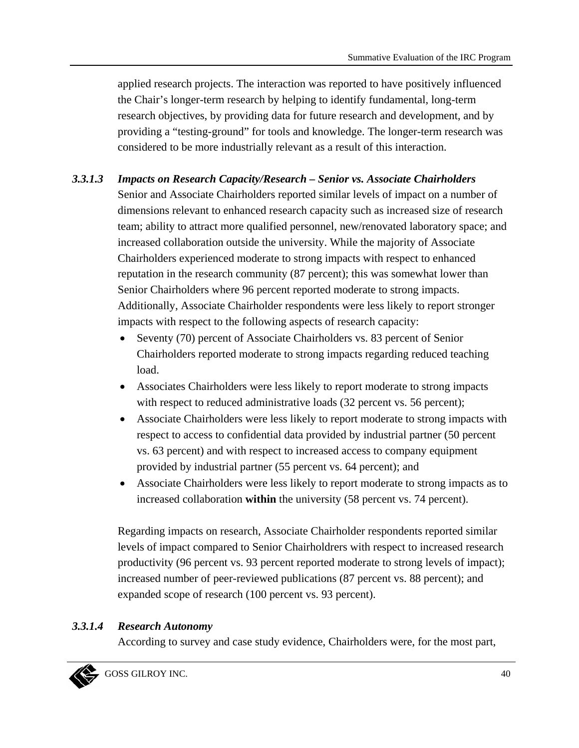applied research projects. The interaction was reported to have positively influenced the Chair's longer-term research by helping to identify fundamental, long-term research objectives, by providing data for future research and development, and by providing a "testing-ground" for tools and knowledge. The longer-term research was considered to be more industrially relevant as a result of this interaction.

#### *3.3.1.3 Impacts on Research Capacity/Research – Senior vs. Associate Chairholders*

Senior and Associate Chairholders reported similar levels of impact on a number of dimensions relevant to enhanced research capacity such as increased size of research team; ability to attract more qualified personnel, new/renovated laboratory space; and increased collaboration outside the university. While the majority of Associate Chairholders experienced moderate to strong impacts with respect to enhanced reputation in the research community (87 percent); this was somewhat lower than Senior Chairholders where 96 percent reported moderate to strong impacts. Additionally, Associate Chairholder respondents were less likely to report stronger impacts with respect to the following aspects of research capacity:

- Seventy (70) percent of Associate Chairholders vs. 83 percent of Senior Chairholders reported moderate to strong impacts regarding reduced teaching load.
- Associates Chairholders were less likely to report moderate to strong impacts with respect to reduced administrative loads (32 percent vs. 56 percent);
- Associate Chairholders were less likely to report moderate to strong impacts with respect to access to confidential data provided by industrial partner (50 percent vs. 63 percent) and with respect to increased access to company equipment provided by industrial partner (55 percent vs. 64 percent); and
- Associate Chairholders were less likely to report moderate to strong impacts as to increased collaboration **within** the university (58 percent vs. 74 percent).

Regarding impacts on research, Associate Chairholder respondents reported similar levels of impact compared to Senior Chairholdrers with respect to increased research productivity (96 percent vs. 93 percent reported moderate to strong levels of impact); increased number of peer-reviewed publications (87 percent vs. 88 percent); and expanded scope of research (100 percent vs. 93 percent).

#### *3.3.1.4 Research Autonomy*

According to survey and case study evidence, Chairholders were, for the most part,

![](_page_61_Picture_11.jpeg)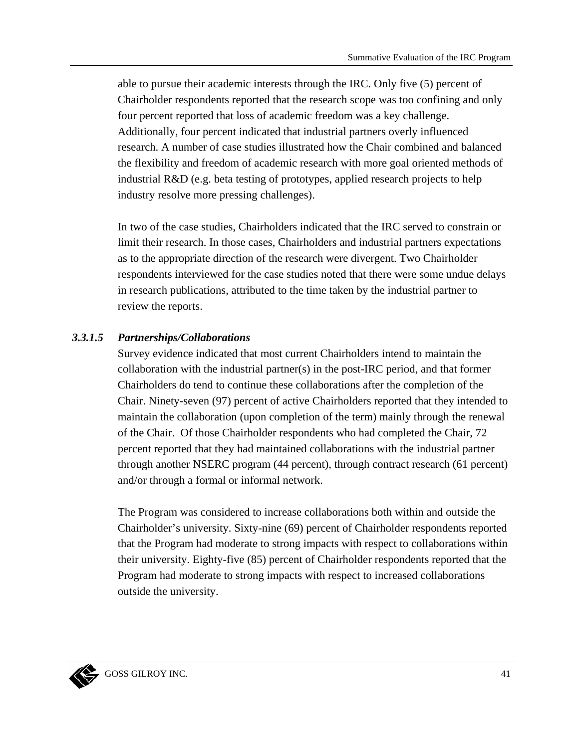able to pursue their academic interests through the IRC. Only five (5) percent of Chairholder respondents reported that the research scope was too confining and only four percent reported that loss of academic freedom was a key challenge. Additionally, four percent indicated that industrial partners overly influenced research. A number of case studies illustrated how the Chair combined and balanced the flexibility and freedom of academic research with more goal oriented methods of industrial R&D (e.g. beta testing of prototypes, applied research projects to help industry resolve more pressing challenges).

In two of the case studies, Chairholders indicated that the IRC served to constrain or limit their research. In those cases, Chairholders and industrial partners expectations as to the appropriate direction of the research were divergent. Two Chairholder respondents interviewed for the case studies noted that there were some undue delays in research publications, attributed to the time taken by the industrial partner to review the reports.

#### *3.3.1.5 Partnerships/Collaborations*

Survey evidence indicated that most current Chairholders intend to maintain the collaboration with the industrial partner(s) in the post-IRC period, and that former Chairholders do tend to continue these collaborations after the completion of the Chair. Ninety-seven (97) percent of active Chairholders reported that they intended to maintain the collaboration (upon completion of the term) mainly through the renewal of the Chair. Of those Chairholder respondents who had completed the Chair, 72 percent reported that they had maintained collaborations with the industrial partner through another NSERC program (44 percent), through contract research (61 percent) and/or through a formal or informal network.

The Program was considered to increase collaborations both within and outside the Chairholder's university. Sixty-nine (69) percent of Chairholder respondents reported that the Program had moderate to strong impacts with respect to collaborations within their university. Eighty-five (85) percent of Chairholder respondents reported that the Program had moderate to strong impacts with respect to increased collaborations outside the university.

![](_page_62_Picture_6.jpeg)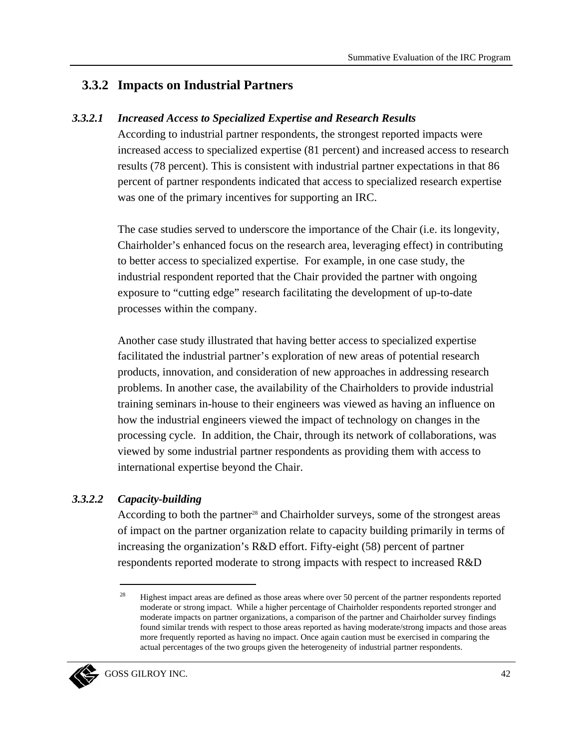## **3.3.2 Impacts on Industrial Partners**

## *3.3.2.1 Increased Access to Specialized Expertise and Research Results*

According to industrial partner respondents, the strongest reported impacts were increased access to specialized expertise (81 percent) and increased access to research results (78 percent). This is consistent with industrial partner expectations in that 86 percent of partner respondents indicated that access to specialized research expertise was one of the primary incentives for supporting an IRC.

The case studies served to underscore the importance of the Chair (i.e. its longevity, Chairholder's enhanced focus on the research area, leveraging effect) in contributing to better access to specialized expertise. For example, in one case study, the industrial respondent reported that the Chair provided the partner with ongoing exposure to "cutting edge" research facilitating the development of up-to-date processes within the company.

Another case study illustrated that having better access to specialized expertise facilitated the industrial partner's exploration of new areas of potential research products, innovation, and consideration of new approaches in addressing research problems. In another case, the availability of the Chairholders to provide industrial training seminars in-house to their engineers was viewed as having an influence on how the industrial engineers viewed the impact of technology on changes in the processing cycle. In addition, the Chair, through its network of collaborations, was viewed by some industrial partner respondents as providing them with access to international expertise beyond the Chair.

## *3.3.2.2 Capacity-building*

 $\overline{a}$ 

According to both the partner<sup>28</sup> and Chairholder surveys, some of the strongest areas of impact on the partner organization relate to capacity building primarily in terms of increasing the organization's R&D effort. Fifty-eight (58) percent of partner respondents reported moderate to strong impacts with respect to increased R&D

<sup>&</sup>lt;sup>28</sup> Highest impact areas are defined as those areas where over 50 percent of the partner respondents reported moderate or strong impact. While a higher percentage of Chairholder respondents reported stronger and moderate impacts on partner organizations, a comparison of the partner and Chairholder survey findings found similar trends with respect to those areas reported as having moderate/strong impacts and those areas more frequently reported as having no impact. Once again caution must be exercised in comparing the actual percentages of the two groups given the heterogeneity of industrial partner respondents.

![](_page_63_Picture_9.jpeg)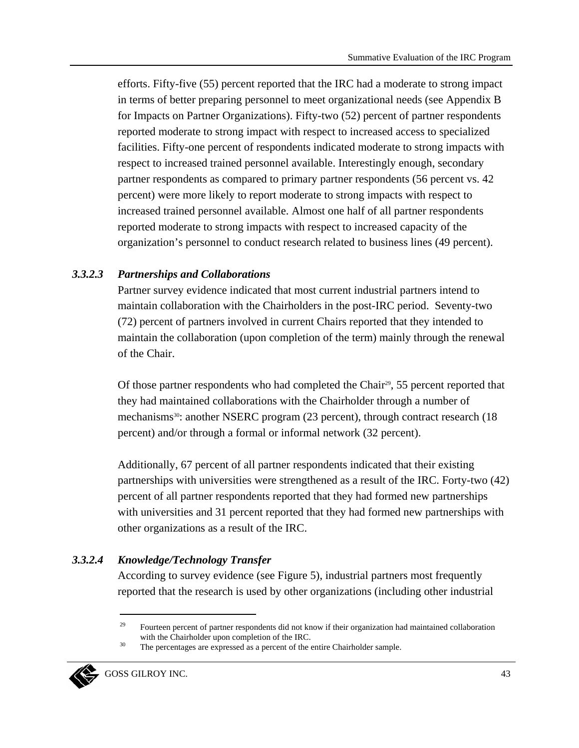efforts. Fifty-five (55) percent reported that the IRC had a moderate to strong impact in terms of better preparing personnel to meet organizational needs (see Appendix B for Impacts on Partner Organizations). Fifty-two (52) percent of partner respondents reported moderate to strong impact with respect to increased access to specialized facilities. Fifty-one percent of respondents indicated moderate to strong impacts with respect to increased trained personnel available. Interestingly enough, secondary partner respondents as compared to primary partner respondents (56 percent vs. 42 percent) were more likely to report moderate to strong impacts with respect to increased trained personnel available. Almost one half of all partner respondents reported moderate to strong impacts with respect to increased capacity of the organization's personnel to conduct research related to business lines (49 percent).

#### *3.3.2.3 Partnerships and Collaborations*

Partner survey evidence indicated that most current industrial partners intend to maintain collaboration with the Chairholders in the post-IRC period. Seventy-two (72) percent of partners involved in current Chairs reported that they intended to maintain the collaboration (upon completion of the term) mainly through the renewal of the Chair.

Of those partner respondents who had completed the Chair<sup>29</sup>, 55 percent reported that they had maintained collaborations with the Chairholder through a number of mechanisms<sup>30</sup>: another NSERC program (23 percent), through contract research (18 percent) and/or through a formal or informal network (32 percent).

Additionally, 67 percent of all partner respondents indicated that their existing partnerships with universities were strengthened as a result of the IRC. Forty-two (42) percent of all partner respondents reported that they had formed new partnerships with universities and 31 percent reported that they had formed new partnerships with other organizations as a result of the IRC.

#### *3.3.2.4 Knowledge/Technology Transfer*

According to survey evidence (see Figure 5), industrial partners most frequently reported that the research is used by other organizations (including other industrial

![](_page_64_Picture_10.jpeg)

<sup>&</sup>lt;sup>29</sup> Fourteen percent of partner respondents did not know if their organization had maintained collaboration with the Chairholder upon completion of the IRC.<br><sup>30</sup> The percentages are expressed as a percent of the entire Chairholder sample.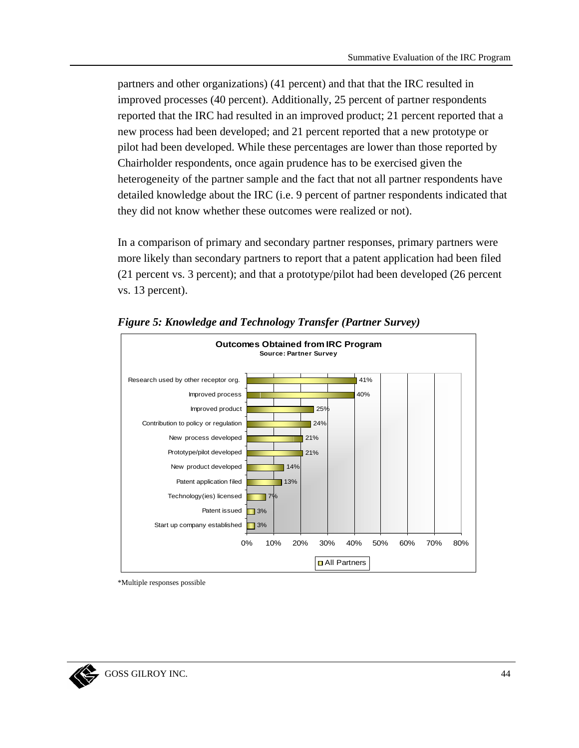partners and other organizations) (41 percent) and that that the IRC resulted in improved processes (40 percent). Additionally, 25 percent of partner respondents reported that the IRC had resulted in an improved product; 21 percent reported that a new process had been developed; and 21 percent reported that a new prototype or pilot had been developed. While these percentages are lower than those reported by Chairholder respondents, once again prudence has to be exercised given the heterogeneity of the partner sample and the fact that not all partner respondents have detailed knowledge about the IRC (i.e. 9 percent of partner respondents indicated that they did not know whether these outcomes were realized or not).

In a comparison of primary and secondary partner responses, primary partners were more likely than secondary partners to report that a patent application had been filed (21 percent vs. 3 percent); and that a prototype/pilot had been developed (26 percent vs. 13 percent).

![](_page_65_Figure_3.jpeg)

*Figure 5: Knowledge and Technology Transfer (Partner Survey)*

\*Multiple responses possible

![](_page_65_Picture_6.jpeg)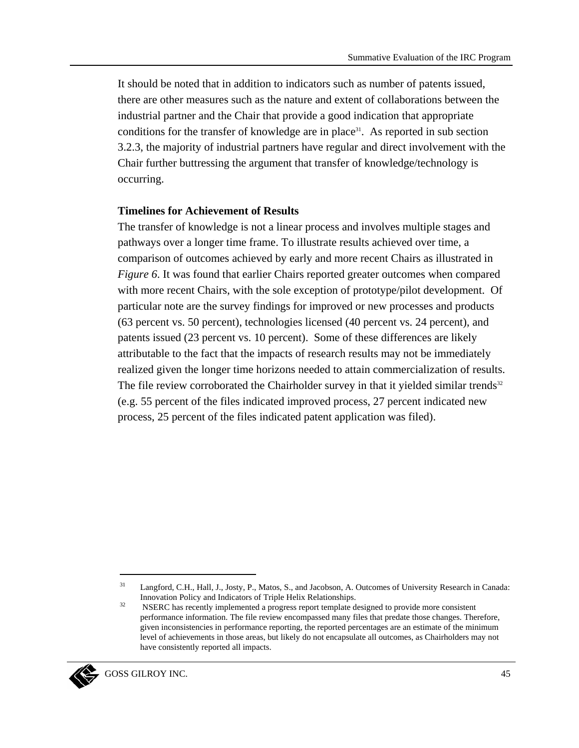It should be noted that in addition to indicators such as number of patents issued, there are other measures such as the nature and extent of collaborations between the industrial partner and the Chair that provide a good indication that appropriate conditions for the transfer of knowledge are in place $3<sup>1</sup>$ . As reported in sub section 3.2.3, the majority of industrial partners have regular and direct involvement with the Chair further buttressing the argument that transfer of knowledge/technology is occurring.

#### **Timelines for Achievement of Results**

The transfer of knowledge is not a linear process and involves multiple stages and pathways over a longer time frame. To illustrate results achieved over time, a comparison of outcomes achieved by early and more recent Chairs as illustrated in *Figure 6*. It was found that earlier Chairs reported greater outcomes when compared with more recent Chairs, with the sole exception of prototype/pilot development. Of particular note are the survey findings for improved or new processes and products (63 percent vs. 50 percent), technologies licensed (40 percent vs. 24 percent), and patents issued (23 percent vs. 10 percent). Some of these differences are likely attributable to the fact that the impacts of research results may not be immediately realized given the longer time horizons needed to attain commercialization of results. The file review corroborated the Chairholder survey in that it yielded similar trends $32$ (e.g. 55 percent of the files indicated improved process, 27 percent indicated new process, 25 percent of the files indicated patent application was filed).

performance information. The file review encompassed many files that predate those changes. Therefore, given inconsistencies in performance reporting, the reported percentages are an estimate of the minimum level of achievements in those areas, but likely do not encapsulate all outcomes, as Chairholders may not have consistently reported all impacts.

![](_page_66_Picture_6.jpeg)

<sup>&</sup>lt;sup>31</sup> Langford, C.H., Hall, J., Josty, P., Matos, S., and Jacobson, A. Outcomes of University Research in Canada: Innovation Policy and Indicators of Triple Helix Relationships. 32 NSERC has recently implemented a progress report template designed to provide more consistent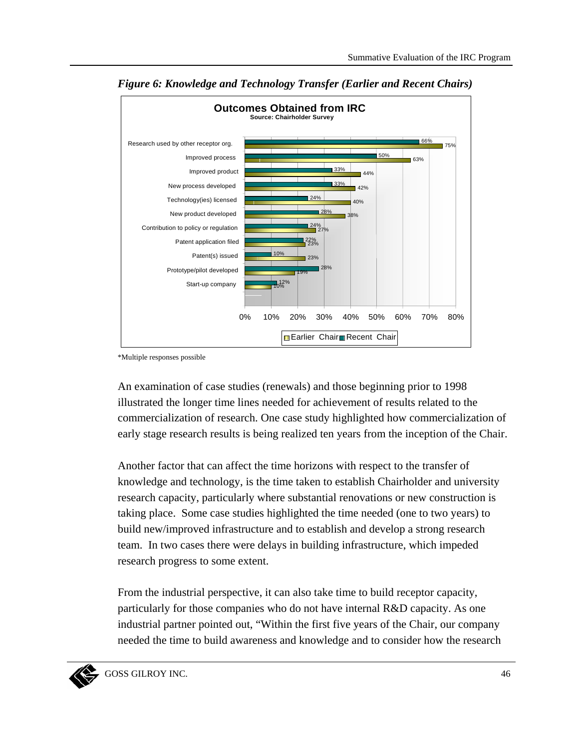![](_page_67_Figure_1.jpeg)

*Figure 6: Knowledge and Technology Transfer (Earlier and Recent Chairs)* 

\*Multiple responses possible

An examination of case studies (renewals) and those beginning prior to 1998 illustrated the longer time lines needed for achievement of results related to the commercialization of research. One case study highlighted how commercialization of early stage research results is being realized ten years from the inception of the Chair.

Another factor that can affect the time horizons with respect to the transfer of knowledge and technology, is the time taken to establish Chairholder and university research capacity, particularly where substantial renovations or new construction is taking place. Some case studies highlighted the time needed (one to two years) to build new/improved infrastructure and to establish and develop a strong research team. In two cases there were delays in building infrastructure, which impeded research progress to some extent.

From the industrial perspective, it can also take time to build receptor capacity, particularly for those companies who do not have internal R&D capacity. As one industrial partner pointed out, "Within the first five years of the Chair, our company needed the time to build awareness and knowledge and to consider how the research

![](_page_67_Picture_7.jpeg)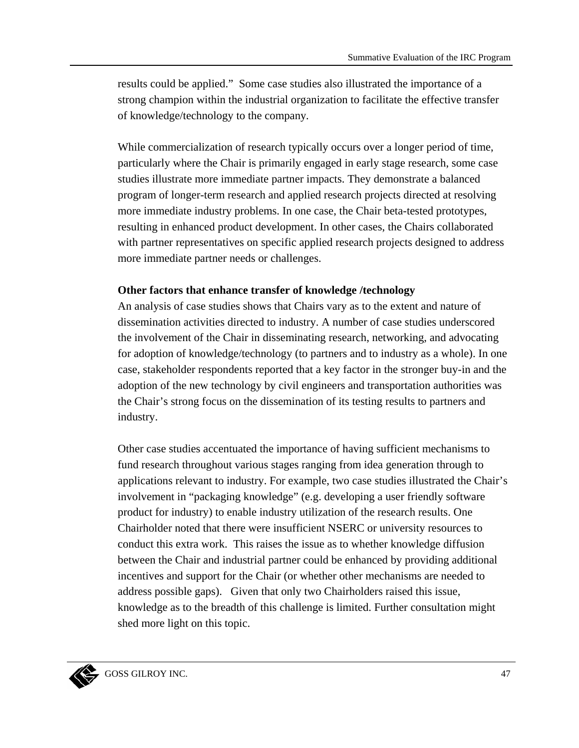results could be applied." Some case studies also illustrated the importance of a strong champion within the industrial organization to facilitate the effective transfer of knowledge/technology to the company*.* 

While commercialization of research typically occurs over a longer period of time, particularly where the Chair is primarily engaged in early stage research, some case studies illustrate more immediate partner impacts. They demonstrate a balanced program of longer-term research and applied research projects directed at resolving more immediate industry problems. In one case, the Chair beta-tested prototypes, resulting in enhanced product development. In other cases, the Chairs collaborated with partner representatives on specific applied research projects designed to address more immediate partner needs or challenges.

#### **Other factors that enhance transfer of knowledge /technology**

An analysis of case studies shows that Chairs vary as to the extent and nature of dissemination activities directed to industry. A number of case studies underscored the involvement of the Chair in disseminating research, networking, and advocating for adoption of knowledge/technology (to partners and to industry as a whole). In one case, stakeholder respondents reported that a key factor in the stronger buy-in and the adoption of the new technology by civil engineers and transportation authorities was the Chair's strong focus on the dissemination of its testing results to partners and industry.

Other case studies accentuated the importance of having sufficient mechanisms to fund research throughout various stages ranging from idea generation through to applications relevant to industry. For example, two case studies illustrated the Chair's involvement in "packaging knowledge" (e.g. developing a user friendly software product for industry) to enable industry utilization of the research results. One Chairholder noted that there were insufficient NSERC or university resources to conduct this extra work. This raises the issue as to whether knowledge diffusion between the Chair and industrial partner could be enhanced by providing additional incentives and support for the Chair (or whether other mechanisms are needed to address possible gaps). Given that only two Chairholders raised this issue, knowledge as to the breadth of this challenge is limited. Further consultation might shed more light on this topic.

![](_page_68_Picture_6.jpeg)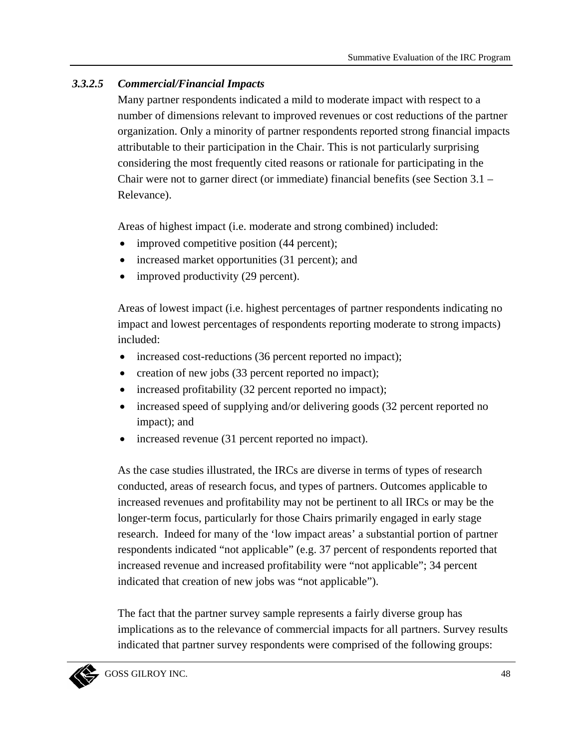## *3.3.2.5 Commercial/Financial Impacts*

Many partner respondents indicated a mild to moderate impact with respect to a number of dimensions relevant to improved revenues or cost reductions of the partner organization. Only a minority of partner respondents reported strong financial impacts attributable to their participation in the Chair. This is not particularly surprising considering the most frequently cited reasons or rationale for participating in the Chair were not to garner direct (or immediate) financial benefits (see Section 3.1 – Relevance).

Areas of highest impact (i.e. moderate and strong combined) included:

- improved competitive position (44 percent);
- increased market opportunities (31 percent); and
- improved productivity (29 percent).

Areas of lowest impact (i.e. highest percentages of partner respondents indicating no impact and lowest percentages of respondents reporting moderate to strong impacts) included:

- increased cost-reductions (36 percent reported no impact);
- creation of new jobs (33 percent reported no impact);
- increased profitability (32 percent reported no impact);
- increased speed of supplying and/or delivering goods (32 percent reported no impact); and
- increased revenue (31 percent reported no impact).

As the case studies illustrated, the IRCs are diverse in terms of types of research conducted, areas of research focus, and types of partners. Outcomes applicable to increased revenues and profitability may not be pertinent to all IRCs or may be the longer-term focus, particularly for those Chairs primarily engaged in early stage research. Indeed for many of the 'low impact areas' a substantial portion of partner respondents indicated "not applicable" (e.g. 37 percent of respondents reported that increased revenue and increased profitability were "not applicable"; 34 percent indicated that creation of new jobs was "not applicable").

The fact that the partner survey sample represents a fairly diverse group has implications as to the relevance of commercial impacts for all partners. Survey results indicated that partner survey respondents were comprised of the following groups:

![](_page_69_Picture_15.jpeg)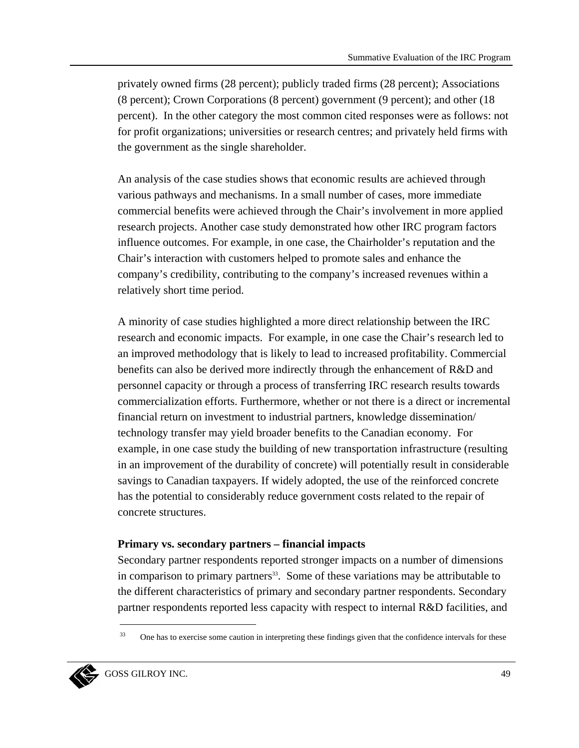privately owned firms (28 percent); publicly traded firms (28 percent); Associations (8 percent); Crown Corporations (8 percent) government (9 percent); and other (18 percent). In the other category the most common cited responses were as follows: not for profit organizations; universities or research centres; and privately held firms with the government as the single shareholder.

An analysis of the case studies shows that economic results are achieved through various pathways and mechanisms. In a small number of cases, more immediate commercial benefits were achieved through the Chair's involvement in more applied research projects. Another case study demonstrated how other IRC program factors influence outcomes. For example, in one case, the Chairholder's reputation and the Chair's interaction with customers helped to promote sales and enhance the company's credibility, contributing to the company's increased revenues within a relatively short time period.

A minority of case studies highlighted a more direct relationship between the IRC research and economic impacts. For example, in one case the Chair's research led to an improved methodology that is likely to lead to increased profitability. Commercial benefits can also be derived more indirectly through the enhancement of R&D and personnel capacity or through a process of transferring IRC research results towards commercialization efforts. Furthermore, whether or not there is a direct or incremental financial return on investment to industrial partners, knowledge dissemination/ technology transfer may yield broader benefits to the Canadian economy. For example, in one case study the building of new transportation infrastructure (resulting in an improvement of the durability of concrete) will potentially result in considerable savings to Canadian taxpayers. If widely adopted, the use of the reinforced concrete has the potential to considerably reduce government costs related to the repair of concrete structures.

#### **Primary vs. secondary partners – financial impacts**

Secondary partner respondents reported stronger impacts on a number of dimensions in comparison to primary partners<sup>33</sup>. Some of these variations may be attributable to the different characteristics of primary and secondary partner respondents. Secondary partner respondents reported less capacity with respect to internal R&D facilities, and

<sup>&</sup>lt;sup>33</sup> One has to exercise some caution in interpreting these findings given that the confidence intervals for these

![](_page_70_Picture_7.jpeg)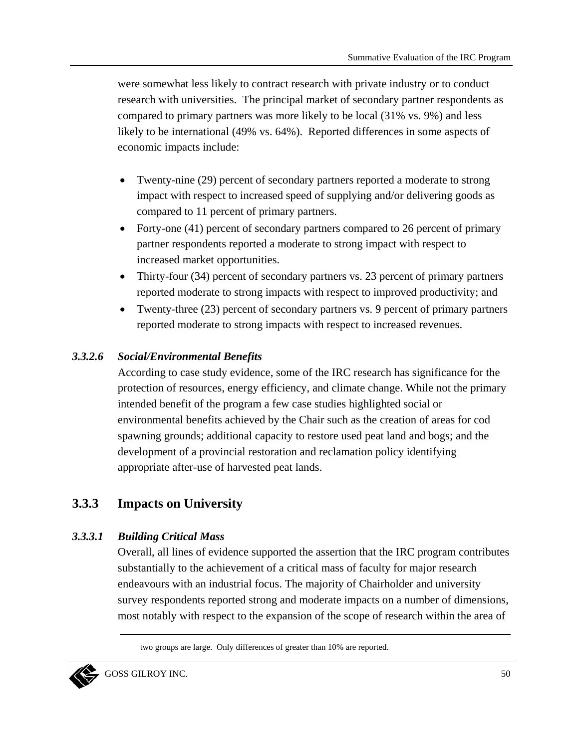were somewhat less likely to contract research with private industry or to conduct research with universities. The principal market of secondary partner respondents as compared to primary partners was more likely to be local (31% vs. 9%) and less likely to be international (49% vs. 64%). Reported differences in some aspects of economic impacts include:

- Twenty-nine (29) percent of secondary partners reported a moderate to strong impact with respect to increased speed of supplying and/or delivering goods as compared to 11 percent of primary partners.
- Forty-one (41) percent of secondary partners compared to 26 percent of primary partner respondents reported a moderate to strong impact with respect to increased market opportunities.
- Thirty-four (34) percent of secondary partners vs. 23 percent of primary partners reported moderate to strong impacts with respect to improved productivity; and
- Twenty-three (23) percent of secondary partners vs. 9 percent of primary partners reported moderate to strong impacts with respect to increased revenues.

#### *3.3.2.6 Social/Environmental Benefits*

According to case study evidence, some of the IRC research has significance for the protection of resources, energy efficiency, and climate change. While not the primary intended benefit of the program a few case studies highlighted social or environmental benefits achieved by the Chair such as the creation of areas for cod spawning grounds; additional capacity to restore used peat land and bogs; and the development of a provincial restoration and reclamation policy identifying appropriate after-use of harvested peat lands.

## **3.3.3 Impacts on University**

## *3.3.3.1 Building Critical Mass*

Overall, all lines of evidence supported the assertion that the IRC program contributes substantially to the achievement of a critical mass of faculty for major research endeavours with an industrial focus. The majority of Chairholder and university survey respondents reported strong and moderate impacts on a number of dimensions, most notably with respect to the expansion of the scope of research within the area of

two groups are large. Only differences of greater than 10% are reported.

![](_page_71_Picture_12.jpeg)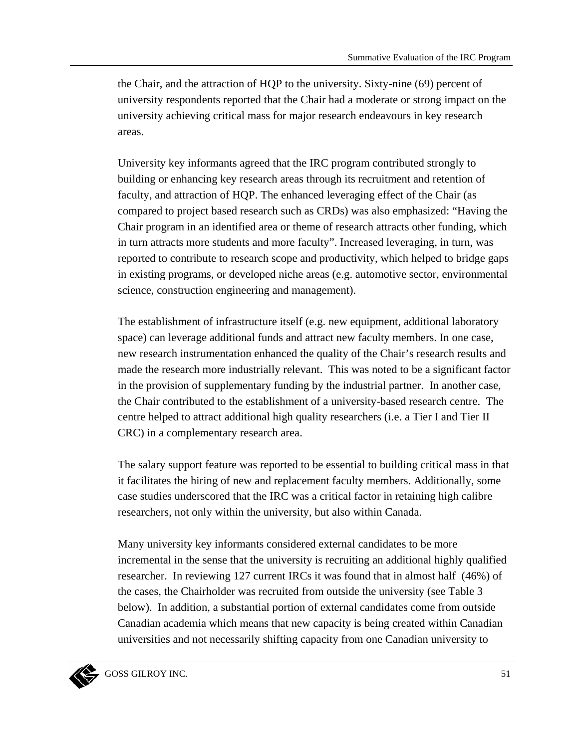the Chair, and the attraction of HQP to the university. Sixty-nine (69) percent of university respondents reported that the Chair had a moderate or strong impact on the university achieving critical mass for major research endeavours in key research areas.

University key informants agreed that the IRC program contributed strongly to building or enhancing key research areas through its recruitment and retention of faculty, and attraction of HQP. The enhanced leveraging effect of the Chair (as compared to project based research such as CRDs) was also emphasized: "Having the Chair program in an identified area or theme of research attracts other funding, which in turn attracts more students and more faculty". Increased leveraging, in turn, was reported to contribute to research scope and productivity, which helped to bridge gaps in existing programs, or developed niche areas (e.g. automotive sector, environmental science, construction engineering and management).

The establishment of infrastructure itself (e.g. new equipment, additional laboratory space) can leverage additional funds and attract new faculty members. In one case, new research instrumentation enhanced the quality of the Chair's research results and made the research more industrially relevant. This was noted to be a significant factor in the provision of supplementary funding by the industrial partner. In another case, the Chair contributed to the establishment of a university-based research centre. The centre helped to attract additional high quality researchers (i.e. a Tier I and Tier II CRC) in a complementary research area.

The salary support feature was reported to be essential to building critical mass in that it facilitates the hiring of new and replacement faculty members. Additionally, some case studies underscored that the IRC was a critical factor in retaining high calibre researchers, not only within the university, but also within Canada.

Many university key informants considered external candidates to be more incremental in the sense that the university is recruiting an additional highly qualified researcher. In reviewing 127 current IRCs it was found that in almost half (46%) of the cases, the Chairholder was recruited from outside the university (see Table 3 below). In addition, a substantial portion of external candidates come from outside Canadian academia which means that new capacity is being created within Canadian universities and not necessarily shifting capacity from one Canadian university to

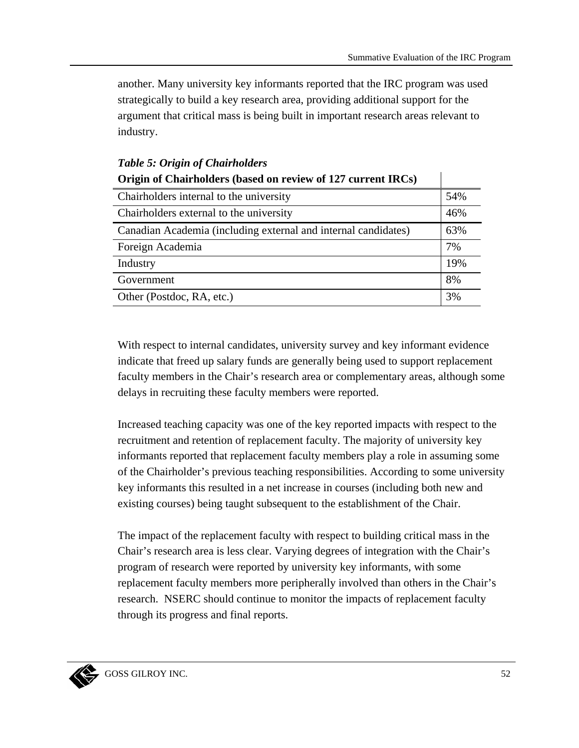another. Many university key informants reported that the IRC program was used strategically to build a key research area, providing additional support for the argument that critical mass is being built in important research areas relevant to industry.

| <b>Table 5: Origin of Chairholders</b>                         |     |
|----------------------------------------------------------------|-----|
| Origin of Chairholders (based on review of 127 current IRCs)   |     |
| Chairholders internal to the university                        | 54% |
| Chairholders external to the university                        | 46% |
| Canadian Academia (including external and internal candidates) | 63% |
| Foreign Academia                                               | 7%  |
| Industry                                                       | 19% |
| Government                                                     | 8%  |
| Other (Postdoc, RA, etc.)                                      | 3%  |

*Table 5: Origin of Chairholders* 

With respect to internal candidates, university survey and key informant evidence indicate that freed up salary funds are generally being used to support replacement faculty members in the Chair's research area or complementary areas, although some delays in recruiting these faculty members were reported.

Increased teaching capacity was one of the key reported impacts with respect to the recruitment and retention of replacement faculty. The majority of university key informants reported that replacement faculty members play a role in assuming some of the Chairholder's previous teaching responsibilities. According to some university key informants this resulted in a net increase in courses (including both new and existing courses) being taught subsequent to the establishment of the Chair.

The impact of the replacement faculty with respect to building critical mass in the Chair's research area is less clear. Varying degrees of integration with the Chair's program of research were reported by university key informants, with some replacement faculty members more peripherally involved than others in the Chair's research. NSERC should continue to monitor the impacts of replacement faculty through its progress and final reports.

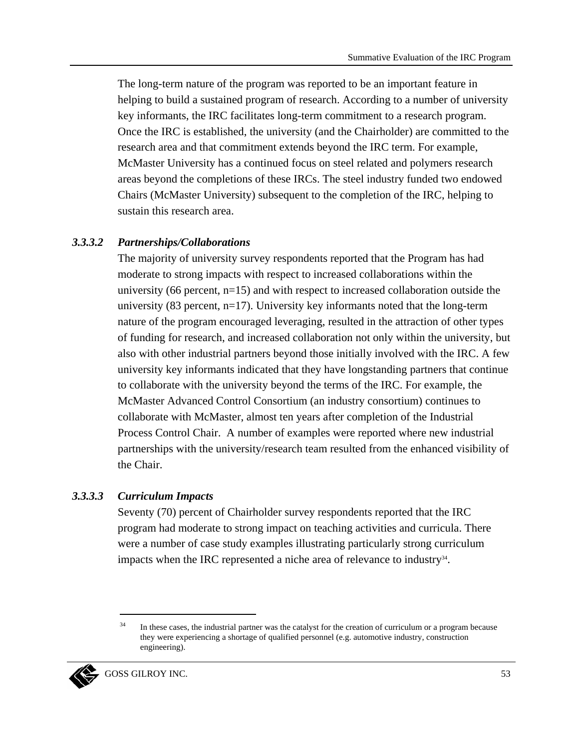The long-term nature of the program was reported to be an important feature in helping to build a sustained program of research. According to a number of university key informants, the IRC facilitates long-term commitment to a research program. Once the IRC is established, the university (and the Chairholder) are committed to the research area and that commitment extends beyond the IRC term. For example, McMaster University has a continued focus on steel related and polymers research areas beyond the completions of these IRCs. The steel industry funded two endowed Chairs (McMaster University) subsequent to the completion of the IRC, helping to sustain this research area.

#### *3.3.3.2 Partnerships/Collaborations*

The majority of university survey respondents reported that the Program has had moderate to strong impacts with respect to increased collaborations within the university (66 percent,  $n=15$ ) and with respect to increased collaboration outside the university (83 percent,  $n=17$ ). University key informants noted that the long-term nature of the program encouraged leveraging, resulted in the attraction of other types of funding for research, and increased collaboration not only within the university, but also with other industrial partners beyond those initially involved with the IRC. A few university key informants indicated that they have longstanding partners that continue to collaborate with the university beyond the terms of the IRC. For example, the McMaster Advanced Control Consortium (an industry consortium) continues to collaborate with McMaster, almost ten years after completion of the Industrial Process Control Chair. A number of examples were reported where new industrial partnerships with the university/research team resulted from the enhanced visibility of the Chair.

#### *3.3.3.3 Curriculum Impacts*

Seventy (70) percent of Chairholder survey respondents reported that the IRC program had moderate to strong impact on teaching activities and curricula. There were a number of case study examples illustrating particularly strong curriculum impacts when the IRC represented a niche area of relevance to industry $34$ .

<sup>&</sup>lt;sup>34</sup> In these cases, the industrial partner was the catalyst for the creation of curriculum or a program because they were experiencing a shortage of qualified personnel (e.g. automotive industry, construction engineering).



 $\overline{a}$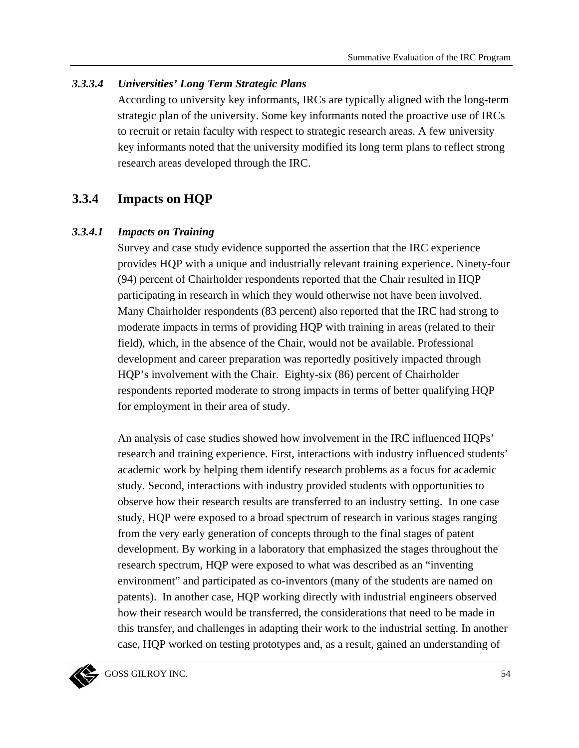## *3.3.3.4 Universities' Long Term Strategic Plans*

According to university key informants, IRCs are typically aligned with the long-term strategic plan of the university. Some key informants noted the proactive use of IRCs to recruit or retain faculty with respect to strategic research areas. A few university key informants noted that the university modified its long term plans to reflect strong research areas developed through the IRC.

## **3.3.4 Impacts on HQP**

#### *3.3.4.1 Impacts on Training*

Survey and case study evidence supported the assertion that the IRC experience provides HQP with a unique and industrially relevant training experience. Ninety-four (94) percent of Chairholder respondents reported that the Chair resulted in HQP participating in research in which they would otherwise not have been involved. Many Chairholder respondents (83 percent) also reported that the IRC had strong to moderate impacts in terms of providing HQP with training in areas (related to their field), which, in the absence of the Chair, would not be available. Professional development and career preparation was reportedly positively impacted through HQP's involvement with the Chair. Eighty-six (86) percent of Chairholder respondents reported moderate to strong impacts in terms of better qualifying HQP for employment in their area of study.

An analysis of case studies showed how involvement in the IRC influenced HQPs' research and training experience. First, interactions with industry influenced students' academic work by helping them identify research problems as a focus for academic study. Second, interactions with industry provided students with opportunities to observe how their research results are transferred to an industry setting. In one case study, HQP were exposed to a broad spectrum of research in various stages ranging from the very early generation of concepts through to the final stages of patent development. By working in a laboratory that emphasized the stages throughout the research spectrum, HQP were exposed to what was described as an "inventing environment" and participated as co-inventors (many of the students are named on patents). In another case, HQP working directly with industrial engineers observed how their research would be transferred, the considerations that need to be made in this transfer, and challenges in adapting their work to the industrial setting. In another case, HQP worked on testing prototypes and, as a result, gained an understanding of

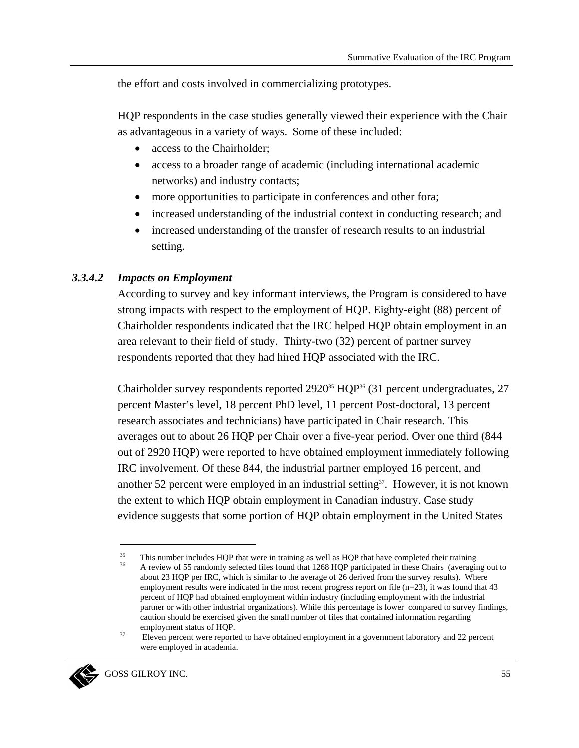the effort and costs involved in commercializing prototypes.

HQP respondents in the case studies generally viewed their experience with the Chair as advantageous in a variety of ways. Some of these included:

- access to the Chairholder;
- access to a broader range of academic (including international academic networks) and industry contacts;
- more opportunities to participate in conferences and other fora;
- increased understanding of the industrial context in conducting research; and
- increased understanding of the transfer of research results to an industrial setting.

#### *3.3.4.2 Impacts on Employment*

According to survey and key informant interviews, the Program is considered to have strong impacts with respect to the employment of HQP. Eighty-eight (88) percent of Chairholder respondents indicated that the IRC helped HQP obtain employment in an area relevant to their field of study. Thirty-two (32) percent of partner survey respondents reported that they had hired HQP associated with the IRC.

Chairholder survey respondents reported 2920<sup>35</sup> HQP<sup>36</sup> (31 percent undergraduates, 27 percent Master's level, 18 percent PhD level, 11 percent Post-doctoral, 13 percent research associates and technicians) have participated in Chair research. This averages out to about 26 HQP per Chair over a five-year period. Over one third (844 out of 2920 HQP) were reported to have obtained employment immediately following IRC involvement. Of these 844, the industrial partner employed 16 percent, and another 52 percent were employed in an industrial setting<sup>37</sup>. However, it is not known the extent to which HQP obtain employment in Canadian industry. Case study evidence suggests that some portion of HQP obtain employment in the United States

employment status of HQP.<br><sup>37</sup> Eleven percent were reported to have obtained employment in a government laboratory and 22 percent were employed in academia.



 $\overline{a}$ 

<sup>&</sup>lt;sup>35</sup> This number includes HQP that were in training as well as HQP that have completed their training  $\alpha$  are view of 55 randomly selected files found that 1268 HQP participated in these Chairs (averaging out to

about 23 HQP per IRC, which is similar to the average of 26 derived from the survey results). Where employment results were indicated in the most recent progress report on file (n=23), it was found that 43 percent of HQP had obtained employment within industry (including employment with the industrial partner or with other industrial organizations). While this percentage is lower compared to survey findings, caution should be exercised given the small number of files that contained information regarding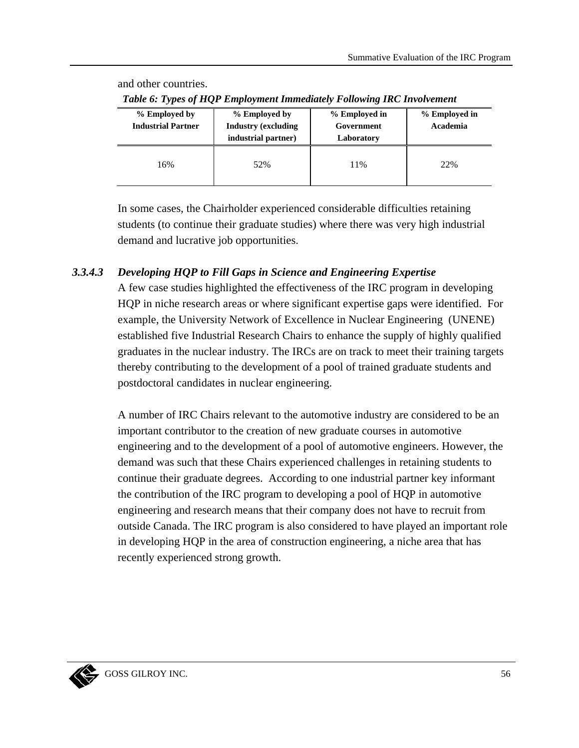| % Employed by<br><b>Industrial Partner</b> | % Employed by<br><b>Industry (excluding</b><br>industrial partner) | % Employed in<br>Government<br>Laboratory | % Employed in<br>Academia |
|--------------------------------------------|--------------------------------------------------------------------|-------------------------------------------|---------------------------|
| 16%                                        | 52%                                                                | 11%                                       | 22%                       |

and other countries.

In some cases, the Chairholder experienced considerable difficulties retaining students (to continue their graduate studies) where there was very high industrial demand and lucrative job opportunities.

### *3.3.4.3 Developing HQP to Fill Gaps in Science and Engineering Expertise*

A few case studies highlighted the effectiveness of the IRC program in developing HQP in niche research areas or where significant expertise gaps were identified. For example, the University Network of Excellence in Nuclear Engineering (UNENE) established five Industrial Research Chairs to enhance the supply of highly qualified graduates in the nuclear industry. The IRCs are on track to meet their training targets thereby contributing to the development of a pool of trained graduate students and postdoctoral candidates in nuclear engineering.

A number of IRC Chairs relevant to the automotive industry are considered to be an important contributor to the creation of new graduate courses in automotive engineering and to the development of a pool of automotive engineers. However, the demand was such that these Chairs experienced challenges in retaining students to continue their graduate degrees. According to one industrial partner key informant the contribution of the IRC program to developing a pool of HQP in automotive engineering and research means that their company does not have to recruit from outside Canada. The IRC program is also considered to have played an important role in developing HQP in the area of construction engineering, a niche area that has recently experienced strong growth.

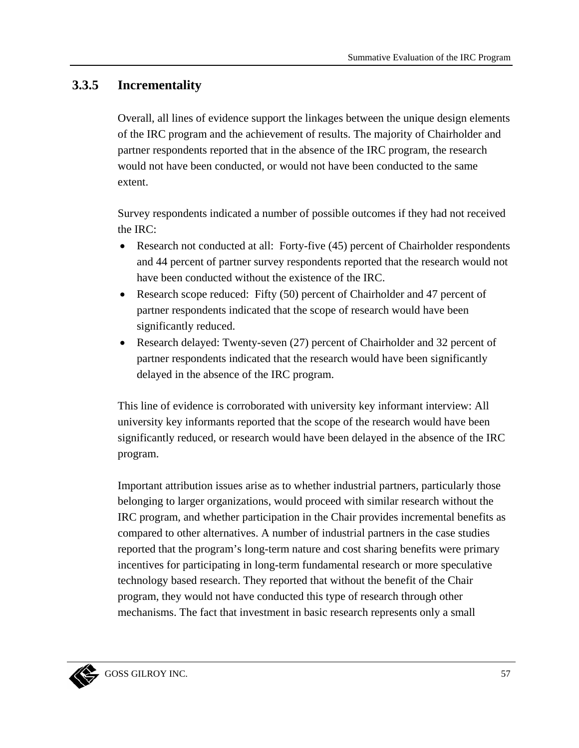## **3.3.5 Incrementality**

Overall, all lines of evidence support the linkages between the unique design elements of the IRC program and the achievement of results. The majority of Chairholder and partner respondents reported that in the absence of the IRC program, the research would not have been conducted, or would not have been conducted to the same extent.

Survey respondents indicated a number of possible outcomes if they had not received the IRC:

- Research not conducted at all: Forty-five (45) percent of Chairholder respondents and 44 percent of partner survey respondents reported that the research would not have been conducted without the existence of the IRC.
- Research scope reduced: Fifty (50) percent of Chairholder and 47 percent of partner respondents indicated that the scope of research would have been significantly reduced.
- Research delayed: Twenty-seven (27) percent of Chairholder and 32 percent of partner respondents indicated that the research would have been significantly delayed in the absence of the IRC program.

This line of evidence is corroborated with university key informant interview: All university key informants reported that the scope of the research would have been significantly reduced, or research would have been delayed in the absence of the IRC program.

Important attribution issues arise as to whether industrial partners, particularly those belonging to larger organizations, would proceed with similar research without the IRC program, and whether participation in the Chair provides incremental benefits as compared to other alternatives. A number of industrial partners in the case studies reported that the program's long-term nature and cost sharing benefits were primary incentives for participating in long-term fundamental research or more speculative technology based research. They reported that without the benefit of the Chair program, they would not have conducted this type of research through other mechanisms. The fact that investment in basic research represents only a small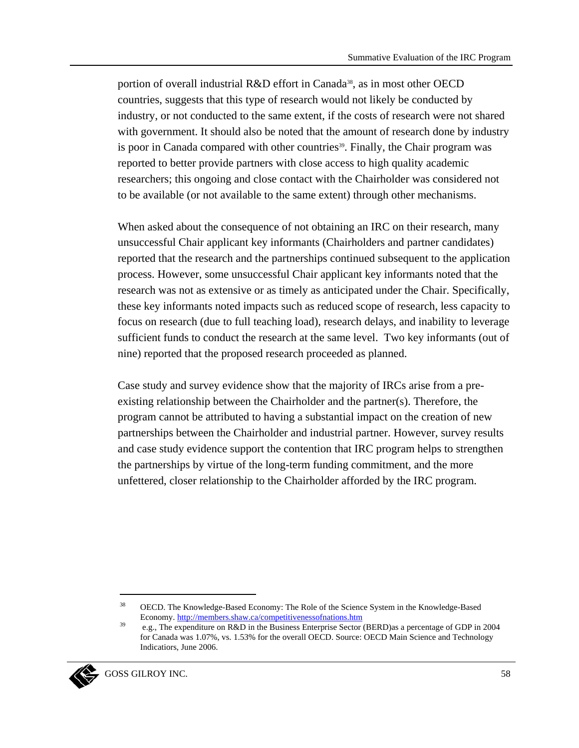portion of overall industrial R&D effort in Canada<sup>38</sup>, as in most other OECD countries, suggests that this type of research would not likely be conducted by industry, or not conducted to the same extent, if the costs of research were not shared with government. It should also be noted that the amount of research done by industry is poor in Canada compared with other countries<sup>39</sup>. Finally, the Chair program was reported to better provide partners with close access to high quality academic researchers; this ongoing and close contact with the Chairholder was considered not to be available (or not available to the same extent) through other mechanisms.

When asked about the consequence of not obtaining an IRC on their research, many unsuccessful Chair applicant key informants (Chairholders and partner candidates) reported that the research and the partnerships continued subsequent to the application process. However, some unsuccessful Chair applicant key informants noted that the research was not as extensive or as timely as anticipated under the Chair. Specifically, these key informants noted impacts such as reduced scope of research, less capacity to focus on research (due to full teaching load), research delays, and inability to leverage sufficient funds to conduct the research at the same level. Two key informants (out of nine) reported that the proposed research proceeded as planned.

Case study and survey evidence show that the majority of IRCs arise from a preexisting relationship between the Chairholder and the partner(s). Therefore, the program cannot be attributed to having a substantial impact on the creation of new partnerships between the Chairholder and industrial partner. However, survey results and case study evidence support the contention that IRC program helps to strengthen the partnerships by virtue of the long-term funding commitment, and the more unfettered, closer relationship to the Chairholder afforded by the IRC program.

Economy. http://members.shaw.ca/competitivenessofnations.htm e.g., The expenditure on R&D in the Business Enterprise Sector (BERD)as a percentage of GDP in 2004 for Canada was 1.07%, vs. 1.53% for the overall OECD. Source: OECD Main Science and Technology Indicatiors, June 2006.



 $\overline{a}$ 

<sup>&</sup>lt;sup>38</sup> OECD. The Knowledge-Based Economy: The Role of the Science System in the Knowledge-Based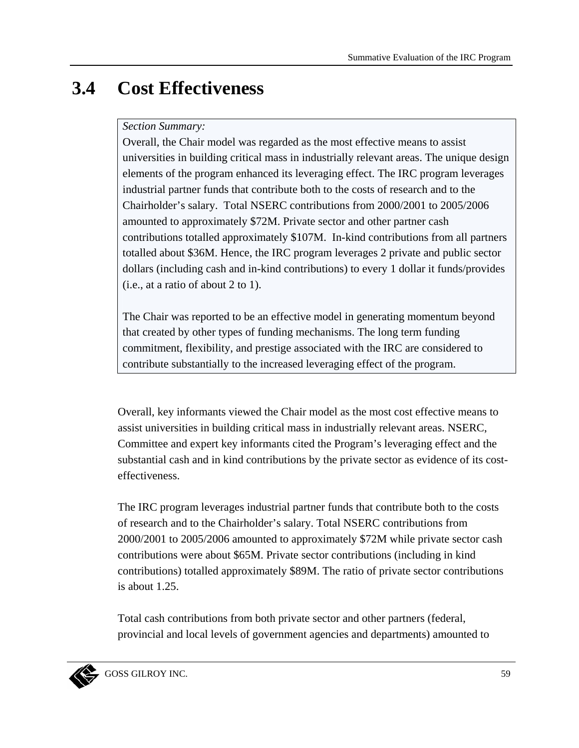## **3.4 Cost Effectiveness**

### *Section Summary:*

Overall, the Chair model was regarded as the most effective means to assist universities in building critical mass in industrially relevant areas. The unique design elements of the program enhanced its leveraging effect. The IRC program leverages industrial partner funds that contribute both to the costs of research and to the Chairholder's salary. Total NSERC contributions from 2000/2001 to 2005/2006 amounted to approximately \$72M. Private sector and other partner cash contributions totalled approximately \$107M. In-kind contributions from all partners totalled about \$36M. Hence, the IRC program leverages 2 private and public sector dollars (including cash and in-kind contributions) to every 1 dollar it funds/provides (i.e., at a ratio of about 2 to 1).

The Chair was reported to be an effective model in generating momentum beyond that created by other types of funding mechanisms. The long term funding commitment, flexibility, and prestige associated with the IRC are considered to contribute substantially to the increased leveraging effect of the program.

Overall, key informants viewed the Chair model as the most cost effective means to assist universities in building critical mass in industrially relevant areas. NSERC, Committee and expert key informants cited the Program's leveraging effect and the substantial cash and in kind contributions by the private sector as evidence of its costeffectiveness.

The IRC program leverages industrial partner funds that contribute both to the costs of research and to the Chairholder's salary. Total NSERC contributions from 2000/2001 to 2005/2006 amounted to approximately \$72M while private sector cash contributions were about \$65M. Private sector contributions (including in kind contributions) totalled approximately \$89M. The ratio of private sector contributions is about 1.25.

Total cash contributions from both private sector and other partners (federal, provincial and local levels of government agencies and departments) amounted to

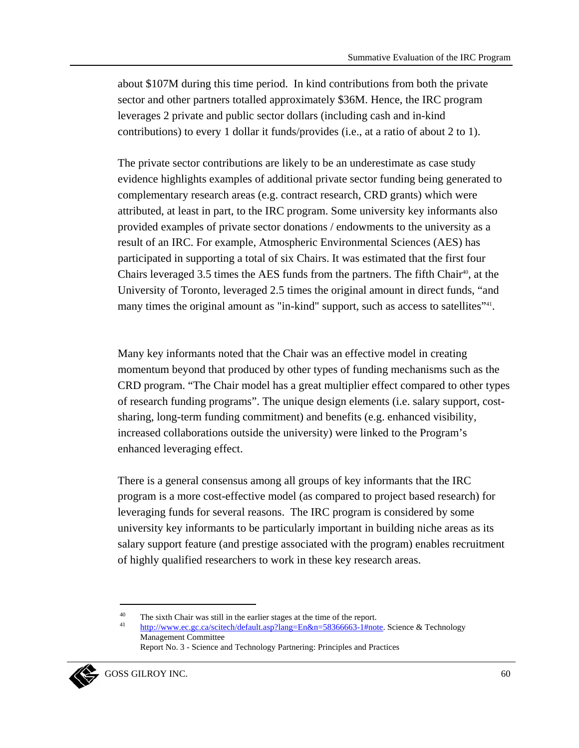about \$107M during this time period. In kind contributions from both the private sector and other partners totalled approximately \$36M. Hence, the IRC program leverages 2 private and public sector dollars (including cash and in-kind contributions) to every 1 dollar it funds/provides (i.e., at a ratio of about 2 to 1).

The private sector contributions are likely to be an underestimate as case study evidence highlights examples of additional private sector funding being generated to complementary research areas (e.g. contract research, CRD grants) which were attributed, at least in part, to the IRC program. Some university key informants also provided examples of private sector donations / endowments to the university as a result of an IRC. For example, Atmospheric Environmental Sciences (AES) has participated in supporting a total of six Chairs. It was estimated that the first four Chairs leveraged 3.5 times the AES funds from the partners. The fifth Chair<sup>40</sup>, at the University of Toronto, leveraged 2.5 times the original amount in direct funds, "and many times the original amount as "in-kind" support, such as access to satellites"<sup>41</sup>.

Many key informants noted that the Chair was an effective model in creating momentum beyond that produced by other types of funding mechanisms such as the CRD program. "The Chair model has a great multiplier effect compared to other types of research funding programs". The unique design elements (i.e. salary support, costsharing, long-term funding commitment) and benefits (e.g. enhanced visibility, increased collaborations outside the university) were linked to the Program's enhanced leveraging effect.

There is a general consensus among all groups of key informants that the IRC program is a more cost-effective model (as compared to project based research) for leveraging funds for several reasons. The IRC program is considered by some university key informants to be particularly important in building niche areas as its salary support feature (and prestige associated with the program) enables recruitment of highly qualified researchers to work in these key research areas.

<sup>&</sup>lt;sup>40</sup> The sixth Chair was still in the earlier stages at the time of the report.<br><sup>41</sup> http://www.ec.gc.ca/scitech/default.asp?lang=En&n=58366663-1#note. Science & Technology Management Committee Report No. 3 - Science and Technology Partnering: Principles and Practices



 $\overline{a}$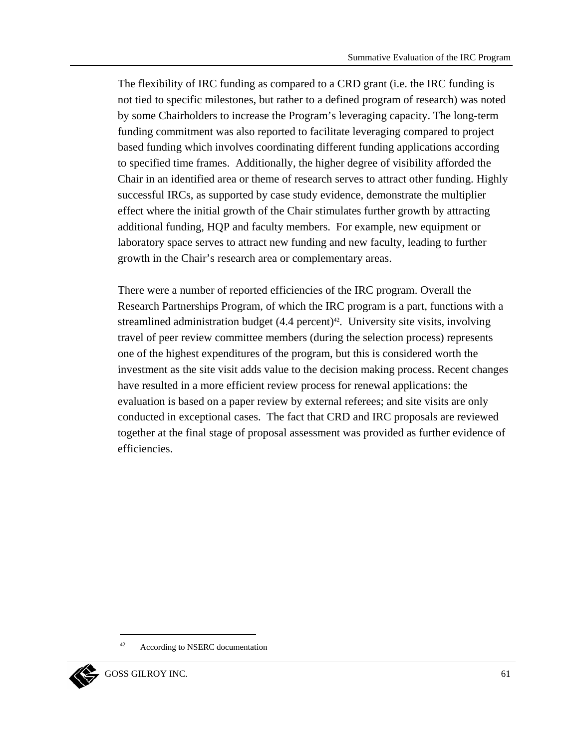The flexibility of IRC funding as compared to a CRD grant (i.e. the IRC funding is not tied to specific milestones, but rather to a defined program of research) was noted by some Chairholders to increase the Program's leveraging capacity. The long-term funding commitment was also reported to facilitate leveraging compared to project based funding which involves coordinating different funding applications according to specified time frames. Additionally, the higher degree of visibility afforded the Chair in an identified area or theme of research serves to attract other funding. Highly successful IRCs, as supported by case study evidence, demonstrate the multiplier effect where the initial growth of the Chair stimulates further growth by attracting additional funding, HQP and faculty members. For example, new equipment or laboratory space serves to attract new funding and new faculty, leading to further growth in the Chair's research area or complementary areas.

There were a number of reported efficiencies of the IRC program. Overall the Research Partnerships Program, of which the IRC program is a part, functions with a streamlined administration budget  $(4.4 \text{ percent})^{42}$ . University site visits, involving travel of peer review committee members (during the selection process) represents one of the highest expenditures of the program, but this is considered worth the investment as the site visit adds value to the decision making process. Recent changes have resulted in a more efficient review process for renewal applications: the evaluation is based on a paper review by external referees; and site visits are only conducted in exceptional cases. The fact that CRD and IRC proposals are reviewed together at the final stage of proposal assessment was provided as further evidence of efficiencies.

<sup>42</sup> According to NSERC documentation



 $\overline{a}$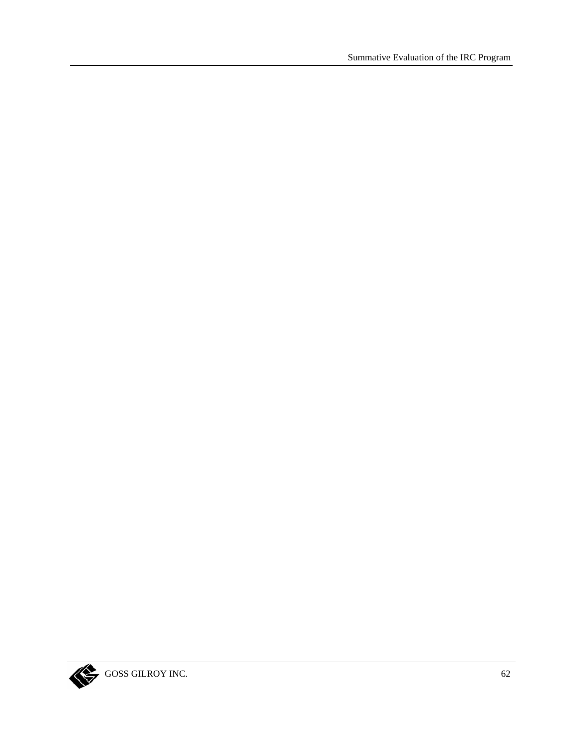Summative Evaluation of the IRC Program

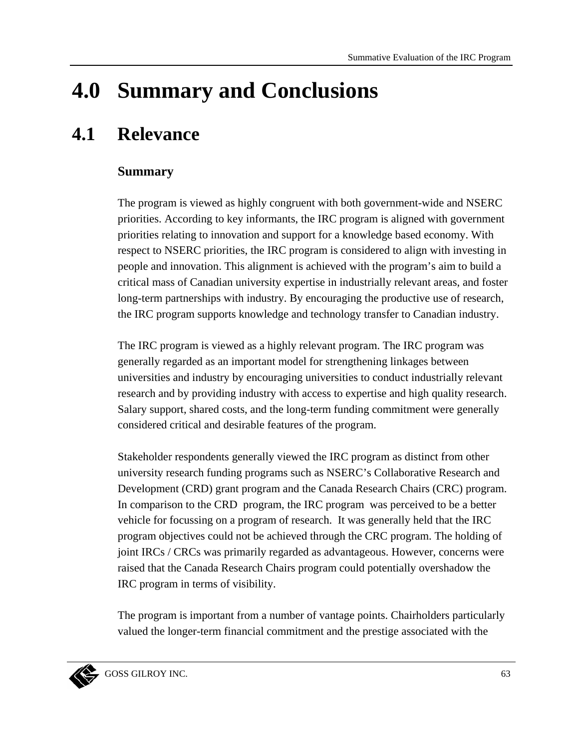# **4.0 Summary and Conclusions**

## **4.1 Relevance**

## **Summary**

The program is viewed as highly congruent with both government-wide and NSERC priorities. According to key informants, the IRC program is aligned with government priorities relating to innovation and support for a knowledge based economy. With respect to NSERC priorities, the IRC program is considered to align with investing in people and innovation. This alignment is achieved with the program's aim to build a critical mass of Canadian university expertise in industrially relevant areas, and foster long-term partnerships with industry. By encouraging the productive use of research, the IRC program supports knowledge and technology transfer to Canadian industry.

The IRC program is viewed as a highly relevant program. The IRC program was generally regarded as an important model for strengthening linkages between universities and industry by encouraging universities to conduct industrially relevant research and by providing industry with access to expertise and high quality research. Salary support, shared costs, and the long-term funding commitment were generally considered critical and desirable features of the program.

Stakeholder respondents generally viewed the IRC program as distinct from other university research funding programs such as NSERC's Collaborative Research and Development (CRD) grant program and the Canada Research Chairs (CRC) program. In comparison to the CRD program, the IRC program was perceived to be a better vehicle for focussing on a program of research. It was generally held that the IRC program objectives could not be achieved through the CRC program. The holding of joint IRCs / CRCs was primarily regarded as advantageous. However, concerns were raised that the Canada Research Chairs program could potentially overshadow the IRC program in terms of visibility.

The program is important from a number of vantage points. Chairholders particularly valued the longer-term financial commitment and the prestige associated with the

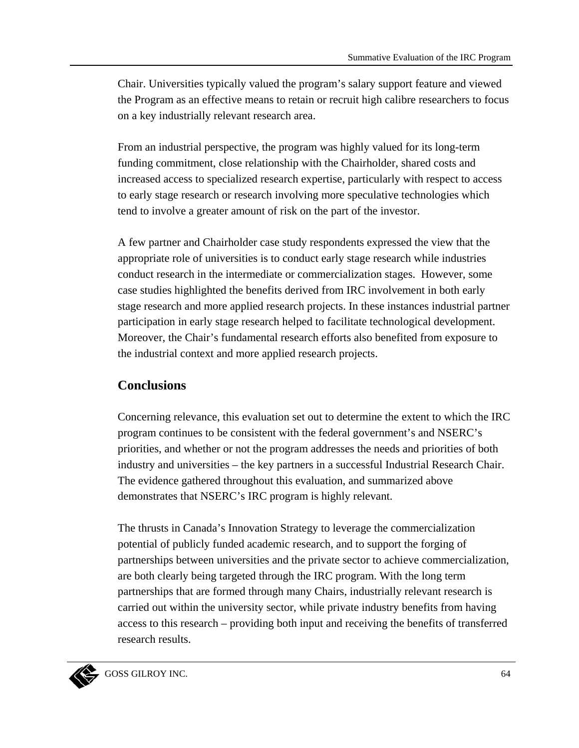Chair. Universities typically valued the program's salary support feature and viewed the Program as an effective means to retain or recruit high calibre researchers to focus on a key industrially relevant research area.

From an industrial perspective, the program was highly valued for its long-term funding commitment, close relationship with the Chairholder, shared costs and increased access to specialized research expertise, particularly with respect to access to early stage research or research involving more speculative technologies which tend to involve a greater amount of risk on the part of the investor.

A few partner and Chairholder case study respondents expressed the view that the appropriate role of universities is to conduct early stage research while industries conduct research in the intermediate or commercialization stages. However, some case studies highlighted the benefits derived from IRC involvement in both early stage research and more applied research projects. In these instances industrial partner participation in early stage research helped to facilitate technological development. Moreover, the Chair's fundamental research efforts also benefited from exposure to the industrial context and more applied research projects.

## **Conclusions**

Concerning relevance, this evaluation set out to determine the extent to which the IRC program continues to be consistent with the federal government's and NSERC's priorities, and whether or not the program addresses the needs and priorities of both industry and universities – the key partners in a successful Industrial Research Chair. The evidence gathered throughout this evaluation, and summarized above demonstrates that NSERC's IRC program is highly relevant.

The thrusts in Canada's Innovation Strategy to leverage the commercialization potential of publicly funded academic research, and to support the forging of partnerships between universities and the private sector to achieve commercialization, are both clearly being targeted through the IRC program. With the long term partnerships that are formed through many Chairs, industrially relevant research is carried out within the university sector, while private industry benefits from having access to this research – providing both input and receiving the benefits of transferred research results.

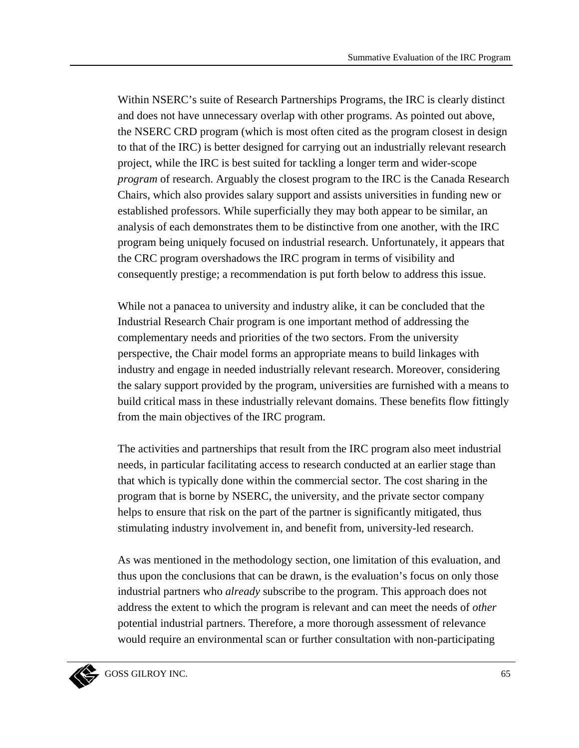Within NSERC's suite of Research Partnerships Programs, the IRC is clearly distinct and does not have unnecessary overlap with other programs. As pointed out above, the NSERC CRD program (which is most often cited as the program closest in design to that of the IRC) is better designed for carrying out an industrially relevant research project, while the IRC is best suited for tackling a longer term and wider-scope *program* of research. Arguably the closest program to the IRC is the Canada Research Chairs, which also provides salary support and assists universities in funding new or established professors. While superficially they may both appear to be similar, an analysis of each demonstrates them to be distinctive from one another, with the IRC program being uniquely focused on industrial research. Unfortunately, it appears that the CRC program overshadows the IRC program in terms of visibility and consequently prestige; a recommendation is put forth below to address this issue.

While not a panacea to university and industry alike, it can be concluded that the Industrial Research Chair program is one important method of addressing the complementary needs and priorities of the two sectors. From the university perspective, the Chair model forms an appropriate means to build linkages with industry and engage in needed industrially relevant research. Moreover, considering the salary support provided by the program, universities are furnished with a means to build critical mass in these industrially relevant domains. These benefits flow fittingly from the main objectives of the IRC program.

The activities and partnerships that result from the IRC program also meet industrial needs, in particular facilitating access to research conducted at an earlier stage than that which is typically done within the commercial sector. The cost sharing in the program that is borne by NSERC, the university, and the private sector company helps to ensure that risk on the part of the partner is significantly mitigated, thus stimulating industry involvement in, and benefit from, university-led research.

As was mentioned in the methodology section, one limitation of this evaluation, and thus upon the conclusions that can be drawn, is the evaluation's focus on only those industrial partners who *already* subscribe to the program. This approach does not address the extent to which the program is relevant and can meet the needs of *other* potential industrial partners. Therefore, a more thorough assessment of relevance would require an environmental scan or further consultation with non-participating

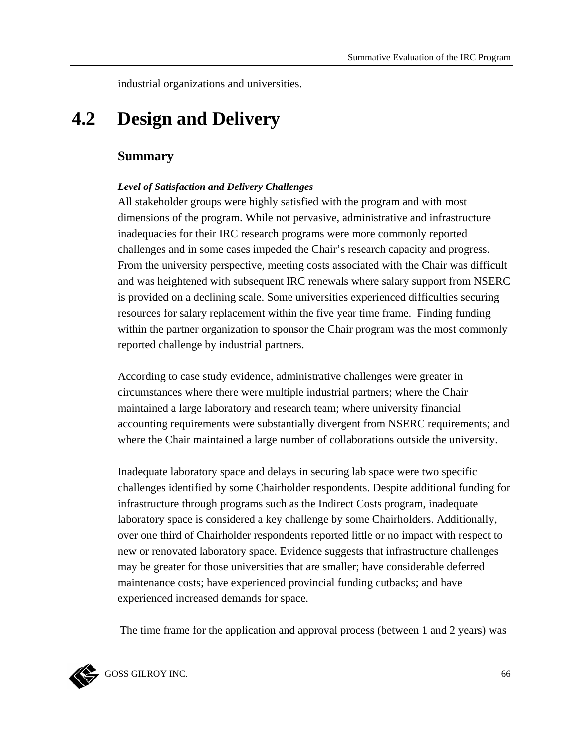industrial organizations and universities.

## **4.2 Design and Delivery**

### **Summary**

#### *Level of Satisfaction and Delivery Challenges*

All stakeholder groups were highly satisfied with the program and with most dimensions of the program. While not pervasive, administrative and infrastructure inadequacies for their IRC research programs were more commonly reported challenges and in some cases impeded the Chair's research capacity and progress. From the university perspective, meeting costs associated with the Chair was difficult and was heightened with subsequent IRC renewals where salary support from NSERC is provided on a declining scale. Some universities experienced difficulties securing resources for salary replacement within the five year time frame. Finding funding within the partner organization to sponsor the Chair program was the most commonly reported challenge by industrial partners.

According to case study evidence, administrative challenges were greater in circumstances where there were multiple industrial partners; where the Chair maintained a large laboratory and research team; where university financial accounting requirements were substantially divergent from NSERC requirements; and where the Chair maintained a large number of collaborations outside the university.

Inadequate laboratory space and delays in securing lab space were two specific challenges identified by some Chairholder respondents. Despite additional funding for infrastructure through programs such as the Indirect Costs program, inadequate laboratory space is considered a key challenge by some Chairholders. Additionally, over one third of Chairholder respondents reported little or no impact with respect to new or renovated laboratory space. Evidence suggests that infrastructure challenges may be greater for those universities that are smaller; have considerable deferred maintenance costs; have experienced provincial funding cutbacks; and have experienced increased demands for space.

The time frame for the application and approval process (between 1 and 2 years) was

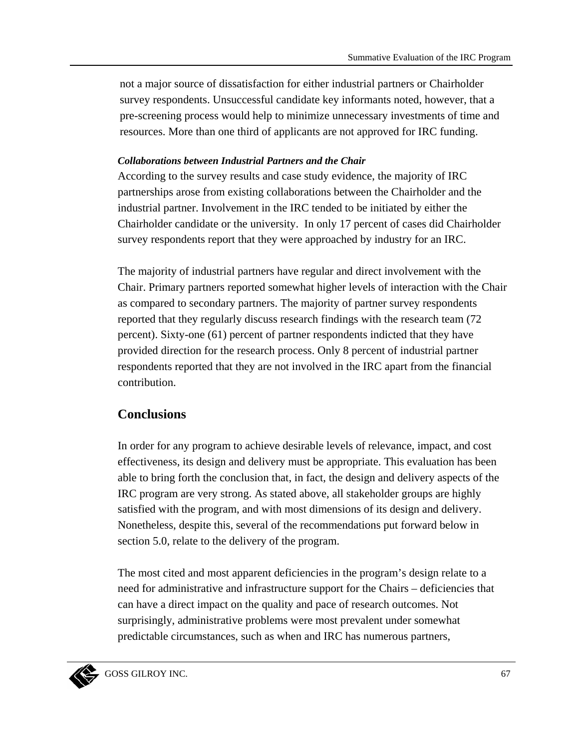not a major source of dissatisfaction for either industrial partners or Chairholder survey respondents. Unsuccessful candidate key informants noted, however, that a pre-screening process would help to minimize unnecessary investments of time and resources. More than one third of applicants are not approved for IRC funding.

#### *Collaborations between Industrial Partners and the Chair*

According to the survey results and case study evidence, the majority of IRC partnerships arose from existing collaborations between the Chairholder and the industrial partner. Involvement in the IRC tended to be initiated by either the Chairholder candidate or the university. In only 17 percent of cases did Chairholder survey respondents report that they were approached by industry for an IRC.

The majority of industrial partners have regular and direct involvement with the Chair. Primary partners reported somewhat higher levels of interaction with the Chair as compared to secondary partners. The majority of partner survey respondents reported that they regularly discuss research findings with the research team (72 percent). Sixty-one (61) percent of partner respondents indicted that they have provided direction for the research process. Only 8 percent of industrial partner respondents reported that they are not involved in the IRC apart from the financial contribution.

## **Conclusions**

In order for any program to achieve desirable levels of relevance, impact, and cost effectiveness, its design and delivery must be appropriate. This evaluation has been able to bring forth the conclusion that, in fact, the design and delivery aspects of the IRC program are very strong. As stated above, all stakeholder groups are highly satisfied with the program, and with most dimensions of its design and delivery. Nonetheless, despite this, several of the recommendations put forward below in section 5.0, relate to the delivery of the program.

The most cited and most apparent deficiencies in the program's design relate to a need for administrative and infrastructure support for the Chairs – deficiencies that can have a direct impact on the quality and pace of research outcomes. Not surprisingly, administrative problems were most prevalent under somewhat predictable circumstances, such as when and IRC has numerous partners,

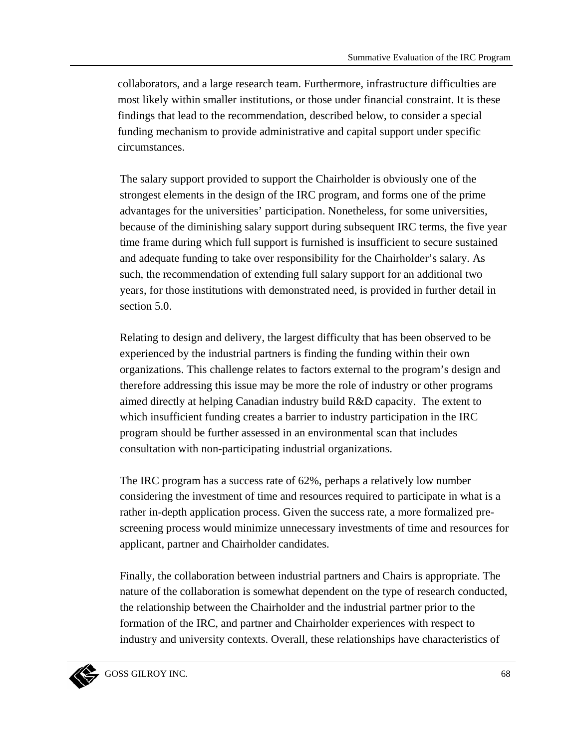collaborators, and a large research team. Furthermore, infrastructure difficulties are most likely within smaller institutions, or those under financial constraint. It is these findings that lead to the recommendation, described below, to consider a special funding mechanism to provide administrative and capital support under specific circumstances.

The salary support provided to support the Chairholder is obviously one of the strongest elements in the design of the IRC program, and forms one of the prime advantages for the universities' participation. Nonetheless, for some universities, because of the diminishing salary support during subsequent IRC terms, the five year time frame during which full support is furnished is insufficient to secure sustained and adequate funding to take over responsibility for the Chairholder's salary. As such, the recommendation of extending full salary support for an additional two years, for those institutions with demonstrated need, is provided in further detail in section 5.0.

Relating to design and delivery, the largest difficulty that has been observed to be experienced by the industrial partners is finding the funding within their own organizations. This challenge relates to factors external to the program's design and therefore addressing this issue may be more the role of industry or other programs aimed directly at helping Canadian industry build R&D capacity. The extent to which insufficient funding creates a barrier to industry participation in the IRC program should be further assessed in an environmental scan that includes consultation with non-participating industrial organizations.

The IRC program has a success rate of 62%, perhaps a relatively low number considering the investment of time and resources required to participate in what is a rather in-depth application process. Given the success rate, a more formalized prescreening process would minimize unnecessary investments of time and resources for applicant, partner and Chairholder candidates.

Finally, the collaboration between industrial partners and Chairs is appropriate. The nature of the collaboration is somewhat dependent on the type of research conducted, the relationship between the Chairholder and the industrial partner prior to the formation of the IRC, and partner and Chairholder experiences with respect to industry and university contexts. Overall, these relationships have characteristics of

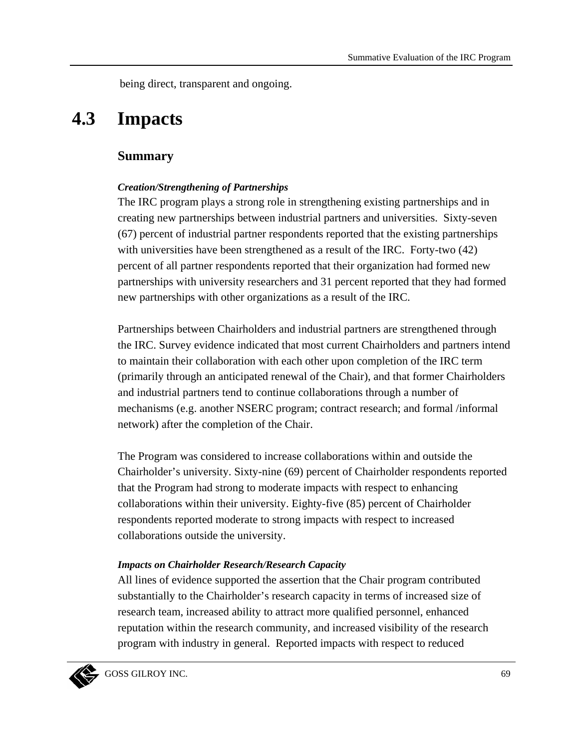being direct, transparent and ongoing.

## **4.3 Impacts**

### **Summary**

#### *Creation/Strengthening of Partnerships*

The IRC program plays a strong role in strengthening existing partnerships and in creating new partnerships between industrial partners and universities. Sixty-seven (67) percent of industrial partner respondents reported that the existing partnerships with universities have been strengthened as a result of the IRC. Forty-two (42) percent of all partner respondents reported that their organization had formed new partnerships with university researchers and 31 percent reported that they had formed new partnerships with other organizations as a result of the IRC.

Partnerships between Chairholders and industrial partners are strengthened through the IRC. Survey evidence indicated that most current Chairholders and partners intend to maintain their collaboration with each other upon completion of the IRC term (primarily through an anticipated renewal of the Chair), and that former Chairholders and industrial partners tend to continue collaborations through a number of mechanisms (e.g. another NSERC program; contract research; and formal /informal network) after the completion of the Chair.

The Program was considered to increase collaborations within and outside the Chairholder's university. Sixty-nine (69) percent of Chairholder respondents reported that the Program had strong to moderate impacts with respect to enhancing collaborations within their university. Eighty-five (85) percent of Chairholder respondents reported moderate to strong impacts with respect to increased collaborations outside the university.

#### *Impacts on Chairholder Research/Research Capacity*

All lines of evidence supported the assertion that the Chair program contributed substantially to the Chairholder's research capacity in terms of increased size of research team, increased ability to attract more qualified personnel, enhanced reputation within the research community, and increased visibility of the research program with industry in general. Reported impacts with respect to reduced

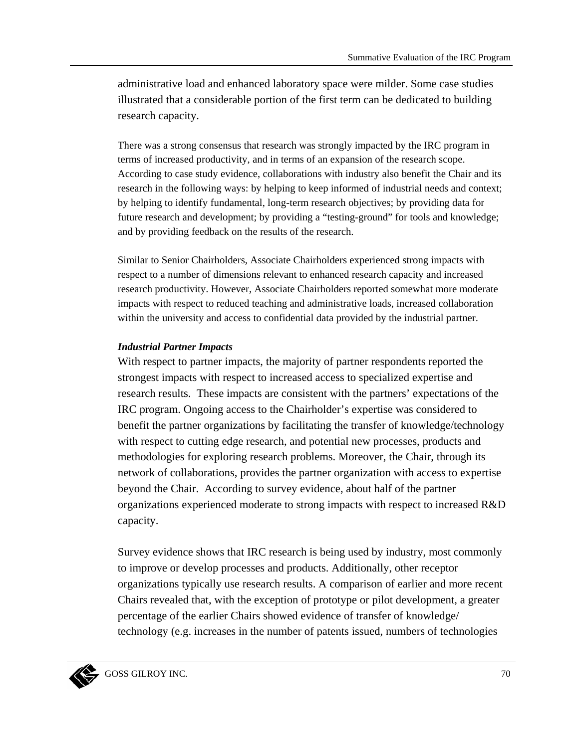administrative load and enhanced laboratory space were milder. Some case studies illustrated that a considerable portion of the first term can be dedicated to building research capacity.

There was a strong consensus that research was strongly impacted by the IRC program in terms of increased productivity, and in terms of an expansion of the research scope. According to case study evidence, collaborations with industry also benefit the Chair and its research in the following ways: by helping to keep informed of industrial needs and context; by helping to identify fundamental, long-term research objectives; by providing data for future research and development; by providing a "testing-ground" for tools and knowledge; and by providing feedback on the results of the research.

Similar to Senior Chairholders, Associate Chairholders experienced strong impacts with respect to a number of dimensions relevant to enhanced research capacity and increased research productivity. However, Associate Chairholders reported somewhat more moderate impacts with respect to reduced teaching and administrative loads, increased collaboration within the university and access to confidential data provided by the industrial partner.

#### *Industrial Partner Impacts*

With respect to partner impacts, the majority of partner respondents reported the strongest impacts with respect to increased access to specialized expertise and research results. These impacts are consistent with the partners' expectations of the IRC program. Ongoing access to the Chairholder's expertise was considered to benefit the partner organizations by facilitating the transfer of knowledge/technology with respect to cutting edge research, and potential new processes, products and methodologies for exploring research problems. Moreover, the Chair, through its network of collaborations, provides the partner organization with access to expertise beyond the Chair. According to survey evidence, about half of the partner organizations experienced moderate to strong impacts with respect to increased R&D capacity.

Survey evidence shows that IRC research is being used by industry, most commonly to improve or develop processes and products. Additionally, other receptor organizations typically use research results. A comparison of earlier and more recent Chairs revealed that, with the exception of prototype or pilot development, a greater percentage of the earlier Chairs showed evidence of transfer of knowledge/ technology (e.g. increases in the number of patents issued, numbers of technologies

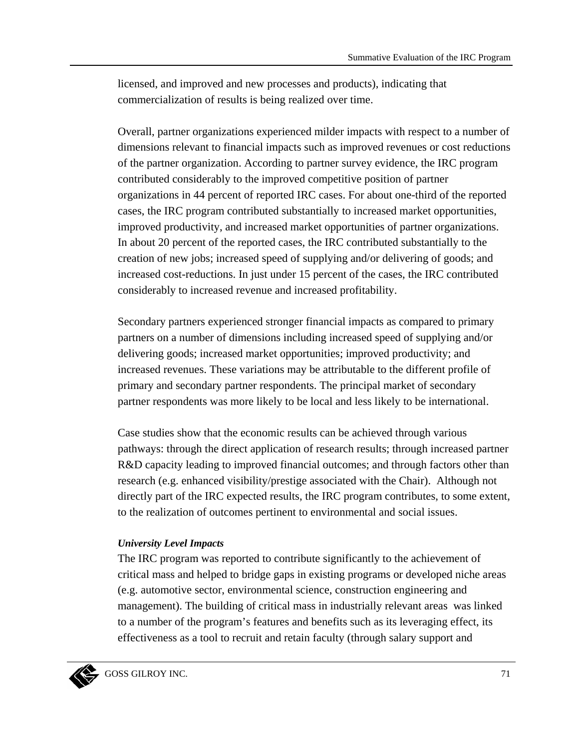licensed, and improved and new processes and products), indicating that commercialization of results is being realized over time.

Overall, partner organizations experienced milder impacts with respect to a number of dimensions relevant to financial impacts such as improved revenues or cost reductions of the partner organization. According to partner survey evidence, the IRC program contributed considerably to the improved competitive position of partner organizations in 44 percent of reported IRC cases. For about one-third of the reported cases, the IRC program contributed substantially to increased market opportunities, improved productivity, and increased market opportunities of partner organizations. In about 20 percent of the reported cases, the IRC contributed substantially to the creation of new jobs; increased speed of supplying and/or delivering of goods; and increased cost-reductions. In just under 15 percent of the cases, the IRC contributed considerably to increased revenue and increased profitability.

Secondary partners experienced stronger financial impacts as compared to primary partners on a number of dimensions including increased speed of supplying and/or delivering goods; increased market opportunities; improved productivity; and increased revenues. These variations may be attributable to the different profile of primary and secondary partner respondents. The principal market of secondary partner respondents was more likely to be local and less likely to be international.

Case studies show that the economic results can be achieved through various pathways: through the direct application of research results; through increased partner R&D capacity leading to improved financial outcomes; and through factors other than research (e.g. enhanced visibility/prestige associated with the Chair). Although not directly part of the IRC expected results, the IRC program contributes, to some extent, to the realization of outcomes pertinent to environmental and social issues.

#### *University Level Impacts*

The IRC program was reported to contribute significantly to the achievement of critical mass and helped to bridge gaps in existing programs or developed niche areas (e.g. automotive sector, environmental science, construction engineering and management). The building of critical mass in industrially relevant areas was linked to a number of the program's features and benefits such as its leveraging effect, its effectiveness as a tool to recruit and retain faculty (through salary support and

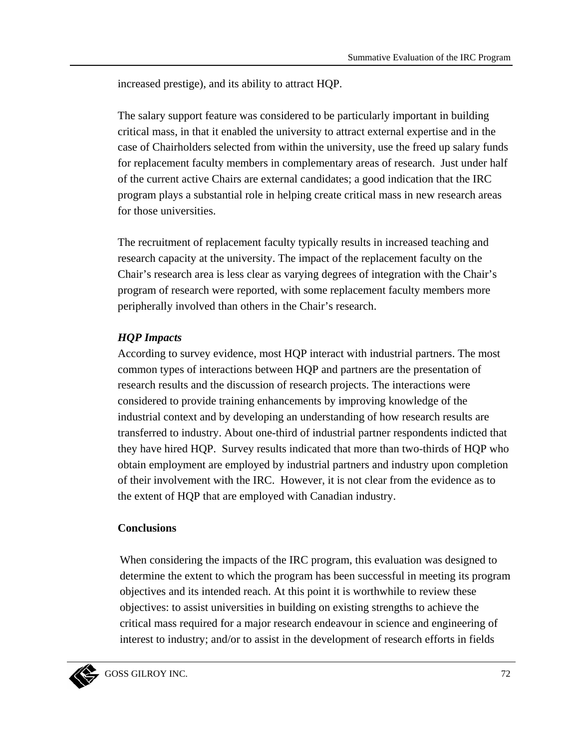increased prestige), and its ability to attract HQP.

The salary support feature was considered to be particularly important in building critical mass, in that it enabled the university to attract external expertise and in the case of Chairholders selected from within the university, use the freed up salary funds for replacement faculty members in complementary areas of research. Just under half of the current active Chairs are external candidates; a good indication that the IRC program plays a substantial role in helping create critical mass in new research areas for those universities.

The recruitment of replacement faculty typically results in increased teaching and research capacity at the university. The impact of the replacement faculty on the Chair's research area is less clear as varying degrees of integration with the Chair's program of research were reported, with some replacement faculty members more peripherally involved than others in the Chair's research.

#### *HQP Impacts*

According to survey evidence, most HQP interact with industrial partners. The most common types of interactions between HQP and partners are the presentation of research results and the discussion of research projects. The interactions were considered to provide training enhancements by improving knowledge of the industrial context and by developing an understanding of how research results are transferred to industry. About one-third of industrial partner respondents indicted that they have hired HQP. Survey results indicated that more than two-thirds of HQP who obtain employment are employed by industrial partners and industry upon completion of their involvement with the IRC. However, it is not clear from the evidence as to the extent of HQP that are employed with Canadian industry.

#### **Conclusions**

When considering the impacts of the IRC program, this evaluation was designed to determine the extent to which the program has been successful in meeting its program objectives and its intended reach. At this point it is worthwhile to review these objectives: to assist universities in building on existing strengths to achieve the critical mass required for a major research endeavour in science and engineering of interest to industry; and/or to assist in the development of research efforts in fields

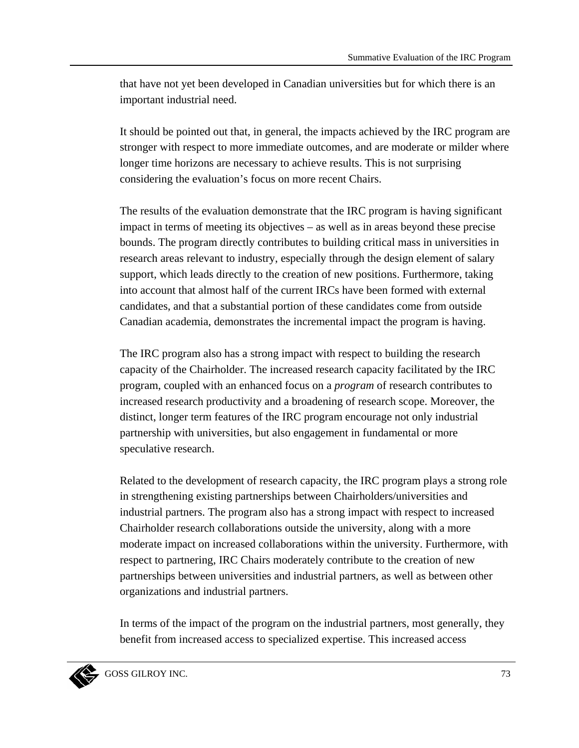that have not yet been developed in Canadian universities but for which there is an important industrial need.

It should be pointed out that, in general, the impacts achieved by the IRC program are stronger with respect to more immediate outcomes, and are moderate or milder where longer time horizons are necessary to achieve results. This is not surprising considering the evaluation's focus on more recent Chairs.

The results of the evaluation demonstrate that the IRC program is having significant impact in terms of meeting its objectives – as well as in areas beyond these precise bounds. The program directly contributes to building critical mass in universities in research areas relevant to industry, especially through the design element of salary support, which leads directly to the creation of new positions. Furthermore, taking into account that almost half of the current IRCs have been formed with external candidates, and that a substantial portion of these candidates come from outside Canadian academia, demonstrates the incremental impact the program is having.

The IRC program also has a strong impact with respect to building the research capacity of the Chairholder. The increased research capacity facilitated by the IRC program, coupled with an enhanced focus on a *program* of research contributes to increased research productivity and a broadening of research scope. Moreover, the distinct, longer term features of the IRC program encourage not only industrial partnership with universities, but also engagement in fundamental or more speculative research.

Related to the development of research capacity, the IRC program plays a strong role in strengthening existing partnerships between Chairholders/universities and industrial partners. The program also has a strong impact with respect to increased Chairholder research collaborations outside the university, along with a more moderate impact on increased collaborations within the university. Furthermore, with respect to partnering, IRC Chairs moderately contribute to the creation of new partnerships between universities and industrial partners, as well as between other organizations and industrial partners.

In terms of the impact of the program on the industrial partners, most generally, they benefit from increased access to specialized expertise. This increased access

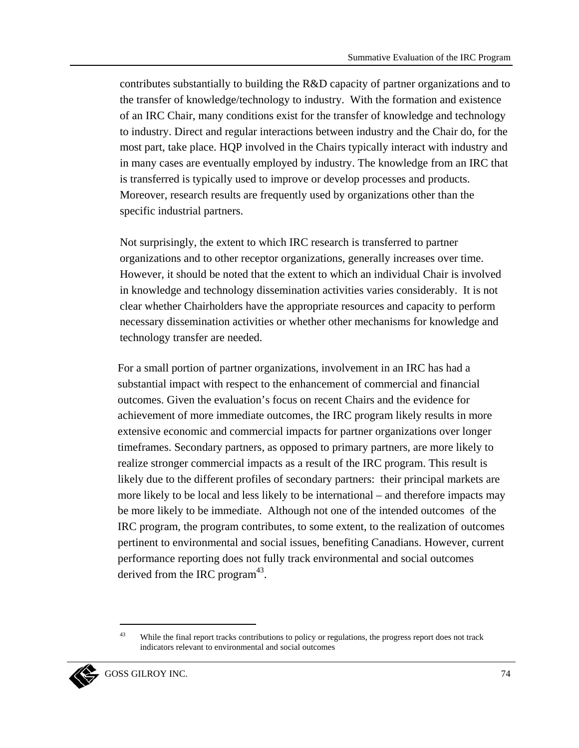contributes substantially to building the R&D capacity of partner organizations and to the transfer of knowledge/technology to industry. With the formation and existence of an IRC Chair, many conditions exist for the transfer of knowledge and technology to industry. Direct and regular interactions between industry and the Chair do, for the most part, take place. HQP involved in the Chairs typically interact with industry and in many cases are eventually employed by industry. The knowledge from an IRC that is transferred is typically used to improve or develop processes and products. Moreover, research results are frequently used by organizations other than the specific industrial partners.

Not surprisingly, the extent to which IRC research is transferred to partner organizations and to other receptor organizations, generally increases over time. However, it should be noted that the extent to which an individual Chair is involved in knowledge and technology dissemination activities varies considerably. It is not clear whether Chairholders have the appropriate resources and capacity to perform necessary dissemination activities or whether other mechanisms for knowledge and technology transfer are needed.

For a small portion of partner organizations, involvement in an IRC has had a substantial impact with respect to the enhancement of commercial and financial outcomes. Given the evaluation's focus on recent Chairs and the evidence for achievement of more immediate outcomes, the IRC program likely results in more extensive economic and commercial impacts for partner organizations over longer timeframes. Secondary partners, as opposed to primary partners, are more likely to realize stronger commercial impacts as a result of the IRC program. This result is likely due to the different profiles of secondary partners: their principal markets are more likely to be local and less likely to be international – and therefore impacts may be more likely to be immediate. Although not one of the intended outcomes of the IRC program, the program contributes, to some extent, to the realization of outcomes pertinent to environmental and social issues, benefiting Canadians. However, current performance reporting does not fully track environmental and social outcomes derived from the IRC program $43$ .

<sup>&</sup>lt;sup>43</sup> While the final report tracks contributions to policy or regulations, the progress report does not track indicators relevant to environmental and social outcomes



 $\overline{a}$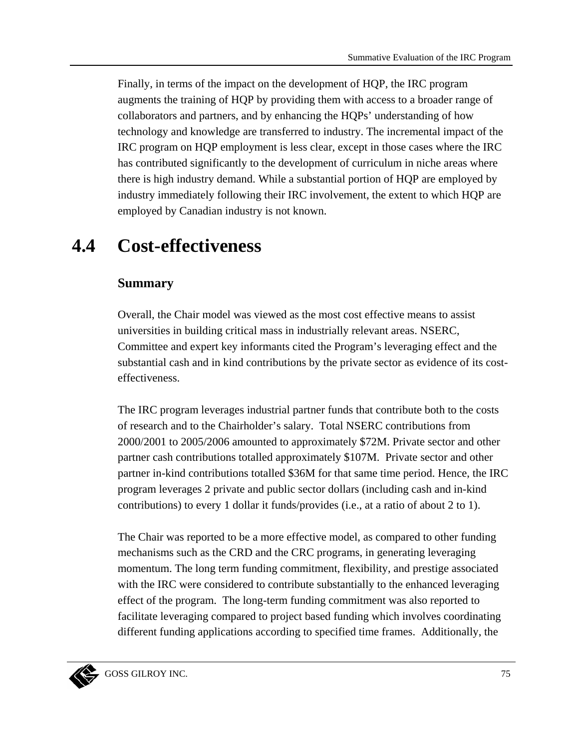Finally, in terms of the impact on the development of HQP, the IRC program augments the training of HQP by providing them with access to a broader range of collaborators and partners, and by enhancing the HQPs' understanding of how technology and knowledge are transferred to industry. The incremental impact of the IRC program on HQP employment is less clear, except in those cases where the IRC has contributed significantly to the development of curriculum in niche areas where there is high industry demand. While a substantial portion of HQP are employed by industry immediately following their IRC involvement, the extent to which HQP are employed by Canadian industry is not known.

## **4.4 Cost-effectiveness**

## **Summary**

Overall, the Chair model was viewed as the most cost effective means to assist universities in building critical mass in industrially relevant areas. NSERC, Committee and expert key informants cited the Program's leveraging effect and the substantial cash and in kind contributions by the private sector as evidence of its costeffectiveness.

The IRC program leverages industrial partner funds that contribute both to the costs of research and to the Chairholder's salary. Total NSERC contributions from 2000/2001 to 2005/2006 amounted to approximately \$72M. Private sector and other partner cash contributions totalled approximately \$107M. Private sector and other partner in-kind contributions totalled \$36M for that same time period. Hence, the IRC program leverages 2 private and public sector dollars (including cash and in-kind contributions) to every 1 dollar it funds/provides (i.e., at a ratio of about 2 to 1).

The Chair was reported to be a more effective model, as compared to other funding mechanisms such as the CRD and the CRC programs, in generating leveraging momentum. The long term funding commitment, flexibility, and prestige associated with the IRC were considered to contribute substantially to the enhanced leveraging effect of the program. The long-term funding commitment was also reported to facilitate leveraging compared to project based funding which involves coordinating different funding applications according to specified time frames. Additionally, the

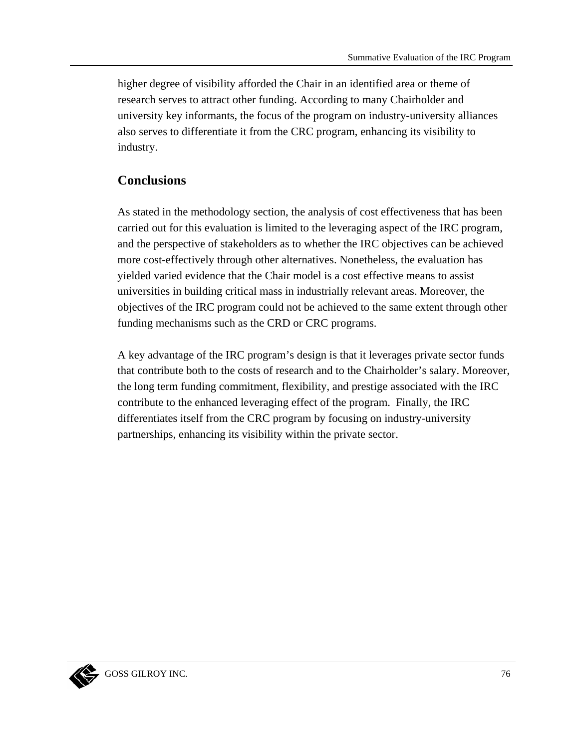higher degree of visibility afforded the Chair in an identified area or theme of research serves to attract other funding. According to many Chairholder and university key informants, the focus of the program on industry-university alliances also serves to differentiate it from the CRC program, enhancing its visibility to industry.

## **Conclusions**

As stated in the methodology section, the analysis of cost effectiveness that has been carried out for this evaluation is limited to the leveraging aspect of the IRC program, and the perspective of stakeholders as to whether the IRC objectives can be achieved more cost-effectively through other alternatives. Nonetheless, the evaluation has yielded varied evidence that the Chair model is a cost effective means to assist universities in building critical mass in industrially relevant areas. Moreover, the objectives of the IRC program could not be achieved to the same extent through other funding mechanisms such as the CRD or CRC programs.

A key advantage of the IRC program's design is that it leverages private sector funds that contribute both to the costs of research and to the Chairholder's salary. Moreover, the long term funding commitment, flexibility, and prestige associated with the IRC contribute to the enhanced leveraging effect of the program. Finally, the IRC differentiates itself from the CRC program by focusing on industry-university partnerships, enhancing its visibility within the private sector.

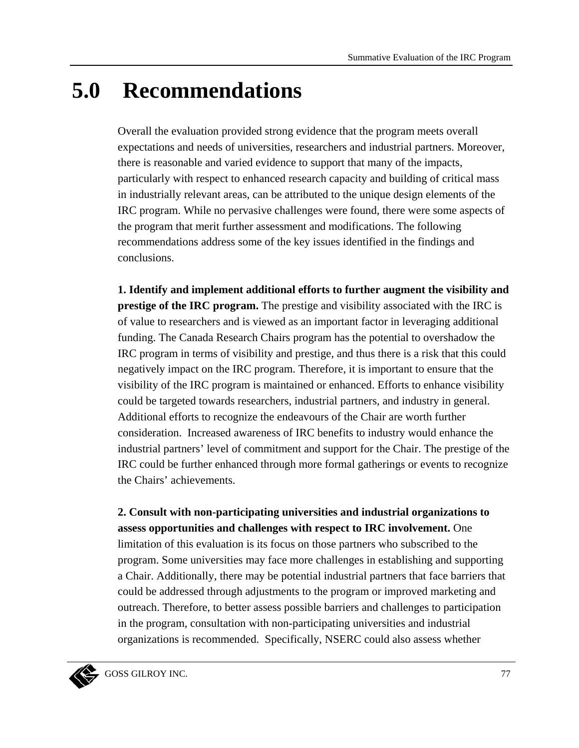# **5.0 Recommendations**

Overall the evaluation provided strong evidence that the program meets overall expectations and needs of universities, researchers and industrial partners. Moreover, there is reasonable and varied evidence to support that many of the impacts, particularly with respect to enhanced research capacity and building of critical mass in industrially relevant areas, can be attributed to the unique design elements of the IRC program. While no pervasive challenges were found, there were some aspects of the program that merit further assessment and modifications. The following recommendations address some of the key issues identified in the findings and conclusions.

**1. Identify and implement additional efforts to further augment the visibility and prestige of the IRC program.** The prestige and visibility associated with the IRC is of value to researchers and is viewed as an important factor in leveraging additional funding. The Canada Research Chairs program has the potential to overshadow the IRC program in terms of visibility and prestige, and thus there is a risk that this could negatively impact on the IRC program. Therefore, it is important to ensure that the visibility of the IRC program is maintained or enhanced. Efforts to enhance visibility could be targeted towards researchers, industrial partners, and industry in general. Additional efforts to recognize the endeavours of the Chair are worth further consideration. Increased awareness of IRC benefits to industry would enhance the industrial partners' level of commitment and support for the Chair. The prestige of the IRC could be further enhanced through more formal gatherings or events to recognize the Chairs' achievements.

**2. Consult with non-participating universities and industrial organizations to assess opportunities and challenges with respect to IRC involvement.** One limitation of this evaluation is its focus on those partners who subscribed to the program. Some universities may face more challenges in establishing and supporting a Chair. Additionally, there may be potential industrial partners that face barriers that could be addressed through adjustments to the program or improved marketing and outreach. Therefore, to better assess possible barriers and challenges to participation in the program, consultation with non-participating universities and industrial organizations is recommended. Specifically, NSERC could also assess whether

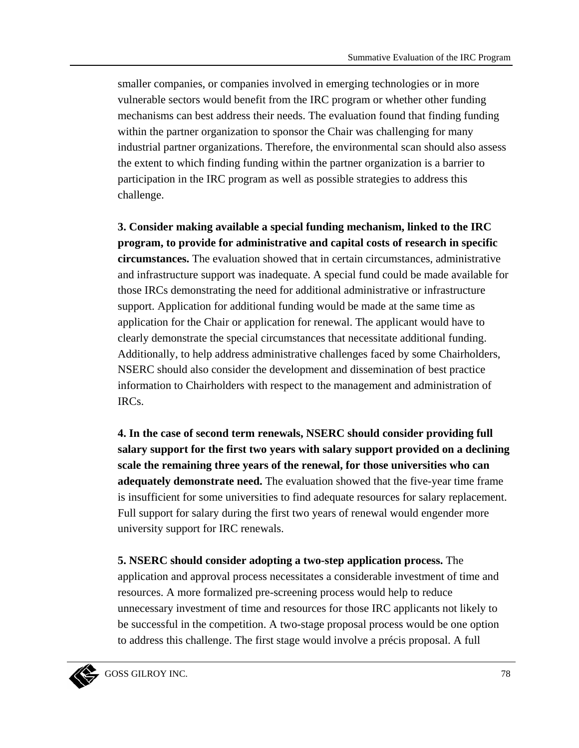smaller companies, or companies involved in emerging technologies or in more vulnerable sectors would benefit from the IRC program or whether other funding mechanisms can best address their needs. The evaluation found that finding funding within the partner organization to sponsor the Chair was challenging for many industrial partner organizations. Therefore, the environmental scan should also assess the extent to which finding funding within the partner organization is a barrier to participation in the IRC program as well as possible strategies to address this challenge.

**3. Consider making available a special funding mechanism, linked to the IRC program, to provide for administrative and capital costs of research in specific circumstances.** The evaluation showed that in certain circumstances, administrative and infrastructure support was inadequate. A special fund could be made available for those IRCs demonstrating the need for additional administrative or infrastructure support. Application for additional funding would be made at the same time as application for the Chair or application for renewal. The applicant would have to clearly demonstrate the special circumstances that necessitate additional funding. Additionally, to help address administrative challenges faced by some Chairholders, NSERC should also consider the development and dissemination of best practice information to Chairholders with respect to the management and administration of IRCs.

**4. In the case of second term renewals, NSERC should consider providing full salary support for the first two years with salary support provided on a declining scale the remaining three years of the renewal, for those universities who can adequately demonstrate need.** The evaluation showed that the five-year time frame is insufficient for some universities to find adequate resources for salary replacement. Full support for salary during the first two years of renewal would engender more university support for IRC renewals.

**5. NSERC should consider adopting a two-step application process.** The application and approval process necessitates a considerable investment of time and resources. A more formalized pre-screening process would help to reduce unnecessary investment of time and resources for those IRC applicants not likely to be successful in the competition. A two-stage proposal process would be one option to address this challenge. The first stage would involve a précis proposal. A full

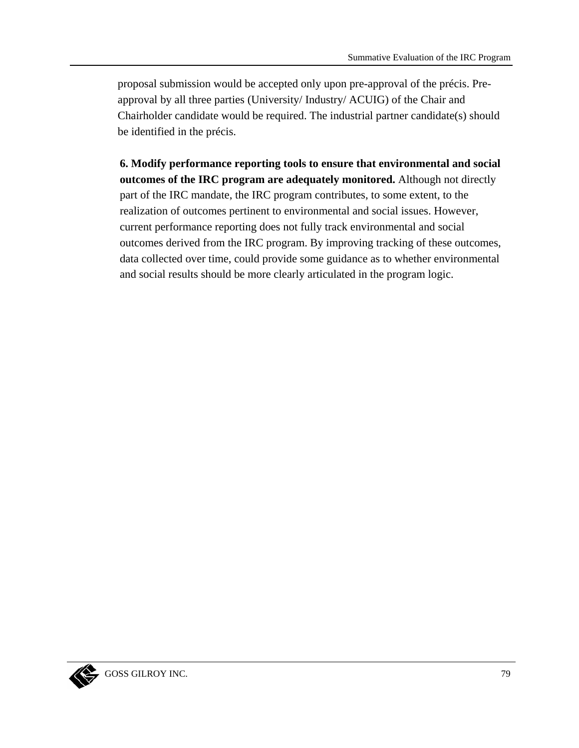proposal submission would be accepted only upon pre-approval of the précis. Preapproval by all three parties (University/ Industry/ ACUIG) of the Chair and Chairholder candidate would be required. The industrial partner candidate(s) should be identified in the précis.

**6. Modify performance reporting tools to ensure that environmental and social outcomes of the IRC program are adequately monitored.** Although not directly part of the IRC mandate, the IRC program contributes, to some extent, to the realization of outcomes pertinent to environmental and social issues. However, current performance reporting does not fully track environmental and social outcomes derived from the IRC program. By improving tracking of these outcomes, data collected over time, could provide some guidance as to whether environmental and social results should be more clearly articulated in the program logic.

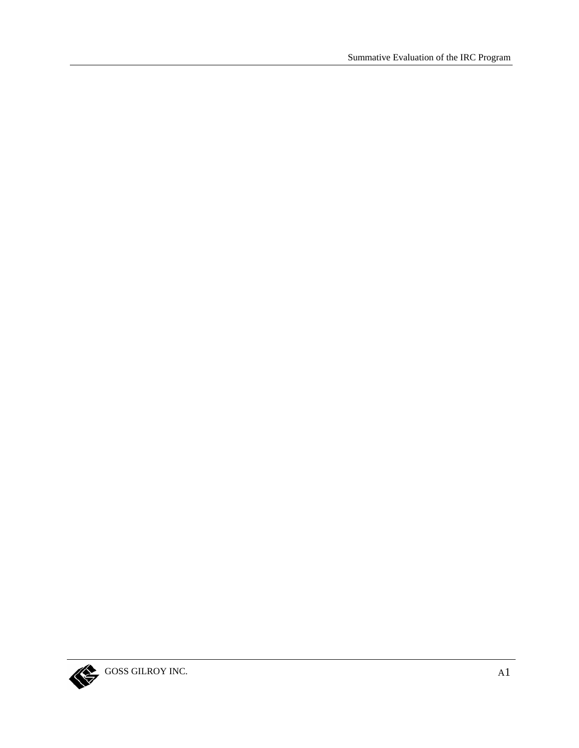Summative Evaluation of the IRC Program

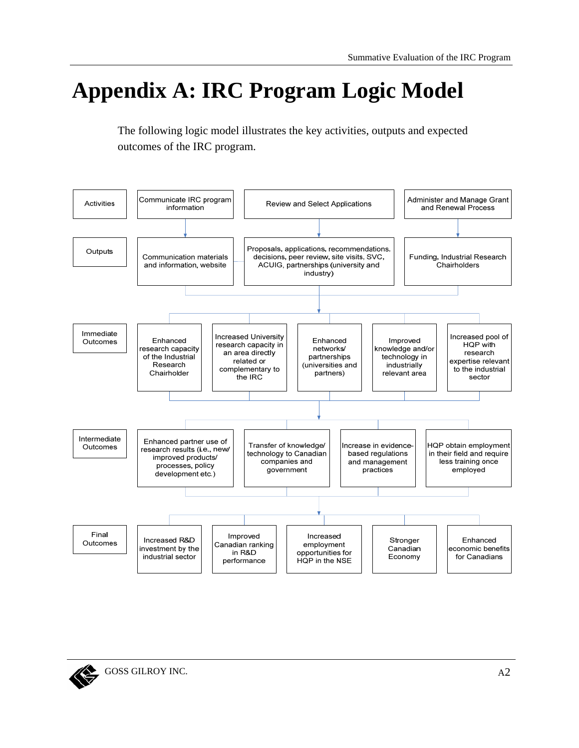# **Appendix A: IRC Program Logic Model**

The following logic model illustrates the key activities, outputs and expected outcomes of the IRC program.

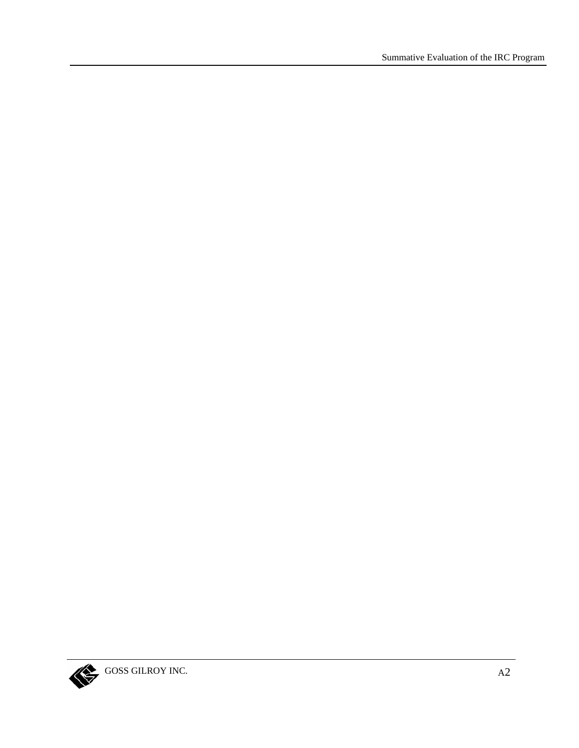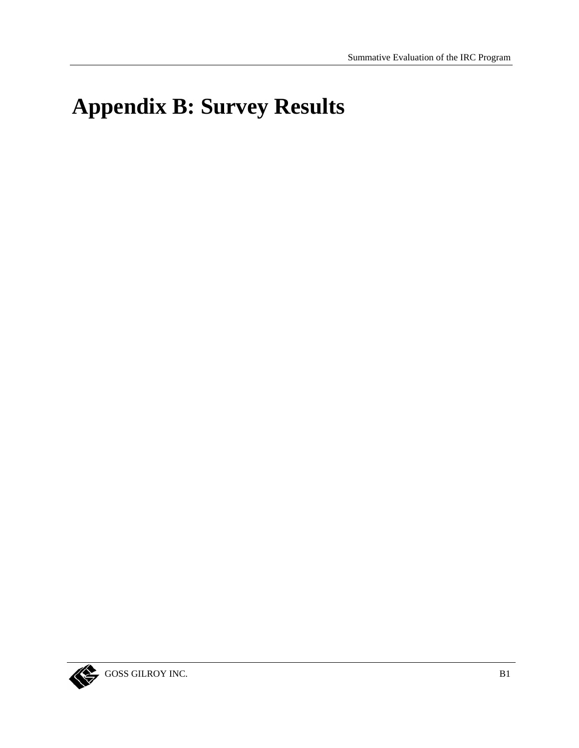# **Appendix B: Survey Results**

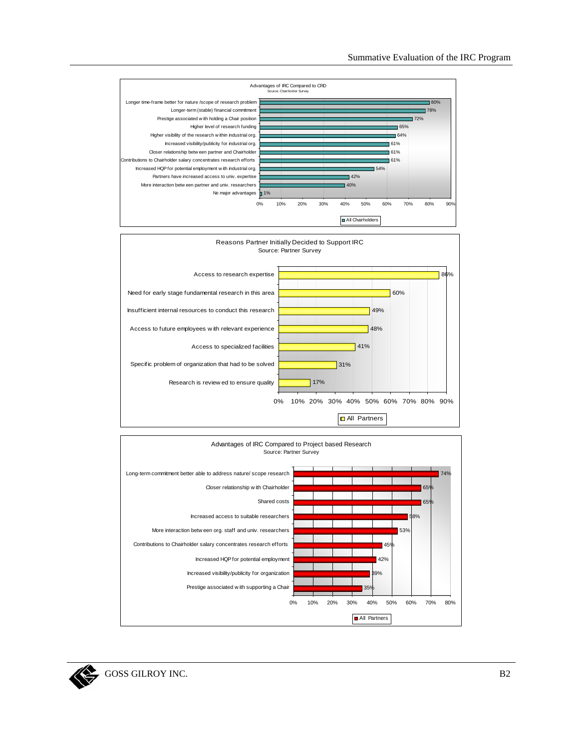





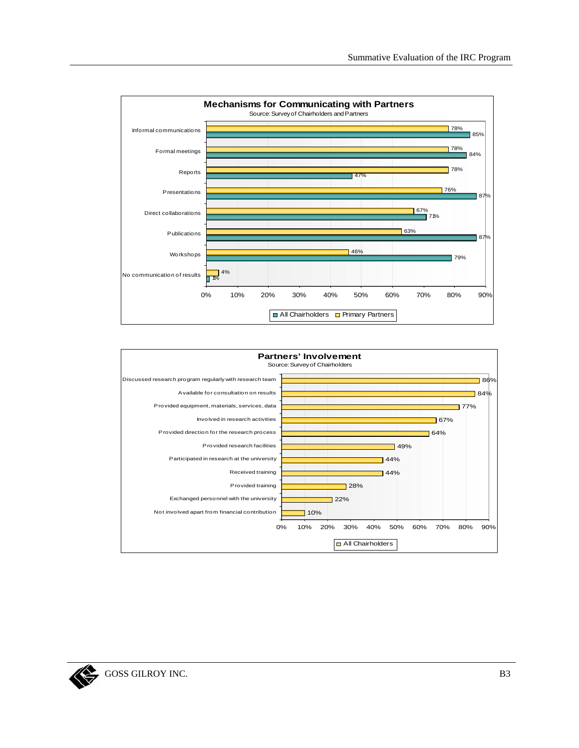



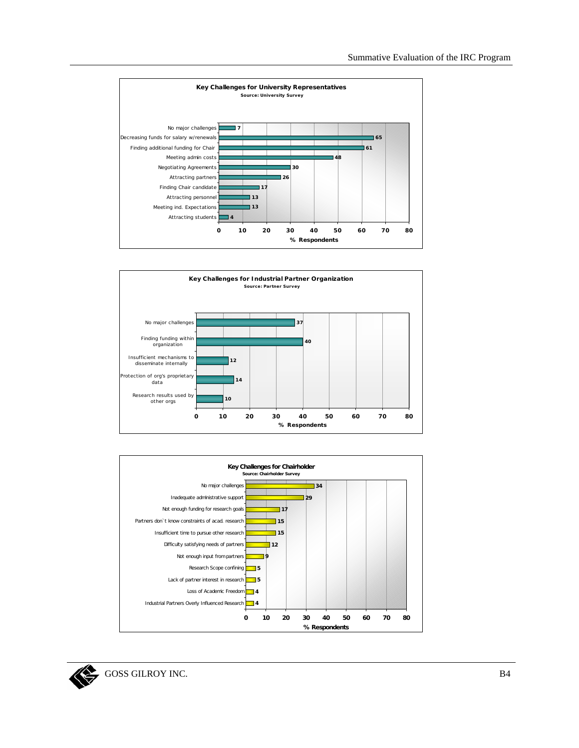



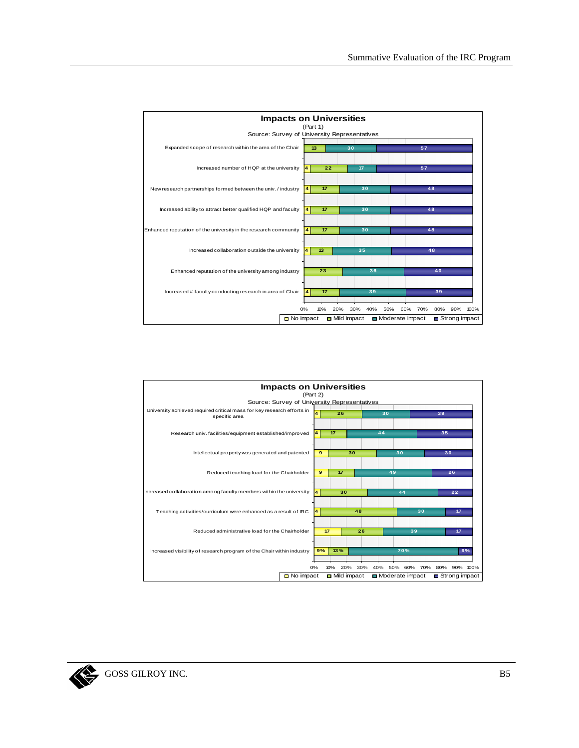



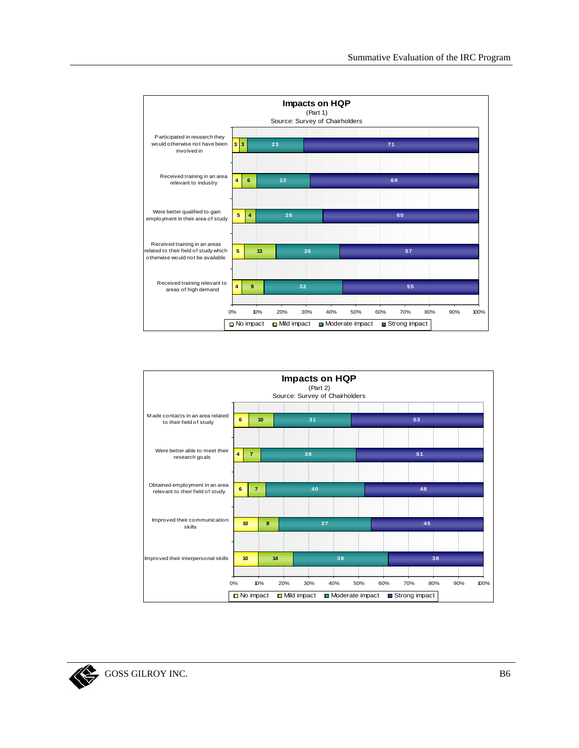